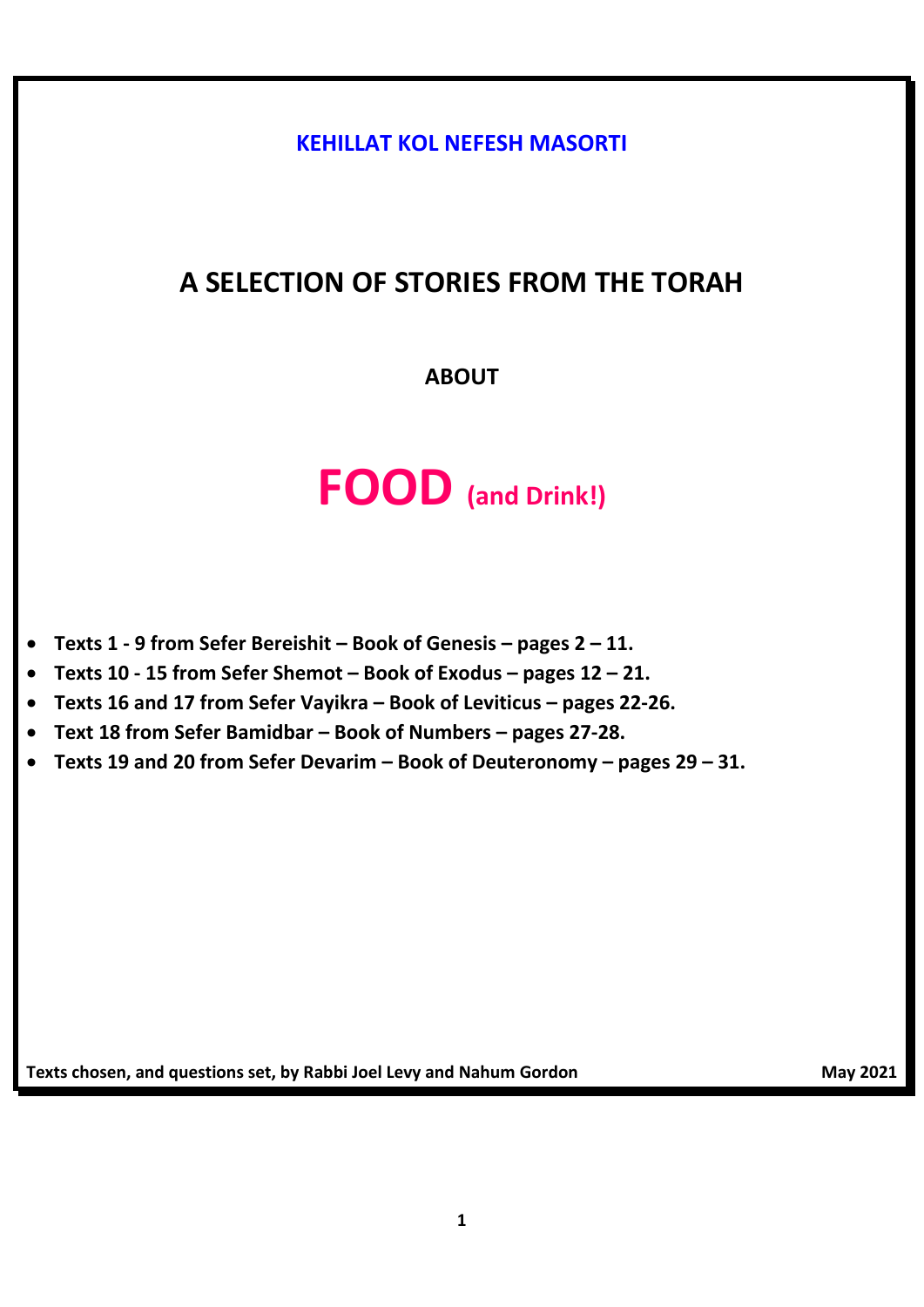**KEHILLAT KOL NEFESH MASORTI**

## **A SELECTION OF STORIES FROM THE TORAH**

## **ABOUT**

# **FOOD (and Drink!)**

- **Texts 1 - 9 from Sefer Bereishit – Book of Genesis – pages 2 – 11.**
- **Texts 10 - 15 from Sefer Shemot – Book of Exodus – pages 12 – 21.**
- **Texts 16 and 17 from Sefer Vayikra – Book of Leviticus – pages 22-26.**
- **Text 18 from Sefer Bamidbar – Book of Numbers – pages 27-28.**
- **Texts 19 and 20 from Sefer Devarim – Book of Deuteronomy – pages 29 – 31.**

**Texts chosen, and questions set, by Rabbi Joel Levy and Nahum Gordon May 2021** May 2021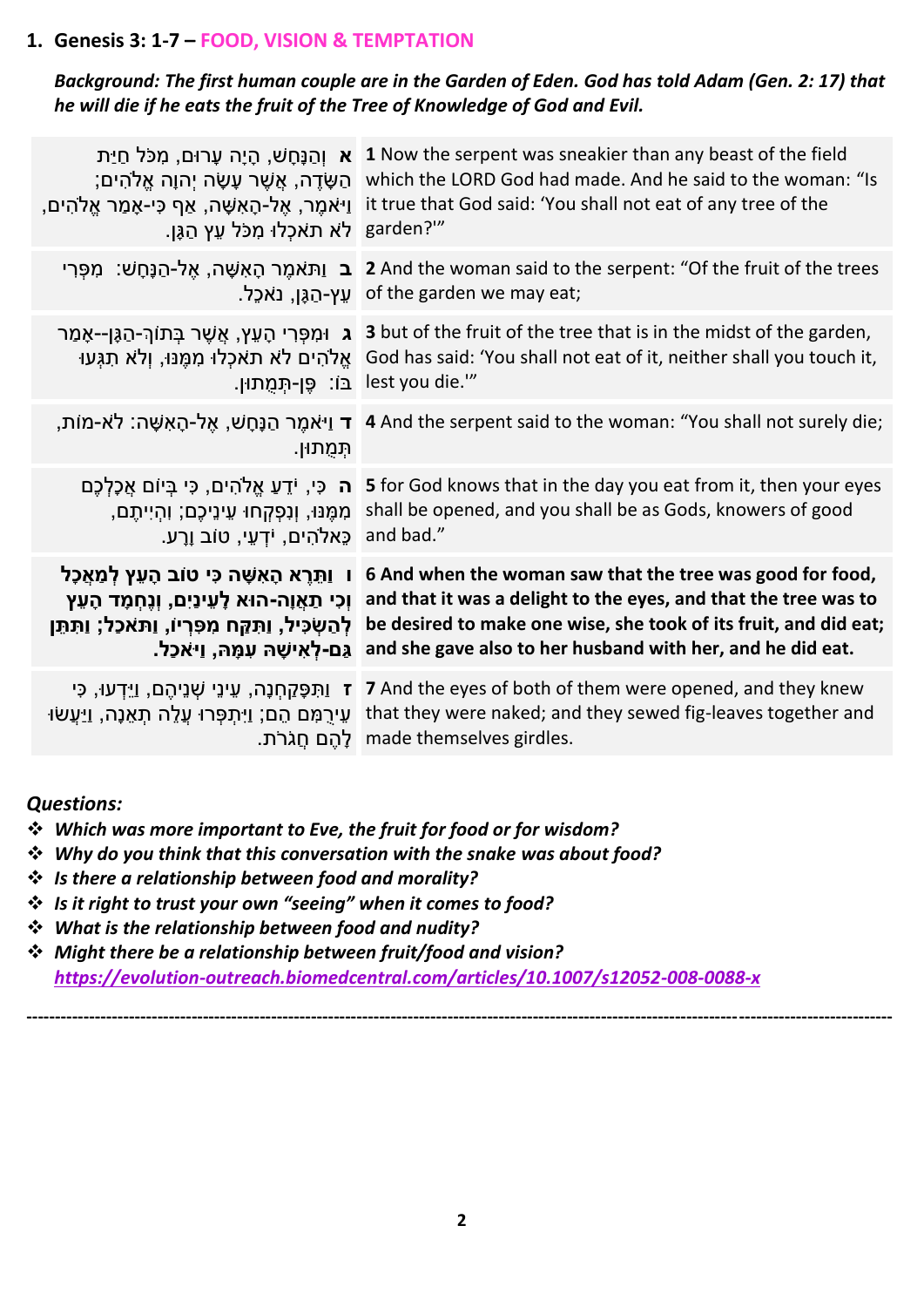#### **1. Genesis 3: 1-7 – FOOD, VISION & TEMPTATION**

#### *Background: The first human couple are in the Garden of Eden. God has told Adam (Gen. 2: 17) that he will die if he eats the fruit of the Tree of Knowledge of God and Evil.*

| <b>ֹא</b> וְהַנָּחָשׁ, הָיָה עָרוּם, מִכֹּל חַיַּת<br>1 Now the serpent was sneakier than any beast of the field<br>which the LORD God had made. And he said to the woman: "Is<br>ָהַשָּׂדֶה, אֲשֶׁר עָשָׂה יְהוָה אֱלֹהִים;<br>it true that God said: 'You shall not eat of any tree of the<br>ַן אמֶר, אֵל-הָאִשָּׁה, אַף כִּי-אָמַר אֵלֹהִים,<br>garden?"<br>ַלֹא תאכְלוּ מִכֹּל עֵץ הַגָּן. |
|-------------------------------------------------------------------------------------------------------------------------------------------------------------------------------------------------------------------------------------------------------------------------------------------------------------------------------------------------------------------------------------------------|
| ַב וַתּאמֶר הָאִשָּׁה, אֶל-הַנָּחָשׁ: מִפְּרִי 2 And the woman said to the serpent: "Of the fruit of the trees<br>נאכֵל. sof the garden we may eat;                                                                                                                                                                                                                                             |
| ג וּמִפְּרִי הָעֵץ, אֲשֶׁר בְּתוֹךְ-הַגֶּן--אָמַר 3 but of the fruit of the tree that is in the midst of the garden,<br>God has said: 'You shall not eat of it, neither shall you touch it, يج الله جمع الله جبلا الله جبلا الله جبلا<br>: פֵן-תְּמֻתוּן" lest you die. "                                                                                                                       |
| ָר וַיֹּאמֶר הַנָּחָשׁ, אֱל-הָאִשָּׁה: לֹא-מוֹת, 4 And the serpent said to the woman: "You shall not surely die;                                                                                                                                                                                                                                                                                |
| <b>ה</b> כִּי, יֹדֵעַ אֱלֹהִים, כִּי בִּיוֹם אֲכָלְכֵם<br>5 for God knows that in the day you eat from it, then your eyes<br>shall be opened, and you shall be as Gods, knowers of good<br>ְמִמֶּנּוּ, וְנִפְקְחוּ עֵינֵיכֶם; וְהָיִיתֶם,<br>and bad."<br>ַכֶּאלֹהִים, יֹדְעֵי, טוֹב וֵרָע.                                                                                                     |
| ו  וַתֵּרֵא הָאִשָּׁה כִּי טוֹב הָעֵץ לְמַאֲכָל<br>6 And when the woman saw that the tree was good for food,<br>and that it was a delight to the eyes, and that the tree was to<br>be desired to make one wise, she took of its fruit, and did eat;<br>and she gave also to her husband with her, and he did eat.                                                                               |
| 7 And the eyes of both of them were opened, and they knew<br><b>ז</b> וַתִּפָּקַחְנָה, עֵינֵי שְׁנֵיהֶם, וַיֵּדְעוּ, כִּי<br>that they were naked; and they sewed fig-leaves together and                                                                                                                                                                                                       |
|                                                                                                                                                                                                                                                                                                                                                                                                 |

#### *Questions:*

- ❖ *Which was more important to Eve, the fruit for food or for wisdom?*
- ❖ *Why do you think that this conversation with the snake was about food?*
- ❖ *Is there a relationship between food and morality?*
- ❖ *Is it right to trust your own "seeing" when it comes to food?*
- ❖ *What is the relationship between food and nudity?*
- ❖ *Might there be a relationship between fruit/food and vision? <https://evolution-outreach.biomedcentral.com/articles/10.1007/s12052-008-0088-x>*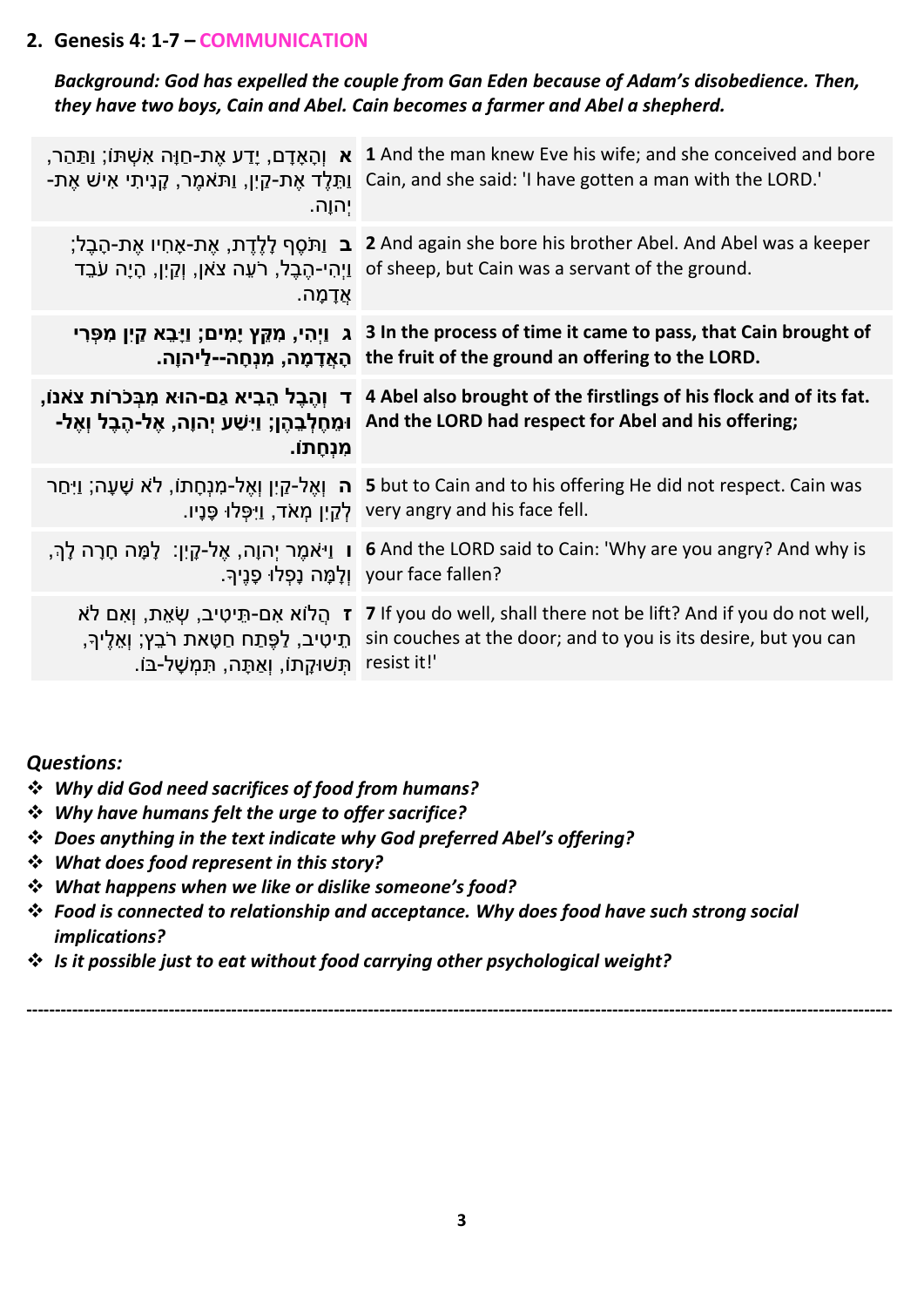#### **2. Genesis 4: 1-7 – COMMUNICATION**

*Background: God has expelled the couple from Gan Eden because of Adam's disobedience. Then, they have two boys, Cain and Abel. Cain becomes a farmer and Abel a shepherd.*

| ַתֲהַר, I And the man knew Eve his wife; and she conceived and bore<br>ַיְתֵּלֶד אֶת-קַיִן, וַתּאמֶר, קְנִיתִי אִישׁ אֶת-Dain, and she said: 'I have gotten a man with the LORD.'                        |
|----------------------------------------------------------------------------------------------------------------------------------------------------------------------------------------------------------|
| ֹב וַתֹּסֵף לָלֵדֶת, אֶת-אָחִיו אֶת-הָבֶל; 2 And again she bore his brother Abel. And Abel was a keeper<br>יַהִי-הֶבֶל, רֹעֵה צֹאן, וְקַיִן, הָיָה עֹבֶד of sheep, but Cain was a servant of the ground. |
| ג וַיְהִי, מִקֵּץ יָמִים; וַיָּבֵא קַיִן מִפְּרִי 3 In the process of time it came to pass, that Cain brought of<br>הָאֲדָמָה, מִנְחָה--לַיהוָה. the fruit of the ground an offering to the LORD.        |
| ד וְהֶבֶל הֵבִיא גַם-הוּא מִבְּכֹרוֹת צֹאנוֹ, 4 Abel also brought of the firstlings of his flock and of its fat.                                                                                         |
| וּמֵחֶלְבֵהֶן; וַיִּשַׁע יְהוָה, אֶל-הֶבֶל וְאֶל- And the LORD had respect for Abel and his offering;                                                                                                    |
| <b>5</b> but to Cain and to his offering He did not respect. Cain was <b>ה</b> וְאֶל-מַנְחָתוֹ, לֹא שָׁעָה; וַיִּחַר<br>יְפָלוּ פָּנָיו. very angry and his face fell.                                   |
| ן וַיֹּאמֶר יְהוָה, אֶל-קָיִן: ۖ לָמָּה חָרָה לָךְ, I G And the LORD said to Cain: 'Why are you angry? And why is<br>your face fallen? וְלָמָה נָפְלוּ פָנֵיךָ.                                          |
| יִהוָה.<br>ּאַדָמָה.                                                                                                                                                                                     |

#### *Questions:*

- ❖ *Why did God need sacrifices of food from humans?*
- ❖ *Why have humans felt the urge to offer sacrifice?*
- ❖ *Does anything in the text indicate why God preferred Abel's offering?*
- ❖ *What does food represent in this story?*
- ❖ *What happens when we like or dislike someone's food?*
- ❖ *Food is connected to relationship and acceptance. Why does food have such strong social implications?*
- ❖ *Is it possible just to eat without food carrying other psychological weight?*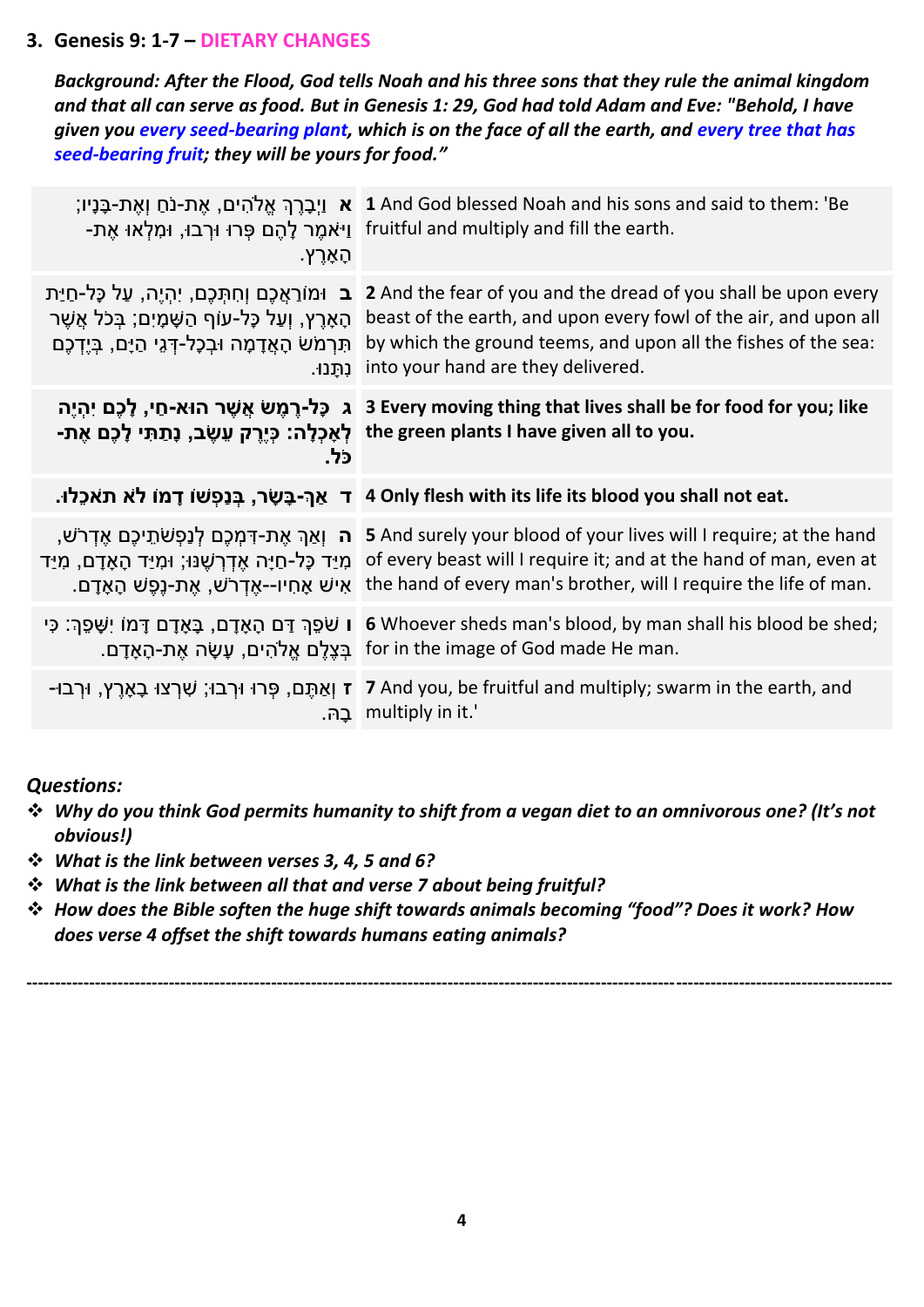#### **3. Genesis 9: 1-7 – DIETARY CHANGES**

*Background: After the Flood, God tells Noah and his three sons that they rule the animal kingdom and that all can serve as food. But in Genesis 1: 29, God had told Adam and Eve: "Behold, I have given you every seed-bearing plant, which is on the face of all the earth, and every tree that has seed-bearing fruit; they will be yours for food."*

| ָהָאָרֶץ.                                                                                                                                                                              | ָיִבְרֶךְ אֱלֹהִים, אֶת-נֹחַ וְאֶת-בָּנָיו; 1 And God blessed Noah and his sons and said to them: 'Be<br>וַיֹּאמֵר לְהֶם פְּרוּ וּרְבוּ, וּמִלְאוּ אֶת- fruitful and multiply and fill the earth.                                                                                                                                          |
|----------------------------------------------------------------------------------------------------------------------------------------------------------------------------------------|--------------------------------------------------------------------------------------------------------------------------------------------------------------------------------------------------------------------------------------------------------------------------------------------------------------------------------------------|
| <b>ב</b> וּמוֹרַאֲכֶם וְחִתְּכֵם, יִהְיֵה, עַל כָּל-חַיַּת<br>הַאָרֵץ, וְעַל כָּל-עוֹף הַשָּׁמָיִם; בְּכֹל אֲשֶׁר<br>תִּרְמֹשׂ הָאֲדָמָה וּבְכָל-דְּגֵי הַיָם, בְּיֶדְכֶם<br>ּנִתֲנוּ. | 2 And the fear of you and the dread of you shall be upon every<br>beast of the earth, and upon every fowl of the air, and upon all<br>by which the ground teems, and upon all the fishes of the sea:<br>into your hand are they delivered.                                                                                                 |
| כל.                                                                                                                                                                                    | 3 Every moving thing that lives shall be for food for you; like ג כָּל-רֻמֵשׂ אֲשֶׁר הוּא-חַי, לָכֶם יִהְיֶה<br>-the green plants I have given all to you לְאָכְלָה: כְּיֶרֶק עֵשֶׂב, נָתַתִּי לָכֶם אֶת                                                                                                                                   |
|                                                                                                                                                                                        | ד אַךְ-בָּשָׂר, בְּנַפְשׁוֹ דָמוֹ לֹא תֹאכֶלוּ. T 4 Only flesh with its life its blood you shall not eat.                                                                                                                                                                                                                                  |
|                                                                                                                                                                                        |                                                                                                                                                                                                                                                                                                                                            |
|                                                                                                                                                                                        | ה וְאַךְ אֶת-דְּמְכֶם לְנַפְשֹׁתֵיכֶם אֱדְרֹשׁ, S And surely your blood of your lives will I require; at the hand<br>of every beast will I require it; and at the hand of man, even at מָיַד כָּל-חַיָּה אֶדְרְשֶׁנּוּ; וּמִיַד הָאָדָם, מִיַד<br>רש, אֶת-נֵפֵשׁ הָאָדָם. the hand of every man's brother, will I require the life of man. |
| ּו שֹׁפֵךְ דַּם הָאָדָם, בָּאָדָם דָּמוֹ יִשָּׁפֵךְ: כִּי                                                                                                                              | 6 Whoever sheds man's blood, by man shall his blood be shed;<br>.for in the image of God made He man בִּצֲלֵם אֱלֹהִים, עָשָׂה אֶת-הָאָדָם.                                                                                                                                                                                                |
|                                                                                                                                                                                        | יַן אֲתֶּם, פְּרוּ וּרְבוּ; שִׁרְצוּ בָאָרֶץ, וּרְבוּ- 7 And you, be fruitful and multiply; swarm in the earth, and<br>multiply in it.'                                                                                                                                                                                                    |

#### *Questions:*

- ❖ *Why do you think God permits humanity to shift from a vegan diet to an omnivorous one? (It's not obvious!)*
- ❖ *What is the link between verses 3, 4, 5 and 6?*
- ❖ *What is the link between all that and verse 7 about being fruitful?*
- ❖ *How does the Bible soften the huge shift towards animals becoming "food"? Does it work? How does verse 4 offset the shift towards humans eating animals?*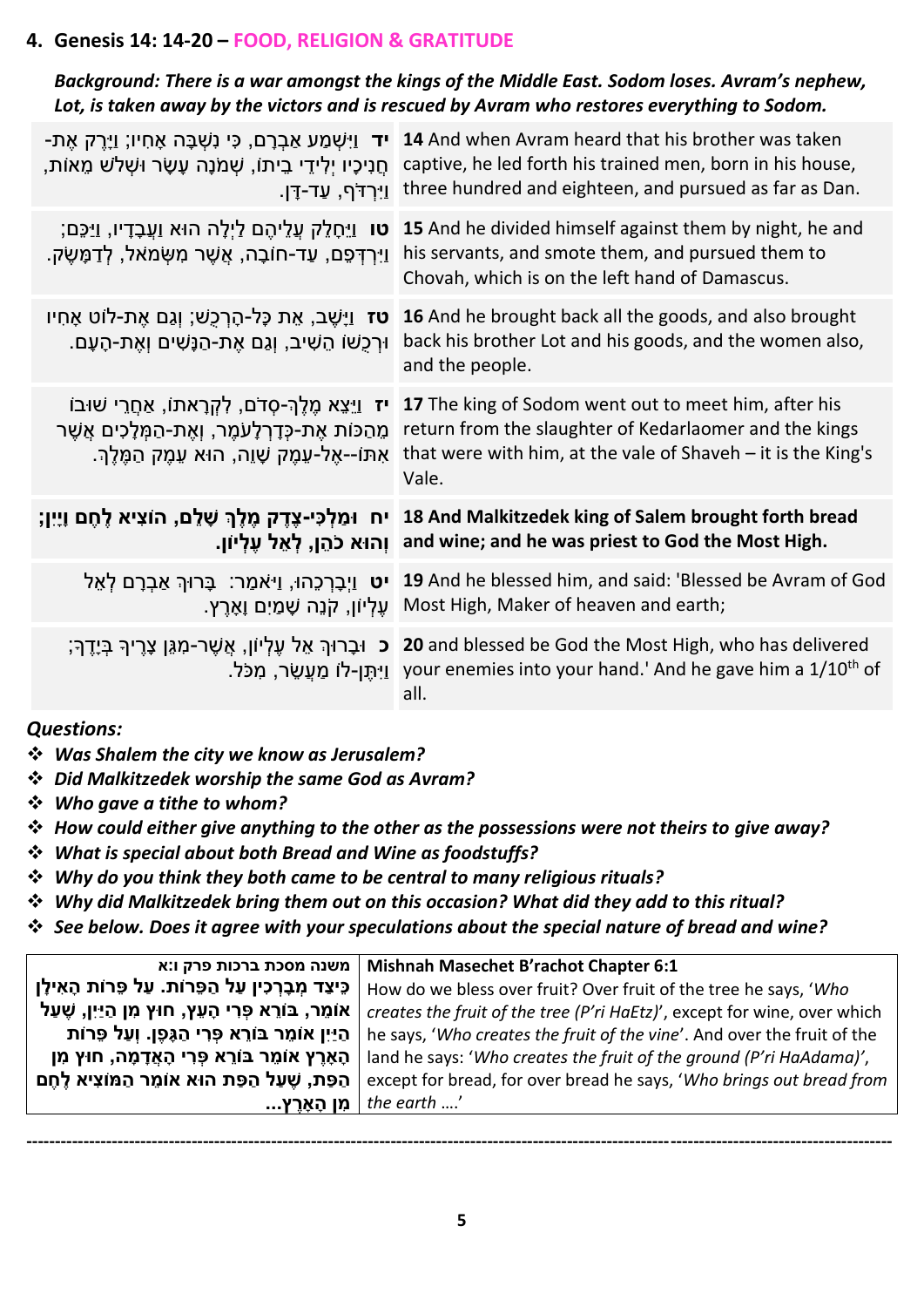## **4. Genesis 14: 14-20 – FOOD, RELIGION & GRATITUDE**

#### *Background: There is a war amongst the kings of the Middle East. Sodom loses. Avram's nephew, Lot, is taken away by the victors and is rescued by Avram who restores everything to Sodom.*

| <b>-ד</b> וַיִּשְׁמַע אַבְרָם, כִּי נִשְׁבָּה אָחִיו; וַיָּרֶק אֶת-<br>ְחֻנִיכָיו יְלִידֵי בֵיתוֹ, שָׁמֹנָה עָשָׂר וּשָׁלֹשׁ מֵאוֹת,<br><u>וי</u> ִרְדֹף, עַד-דֶּן.       | 14 And when Avram heard that his brother was taken<br>captive, he led forth his trained men, born in his house,<br>three hundred and eighteen, and pursued as far as Dan.                 |
|---------------------------------------------------------------------------------------------------------------------------------------------------------------------------|-------------------------------------------------------------------------------------------------------------------------------------------------------------------------------------------|
| <b>ָטו</b> וַיֵּחָלֵק עֲלֵיהֶם לַיְלָה הוּא וַעֲבָדָיו, וַיַּכֵּם<br>וַיִּרְדְּפֵם, עַד-חוֹבָה, אֲשֶׁר מִשְּׂמֹאל, לְדַמָּשֶׂק.                                           | 15 And he divided himself against them by night, he and<br>his servants, and smote them, and pursued them to<br>Chovah, which is on the left hand of Damascus.                            |
| <b>טז</b> וַיָּשֶׁב, אֵת כָּל-הָרְכֻשׁ; וְגַם אֶת-לוֹט אָחִיו<br>ּוּרְכָשׁוֹ הֵשִׁיב, וְגַם אֶת-הַנָּשִׁים וְאֶת-הָעָם.                                                   | 16 And he brought back all the goods, and also brought<br>back his brother Lot and his goods, and the women also,<br>and the people.                                                      |
| <b>יז</b> וַיֵּצֵא מֵלֵךְ-סָדֹם, לְקִרָאתוֹ, אַחֲרֵי שׁוּבוֹ<br>מֵהַכּוֹת אֶת-כְּדָרְלָעֹמֶר, וְאֶת-הַמְּלָכִים אֲשֶׁר<br>אִתּוֹ--אֶל-עֵמֶק שָׁוֵה, הוּא עֵמֶק הַמֶּלֶךְ. | 17 The king of Sodom went out to meet him, after his<br>return from the slaughter of Kedarlaomer and the kings<br>that were with him, at the vale of Shaveh $-$ it is the King's<br>Vale. |
| I8 And Malkitzedek king of Salem brought forth bread   יח וּמַלְכִּי-צֶדֶק מֶלֶךְ שָׁלֵם, הוֹצִיא לֶחֶם וָיֵיִן;                                                          |                                                                                                                                                                                           |
|                                                                                                                                                                           | ַוְהוּא כֹהֵן, לְאֵל עֵלְיוֹן. and wine; and he was priest to God the Most High.                                                                                                          |
| <b>יט</b> וַיָּבָרְכֵהוּ, וַי <sup>ּ</sup> אמַר: בָּרוּךְ אַבְרָם לְאֵל                                                                                                   | 19 And he blessed him, and said: 'Blessed be Avram of God<br>ַעֲלִיוֹן, קֹנֵה שְׁמַיִם µאָרֶץ. Most High, Maker of heaven and earth;                                                      |
|                                                                                                                                                                           | ָבְיִךְ בְּיָדֶךְ; Land blessed be God the Most High, who has delivered<br>ַיְּתֵּן-לוֹ מַעֲשֵׂר, מְכֹּל. your enemies into your hand.' And he gave him a 1/10 <sup>th</sup> of<br>all.   |

#### *Questions:*

- ❖ *Was Shalem the city we know as Jerusalem?*
- ❖ *Did Malkitzedek worship the same God as Avram?*
- ❖ *Who gave a tithe to whom?*
- ❖ *How could either give anything to the other as the possessions were not theirs to give away?*
- ❖ *What is special about both Bread and Wine as foodstuffs?*
- ❖ *Why do you think they both came to be central to many religious rituals?*
- ❖ *Why did Malkitzedek bring them out on this occasion? What did they add to this ritual?*
- ❖ *See below. Does it agree with your speculations about the special nature of bread and wine?*

| משנה מסכת ברכות פרק ו:א                                         | Mishnah Masechet B'rachot Chapter 6:1                                    |
|-----------------------------------------------------------------|--------------------------------------------------------------------------|
| כֵּיצַד מִבָרְכִין עַל הַפֵּרוֹת. עַל פֵרוֹת הָאִילָן           | How do we bless over fruit? Over fruit of the tree he says, 'Who         |
| אומֵר, בּוֹרֵא פָּרִי הָעֵץ, חוּץ מִן הַיַּיִן, שֶׁעַל          | creates the fruit of the tree (P'ri HaEtz)', except for wine, over which |
| <u>ן הַיַּיִן אוֹמֵר בּוֹרֵא פָּרִי הַגָּפֶן. וְעַל פֵּרוֹת</u> | he says, 'Who creates the fruit of the vine'. And over the fruit of the  |
| הָאָרֵץ אוֹמֵר בּוֹרֵא פְּרִי הָאֲדָמָה, חוּץ מִן               | land he says: 'Who creates the fruit of the ground (P'ri HaAdama)',      |
| הַפַּת, שֶׁעַל הַפֵּת הוּא אוֹמֵר הַמּוֹצִיא לֶחֶם              | except for bread, for over bread he says, 'Who brings out bread from     |
| ∣ מִן הָאָרֵץ                                                   | the earth $'$                                                            |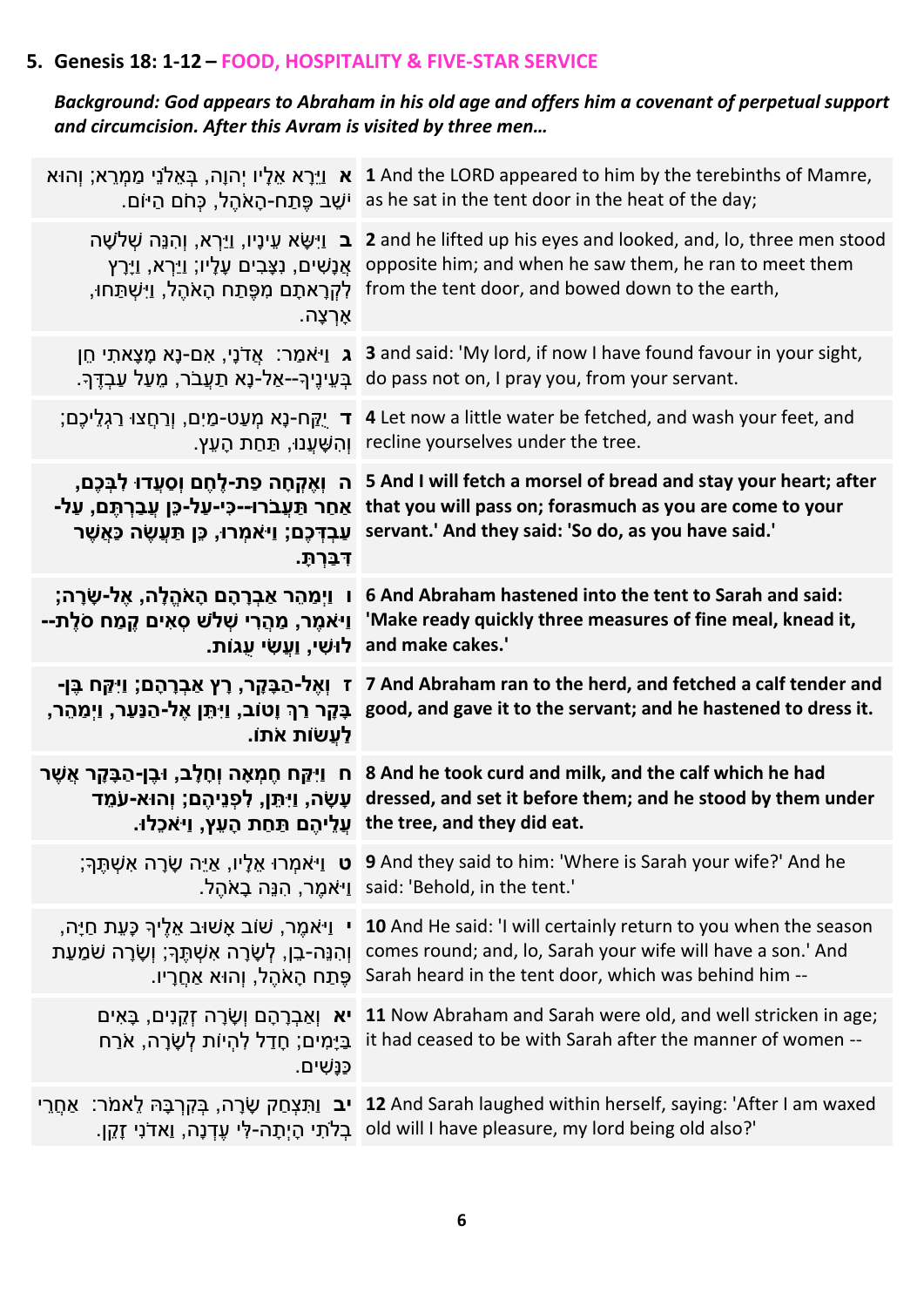## **5. Genesis 18: 1-12 – FOOD, HOSPITALITY & FIVE-STAR SERVICE**

## *Background: God appears to Abraham in his old age and offers him a covenant of perpetual support and circumcision. After this Avram is visited by three men…*

|                                                                                                                                                                      | ר א וַיֵּרָא אֵלָיו יְהוָה, בְּאֵלֹנֵי מַמְרֵא; וְהוּא 1 And the LORD appeared to him by the terebinths of Mamre,<br>as he sat in the tent door in the heat of the day; יֹשֶׁב פֶּתַח-הָאֹהֵל, כְּחֹם הַיּוֹם.                                                                    |
|----------------------------------------------------------------------------------------------------------------------------------------------------------------------|-----------------------------------------------------------------------------------------------------------------------------------------------------------------------------------------------------------------------------------------------------------------------------------|
| ַלְקְרָאתָם מְפֶּתַח הָאֹהֶל, וַיִּשְׁתַּחוּ,<br>ּאָרְצָה.                                                                                                           | ב וַיִּשָּׂא עֵינָיו, וַיַּרְא, וְהִנֵּה שָׁלֹשָׁה 2 and he lifted up his eyes and looked, and, lo, three men stood<br>אֲנָשִׁים, נְצָבִים עָלָיו; וַיַּרָא, וַיָּרֶץ opposite him; and when he saw them, he ran to meet them<br>from the tent door, and bowed down to the earth, |
|                                                                                                                                                                      | ג וַיּאמַר: אֲדֹנָי, אִם-נָא מִצְאתִי חֵן 3 and said: 'My lord, if now I have found favour in your sight,<br>ַבְּעֵינֶיךָ--אַל-נָא תַעֲבֹר, מֵעַל עַבְדֶּךְ do pass not on, I pray you, from your servant.                                                                        |
|                                                                                                                                                                      | ַרְחֲצוּ רַגְלֵיכֶם; T 4 Let now a little water be fetched, and wash your feet, and<br>ּוְהִשָּׁעֲנוּ, תַּחַת הָעֵץ. recline yourselves under the tree.                                                                                                                           |
| ֹאַחַר תַּעֲבֹרו--כִּי-עַל-כֵּן עֲבַרְתֶּם, עַל-<br>עַבְדָּכֶם; וַיאמִרוּ, כֵּן תַּעֲשֶׂה כָּאֲשֶׁר<br>דִּבְּרְתָ.                                                   | ה וְאֶקְחָה פַת-לֶחֶם וְסַעֲדוּ לִבְּכֶם, 5 And I will fetch a morsel of bread and stay your heart; after<br>that you will pass on; forasmuch as you are come to your<br>servant.' And they said: 'So do, as you have said.'                                                      |
| ֿו װַמַהֵר אַבְרָהָם הָאֹהֱלָה, אֶל-שָׂרָה;<br>ַיַּיֹאמֶר, מַהֲרִי שָׁלֹשׁ סְאִים קֵמַח סֹלֵת--<br>ַלוּשִׁי, וַעֲשִׂי עְגוֹת.                                        | 6 And Abraham hastened into the tent to Sarah and said:<br>'Make ready quickly three measures of fine meal, knead it,<br>and make cakes.'                                                                                                                                         |
| ז וְאֶל-הַבָּקָר, רָץ אַבְרָהָם; וַיִּקַּח בֶּן-<br>ָבָּקָר רַךְ וָטוֹב, וַיִּתֵּן אֶל-הַנַּעַר, וַיְמַהֵר,<br>ַלַעֲשׂות אֹתוֹ                                       | 7 And Abraham ran to the herd, and fetched a calf tender and<br>good, and gave it to the servant; and he hastened to dress it.                                                                                                                                                    |
| ּח וַיִּקַּח חֶמְאָה וְחָלָב, וּבֶן-הַבָּקָר אֲשֶׁר<br>ַעָשָׂה, וַיִּתֵּן, לְפְנֵיהֶם; וְהוּא-עֹמֶד<br>ַעֲלֵיהֶם תַּחַת הָעֵץ, וַיאֹכֶלוּ.                           | 8 And he took curd and milk, and the calf which he had<br>dressed, and set it before them; and he stood by them under<br>the tree, and they did eat.                                                                                                                              |
|                                                                                                                                                                      | ָיאמְרוּ אֵלָיו, אַיֵּה שָׂרָה אִשְׁתֵּךְ; פֿוּ 9 And they said to him: 'Where is Sarah your wife?' And he<br>_said: 'Behold, in the tent.' וַיֹּאמֵר, הִנֵּה בָאֹהֵל.                                                                                                            |
| י וַי <sup>ּ</sup> אמֶר, שׁוֹב אָשׁוּב אֵלֵיךְ כָּעֵת חַיָּה,<br>ּוְהִנֵּה <b>-בֵן, לְשָׂרָה אִשְׁתֶּךְ</b> ; וְשָׂרָה שֹׁמַעַת<br>ֶפֶּתַח הָאֹהֶל, וְהוּא אַחֲרָיו. | 10 And He said: 'I will certainly return to you when the season<br>comes round; and, lo, Sarah your wife will have a son.' And<br>Sarah heard in the tent door, which was behind him --                                                                                           |
| ְּבַּיָּמִים; חָדַל לְהִיוֹת לְשָׂרָה, אֹרַח<br>ַכַּנָּשִׁים.                                                                                                        | יא וְאַבְרָהָם וְשָׂרָה זְקֵנִים, בָּאִים 11 Now Abraham and Sarah were old, and well stricken in age;<br>it had ceased to be with Sarah after the manner of women --                                                                                                             |
| <b>ִיב</b> וַתִּצְחַק שָׂרָה, בְּקִרְבָּהּ לֵאמֹר: אַחֲרֵי                                                                                                           | 12 And Sarah laughed within herself, saying: 'After I am waxed<br>ַכְלֹתִי הָיְתָה-לְּי עֶדְנָה, וַאדֹנִי זָקֵן. old will I have pleasure, my lord being old also?'                                                                                                               |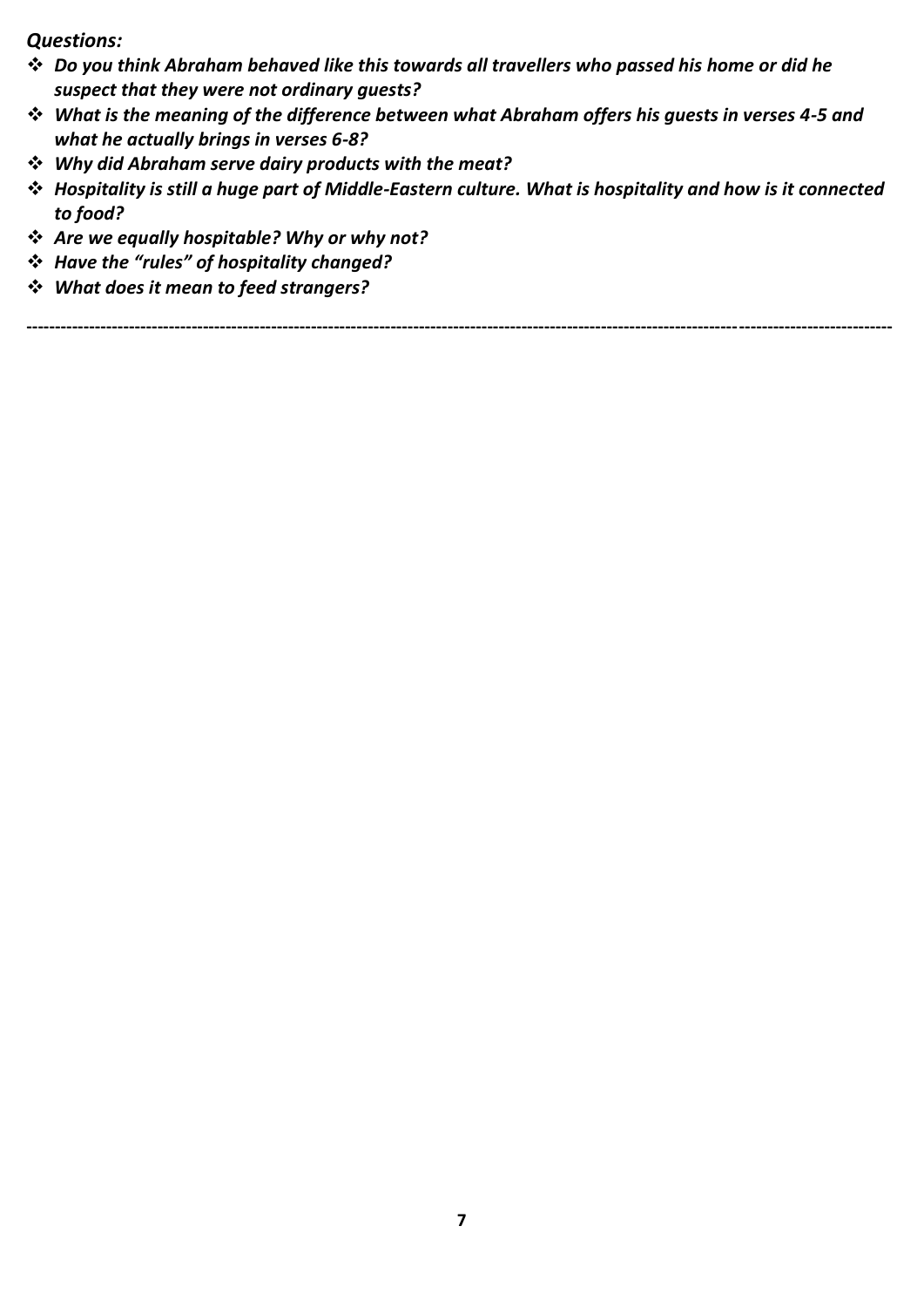*Questions:* 

- ❖ *Do you think Abraham behaved like this towards all travellers who passed his home or did he suspect that they were not ordinary guests?*
- ❖ *What is the meaning of the difference between what Abraham offers his guests in verses 4-5 and what he actually brings in verses 6-8?*
- ❖ *Why did Abraham serve dairy products with the meat?*
- ❖ *Hospitality is still a huge part of Middle-Eastern culture. What is hospitality and how is it connected to food?*
- ❖ *Are we equally hospitable? Why or why not?*
- ❖ *Have the "rules" of hospitality changed?*
- ❖ *What does it mean to feed strangers?*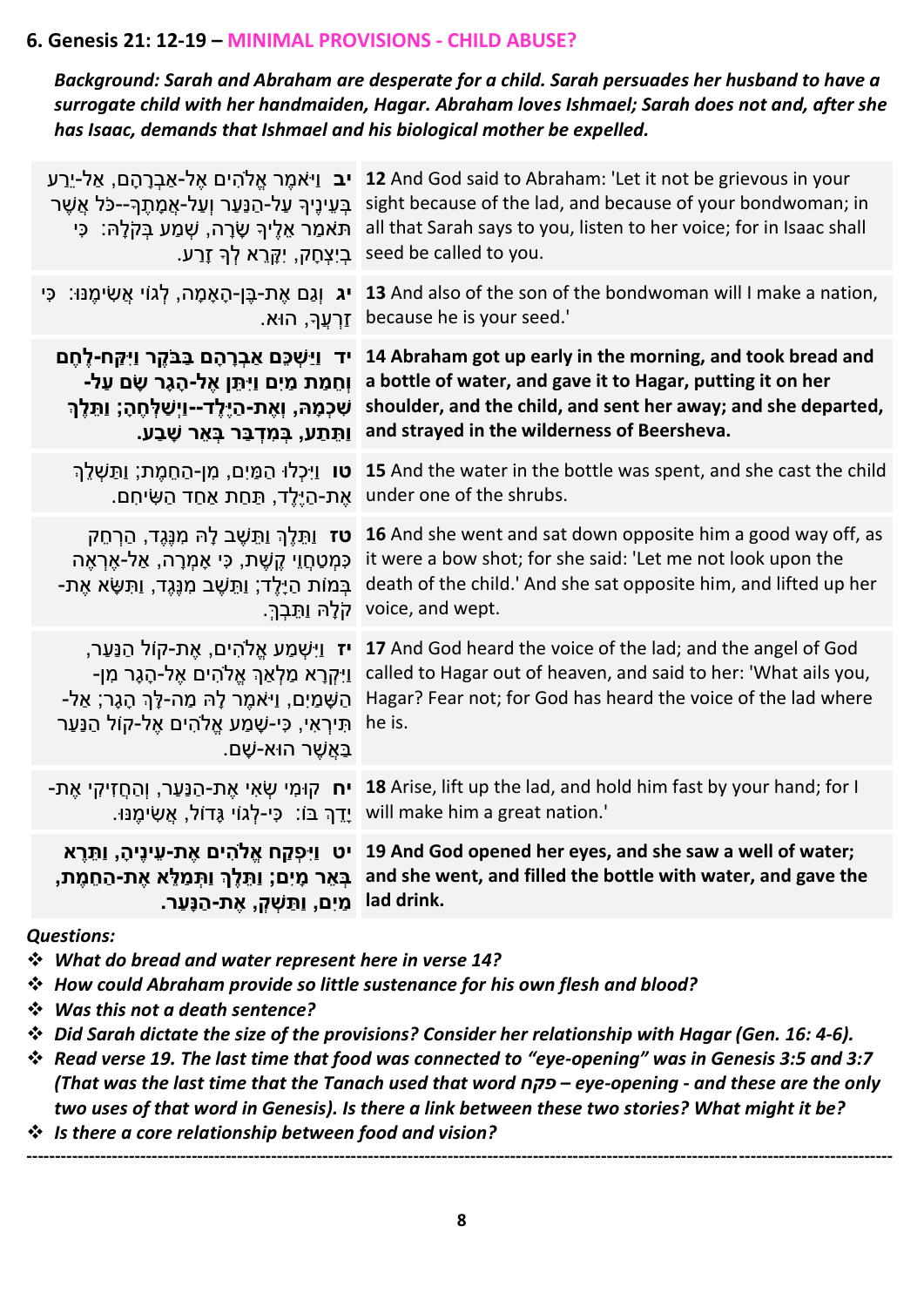#### **6. Genesis 21: 12-19 – MINIMAL PROVISIONS - CHILD ABUSE?**

*Background: Sarah and Abraham are desperate for a child. Sarah persuades her husband to have a surrogate child with her handmaiden, Hagar. Abraham loves Ishmael; Sarah does not and, after she has Isaac, demands that Ishmael and his biological mother be expelled.*

| <b>יב</b> וַיּאמֵר אֵלֹהִים אֵל-אַבְרָהָם, אַל-יֵרַע<br>ָבְּעֵינֶיךָ עַל-הַנַּעַר וְעַל-אֲמָתֶךָ--כֹּל אֲשֶׁר<br>ּתּאמַר אֵלֶיךָ שָׂרָה, שָׁמַע בְּקֹלָהּ: כִּי<br>ׁ בִיִצְחָק, יִקְרֵא לְךָ זָרַע.                                        | 12 And God said to Abraham: 'Let it not be grievous in your<br>sight because of the lad, and because of your bondwoman; in<br>all that Sarah says to you, listen to her voice; for in Isaac shall<br>seed be called to you.                                                              |
|--------------------------------------------------------------------------------------------------------------------------------------------------------------------------------------------------------------------------------------------|------------------------------------------------------------------------------------------------------------------------------------------------------------------------------------------------------------------------------------------------------------------------------------------|
| יג וְגַם אֶת-בֶּן-הָאָמָה, לְגוֹי אֲשִׂימֶנּוּ: כִּי<br>ַזַרְעֲךָּ, הוּא.                                                                                                                                                                  | 13 And also of the son of the bondwoman will I make a nation,<br>because he is your seed.'                                                                                                                                                                                               |
| יד ניַשְׁכֵּם אַבְרָהָם בַּבֹּקֵר וַיִּקֵּח-לֶחֶם<br>וְחֵמַת מַיִם וַיִּתֵּן אֶל-הָגָר שָׂם עַל-<br>שִׁכְמָהּ, וְאֶת-הַיֶּלֶד--וַיְשַׁלְחֶהָ; וַתֵּלֶךְ<br>ַוְתֵּתַע, בִּמִדְבַּר בָּאֵר שָׁבַע.                                           | 14 Abraham got up early in the morning, and took bread and<br>a bottle of water, and gave it to Hagar, putting it on her<br>shoulder, and the child, and sent her away; and she departed,<br>and strayed in the wilderness of Beersheva.                                                 |
| ֹאֶת-הַיֵּלֶד, תַּחַת אַחַד הַשִּׂיחִם.                                                                                                                                                                                                    | וּתַשְׁלֵךְ (עוֹ בְּמַיָם, מִן-הַחֶמֶת; וַתַּשְׁלֵךְ 15 And the water in the bottle was spent, and she cast the child<br>under one of the shrubs.                                                                                                                                        |
| ְכָּמְטַחֲוֵי קֵשֶׁת, כִּי אָמְרָה, אַל-אֵרְאֶה<br>ַבְּמוֹת הַיָּלֶד; וַתֵּשֶׁב מִנֶּגֶד, וַתִּשָּׂא אֶת-                                                                                                                                  | פ <b>ז</b> וַתֵּלֶךְ וַתֵּשֶׁב לָהּ מִנֶּגֶד, הַרְחֵק 16 And she went and sat down opposite him a good way off, as<br>it were a bow shot; for she said: 'Let me not look upon the<br>death of the child.' And she sat opposite him, and lifted up her<br>.voice, and wept קלָהּ וַתֱבְךָ |
| יז וַיִּשְׁמַע אֱלֹהִים, אֶת-קוֹל הַנַּעַר,<br>ַוַיִּקְרָא מַלְאַךְ אֱלֹהִים אֶל-הָגָר מִן-<br>הַשָּׁמַיִם, וַי <sup>ָּ</sup> אמֶר לָהּ מַה-לָךְ הָגָר; אַל-<br>תִּירְאִי, כִּי-שָׁמַע אֱלֹהִים אֶל-קוֹל הַנַּעַר<br>ַבַּאֲשֶׁר הוּא-שָׁם. | 17 And God heard the voice of the lad; and the angel of God<br>called to Hagar out of heaven, and said to her: 'What ails you,<br>Hagar? Fear not; for God has heard the voice of the lad where<br>he is.                                                                                |
|                                                                                                                                                                                                                                            | ויח קוּמִי שְׂאִי אֶת-הַנַּעַר, וְהַחֲזִיקִי אֶת- sa Arise, lift up the lad, and hold him fast by your hand; for I<br>.will make him a great nation. יְדֵךְ בּוֹ: כִּי-לְגוֹי גָּדוֹל, אֲשִׂימֶנּוּ.                                                                                     |
| ן lad drink. מֵיִם, וַתַּשְׁקָ, אֶת-הַנָּעַר.                                                                                                                                                                                              | יט וַיִּפְקַח אֱלֹהִים אֶת-עֵינֶיהָ, וַתֵּרֵא 19 And God opened her eyes, and she saw a well of water;<br>ְהַמָּלֶךְ וַתְּמַלֵּא אֶת-הַחֵמֶת, and she went, and filled the bottle with water, and gave the                                                                               |
| <b>Questions:</b><br>Ve What do bread and water represent here in verse 14?                                                                                                                                                                | V How could Abraham provide so little sustenance for his own flesh and blood?                                                                                                                                                                                                            |

- ❖ *Was this not a death sentence?*
- ❖ *Did Sarah dictate the size of the provisions? Consider her relationship with Hagar (Gen. 16: 4-6).*
- ❖ *Read verse 19. The last time that food was connected to "eye-opening" was in Genesis 3:5 and 3:7 (That was the last time that the Tanach used that word פקח – eye-opening - and these are the only two uses of that word in Genesis). Is there a link between these two stories? What might it be?*
- ❖ *Is there a core relationship between food and vision?*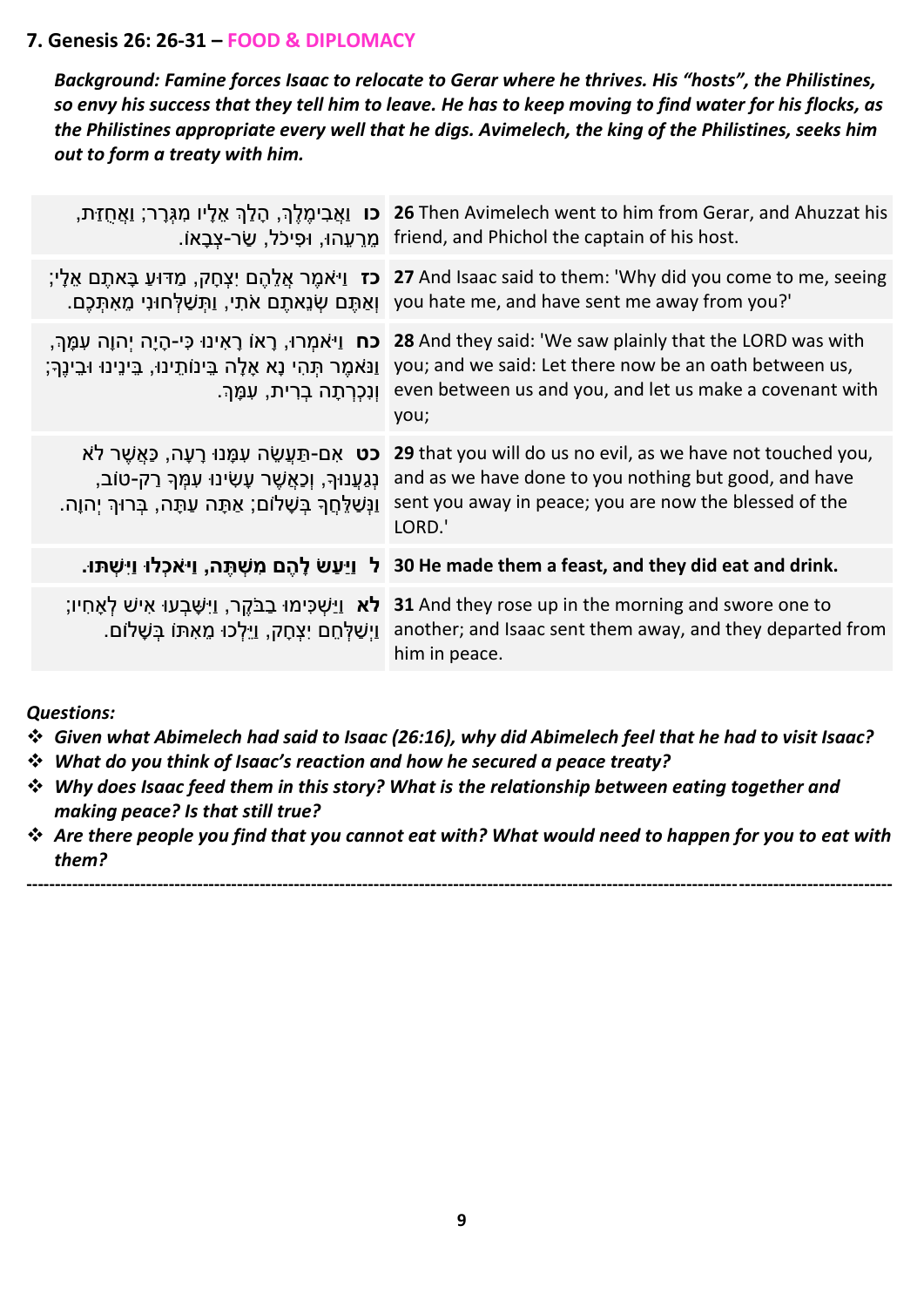#### **7. Genesis 26: 26-31 – FOOD & DIPLOMACY**

*Background: Famine forces Isaac to relocate to Gerar where he thrives. His "hosts", the Philistines, so envy his success that they tell him to leave. He has to keep moving to find water for his flocks, as the Philistines appropriate every well that he digs. Avimelech, the king of the Philistines, seeks him out to form a treaty with him.*

|                                                                                                                                                                              | ת, הַלַךְ אֵלְיו מִגְּרָר; וַאֲחֻזַּת, Z6 Then Avimelech went to him from Gerar, and Ahuzzat his<br>.friend, and Phichol the captain of his host. מֵרֵעֲהוּ, וּפִיכֹל, שַׂר-צְבָאוֹ                                                                                                  |
|------------------------------------------------------------------------------------------------------------------------------------------------------------------------------|--------------------------------------------------------------------------------------------------------------------------------------------------------------------------------------------------------------------------------------------------------------------------------------|
|                                                                                                                                                                              | ָבָאתֶם יִצְחָק, מַדּוּעַ בָּאתֶם אֵלֶי; <b>Z7</b> And Isaac said to them: 'Why did you come to me, seeing<br>יְמַאַתְּם אֹתִי, וַתְּשַׁלְחוּנִי מֵאִתְּכֶם. you hate me, and have sent me away from you?'                                                                           |
| <b>ָכח</b> וַיּאמִרוּ, רָאוֹ רָאִינוּ כִּי-הָיָה יְהוָה עִמָּךְ,                                                                                                             | 28 And they said: 'We saw plainly that the LORD was with<br>ַןְנַּאמֶר תְּהִי נָא אָלָה בֵּינוֹתֵינוּ, בֵּינֵינוּ וּבֵינֵךְ; gou; and we said: Let there now be an oath between us,<br>וְנָכְרְתָה בְרִית, עִמָּךְ. even between us and you, and let us make a covenant with<br>you; |
| <b>כט</b> אָם-תַּעֲשֶׂה עִמָּנוּ רָעָה, כַּאֲשֶׁר לֹא<br>נְגַעֲנוּךָ, וְכַאֲשֶׁר עָשִׂינוּ עִמְּךְ רַק-טוֹב,<br>ַוַּנְשַׁלֵּחֲךָ בְּשָׁלוֹם; אַתָּה עַתָּה, בְּרוּךְ יְהוָה. | 29 that you will do us no evil, as we have not touched you,<br>and as we have done to you nothing but good, and have<br>sent you away in peace; you are now the blessed of the<br>LORD.'                                                                                             |
|                                                                                                                                                                              |                                                                                                                                                                                                                                                                                      |
|                                                                                                                                                                              | . ווישתו. I 30 He made them a feast, and they did eat and drink. إי שְׁתַּה, וַיּאֹכְלוּ וַיִּשְׁתּוּ                                                                                                                                                                                |
| <b>ָלא</b> וַיַּשְׁכִּימוּ בַבֹּקֵר, וַיִּשָּׁבָעוּ אִישׁ לְאָחִיו<br>ַוַיִשַׁלְחֵם יִצְחָק, וַיֵּלְכוּ מֶאָתּוֹ בִּשָׁלוֹם.                                                 | 31 And they rose up in the morning and swore one to<br>another; and Isaac sent them away, and they departed from<br>him in peace.                                                                                                                                                    |

*Questions:* 

- ❖ *Given what Abimelech had said to Isaac (26:16), why did Abimelech feel that he had to visit Isaac?*
- ❖ *What do you think of Isaac's reaction and how he secured a peace treaty?*
- ❖ *Why does Isaac feed them in this story? What is the relationship between eating together and making peace? Is that still true?*
- ❖ *Are there people you find that you cannot eat with? What would need to happen for you to eat with them?*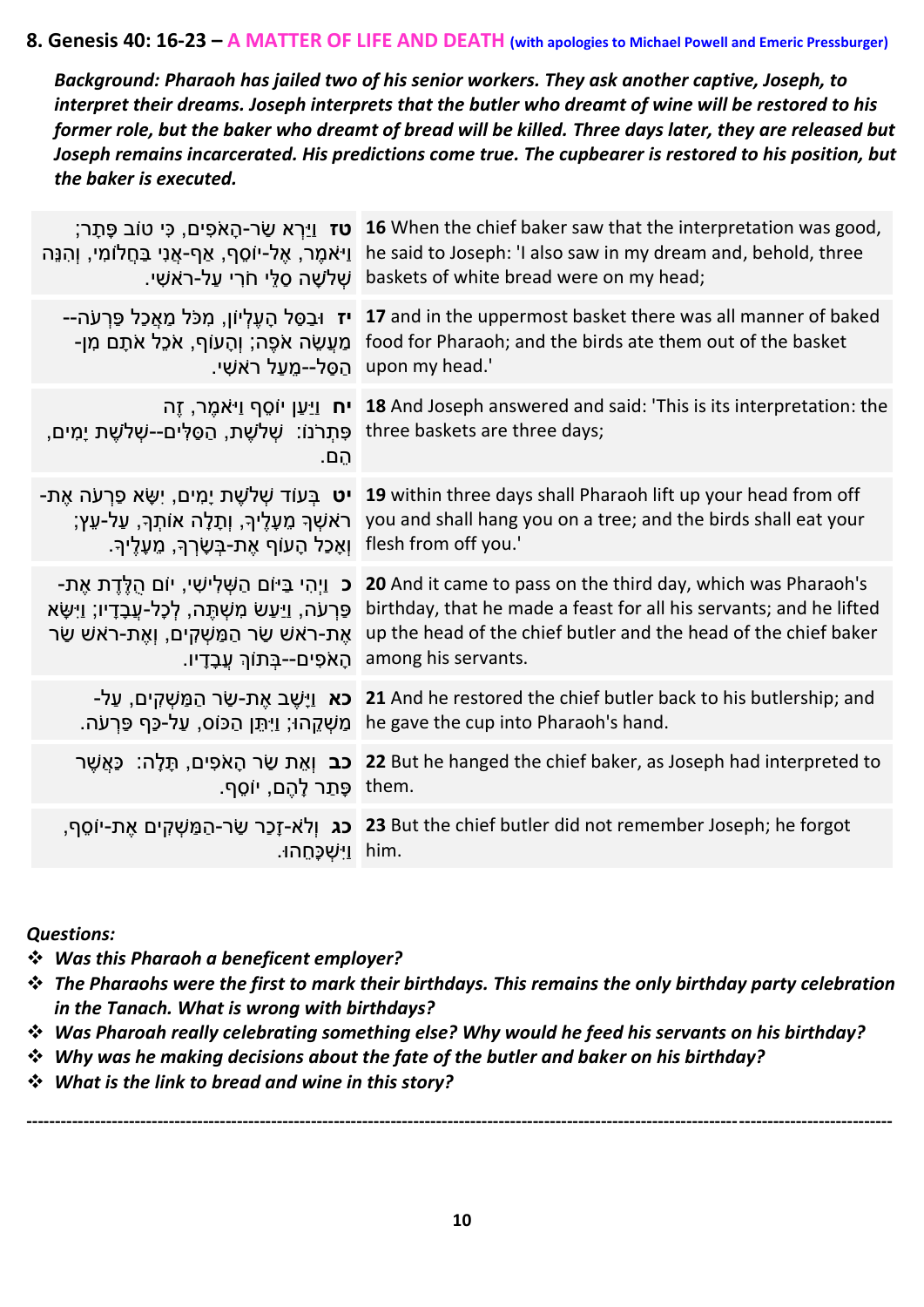#### **8. Genesis 40: 16-23 – A MATTER OF LIFE AND DEATH (with apologies to Michael Powell and Emeric Pressburger)**

*Background: Pharaoh has jailed two of his senior workers. They ask another captive, Joseph, to interpret their dreams. Joseph interprets that the butler who dreamt of wine will be restored to his former role, but the baker who dreamt of bread will be killed. Three days later, they are released but Joseph remains incarcerated. His predictions come true. The cupbearer is restored to his position, but the baker is executed.* 

| ָ <b>טז</b> וַיַּרְא שַׂר-הָאֹפִים, כִּי טוֹב פֶּתָר<br><u>ו</u> יאמֶר, אֵל-יוֹסֵף, אַף-אֲנִי בַּחֲלוֹמִי, וְהִנֵּה<br>ֹשָׁלֹשָׁה סַלֵּי חֹרִי עַל-רֹאשִׁי.                                                 | 16 When the chief baker saw that the interpretation was good,<br>he said to Joseph: 'I also saw in my dream and, behold, three<br>baskets of white bread were on my head;                                                    |
|-------------------------------------------------------------------------------------------------------------------------------------------------------------------------------------------------------------|------------------------------------------------------------------------------------------------------------------------------------------------------------------------------------------------------------------------------|
| <b>יז</b> וּבַסַּל הָעֵלִיוֹן, מִכֹּל מַאֲכַל פַּרְעֹה--<br>ַמַּעֲשֶׂה אֹפֶה; וְהָעוֹף, אֹכֵל אֹתָם מִן-<br>_upon my head.' הַסֵּל--מֵעַל רֹאשִׁי.                                                          | 17 and in the uppermost basket there was all manner of baked<br>food for Pharaoh; and the birds ate them out of the basket                                                                                                   |
| ְפָתְרֹנוֹ: שָׁלֹשֶׁת, הַסַּלְים--שָׁלֹשֵׁת יָמִים, three baskets are three days;<br>הֵם.                                                                                                                   | ית וַיַּעַן יוֹסֵף וַיּאמֵר, זֵה <b>18</b> And Joseph answered and said: 'This is its interpretation: the                                                                                                                    |
| ָראשׁךָ מֶעָלֵיךְ, וְתָלָה אוֹתָךָ, עַל-עֵץ<br>וְאָכַל הָעוֹף אֶת-בַּשָׂרִךְּ, מֶעָלֵיךָ.                                                                                                                   | <b>יט</b> בְּעוֹד שְׁלֹשֶׁת יָמִים, יְשָׂא פַרְעֹה אֵת- <b>19</b> within three days shall Pharaoh lift up your head from off<br>you and shall hang you on a tree; and the birds shall eat your<br>flesh from off you.'       |
| <b>ָּכ</b> ּ וַיְהִי בַּיּוֹם הַשָּׁלִישִׁי, יוֹם הֻלֵּדֵת אֶת-<br>פַּרְעֹה, וַיַּעַשׂ מִשְׁתֶּה, לְכָל-עֲבָדָיו; וַיִּשָּׂא<br>אֵת-ראשׁ שַׂר הַמַּשִׁקִים, וְאֶת-ראשׁ שַׂר<br>הָאֹפִים--בְּתוֹךְ עֲבָדָיו. | 20 And it came to pass on the third day, which was Pharaoh's<br>birthday, that he made a feast for all his servants; and he lifted<br>up the head of the chief butler and the head of the chief baker<br>among his servants. |
| <b>-כא</b> וַיָּשֵׁב אֶת-שַׂר הַמַּשִׁקִים, עַל<br>ּמַשְׁקֵהוּ; וַיְּתֵּן הַכּוֹס, עַל-כַּף פַּרְעֹה.                                                                                                       | 21 And he restored the chief butler back to his butlership; and<br>he gave the cup into Pharaoh's hand.                                                                                                                      |
| ָּתַר לְהֶם, יוֹסֵף. them.                                                                                                                                                                                  | 22 But he hanged the chief baker, as Joseph had interpreted to <b>כב</b> וְאֵת שַׂר הָאֹפִים, תָּלֶה: כַּאֲשֵׁר                                                                                                              |
| ַ him. וַיִּשְׁכָּחֵהוּ                                                                                                                                                                                     | ,פר ישׂר-הַמַּשְׁקִים אֶת-יוֹסֵף, <b>23</b> But the chief butler did not remember Joseph; he forgot                                                                                                                          |

*Questions:* 

❖ *Was this Pharaoh a beneficent employer?* 

- ❖ *The Pharaohs were the first to mark their birthdays. This remains the only birthday party celebration in the Tanach. What is wrong with birthdays?*
- ❖ *Was Pharoah really celebrating something else? Why would he feed his servants on his birthday?*
- ❖ *Why was he making decisions about the fate of the butler and baker on his birthday?*
- ❖ *What is the link to bread and wine in this story?*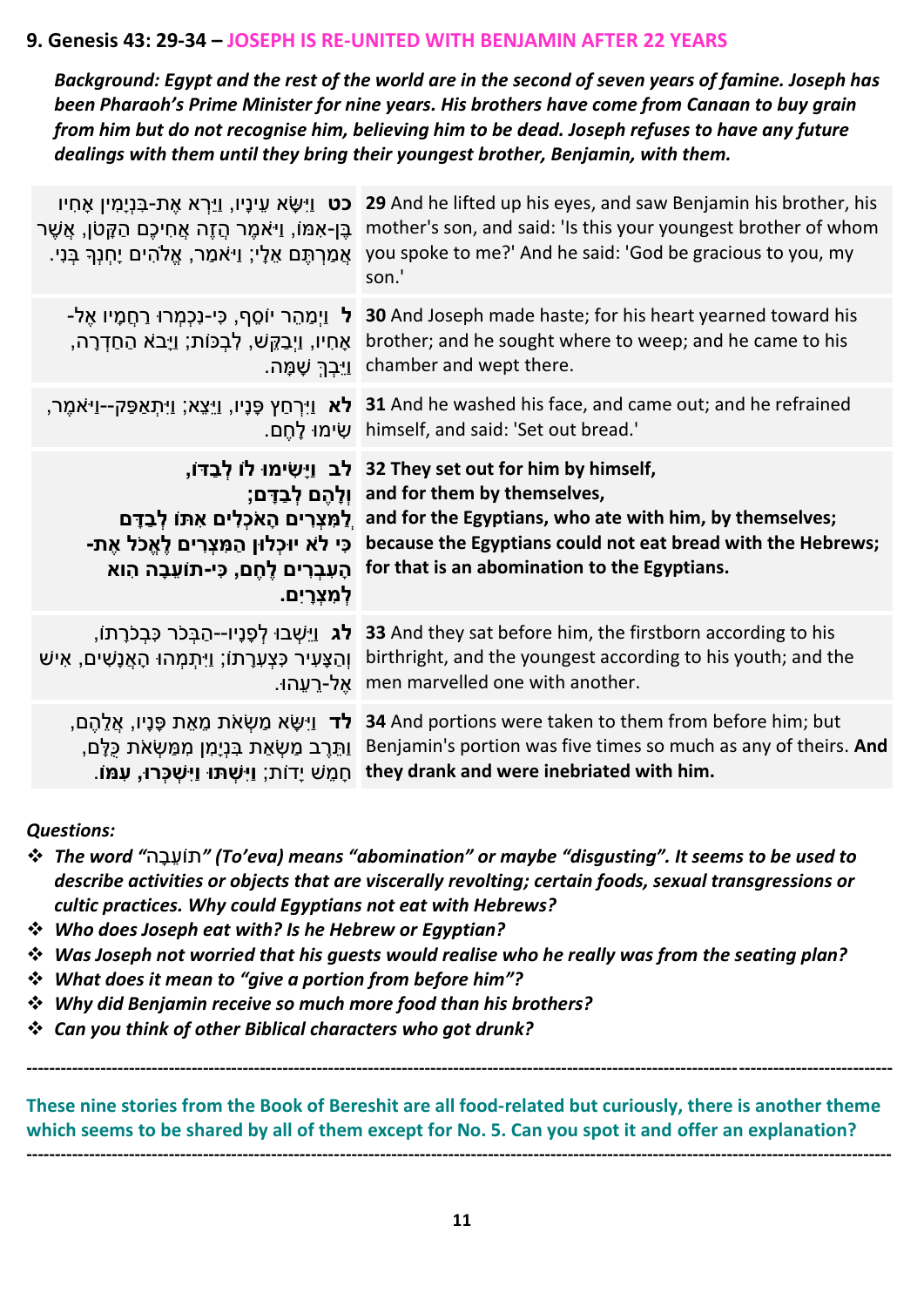#### **9. Genesis 43: 29-34 – JOSEPH IS RE-UNITED WITH BENJAMIN AFTER 22 YEARS**

*Background: Egypt and the rest of the world are in the second of seven years of famine. Joseph has been Pharaoh's Prime Minister for nine years. His brothers have come from Canaan to buy grain from him but do not recognise him, believing him to be dead. Joseph refuses to have any future dealings with them until they bring their youngest brother, Benjamin, with them.* 

| <b>כט</b> וַיִּשָׂא עֵינָיו, וַיַּרְא אֶת-בִּנְיָמִין אָחִיו<br>ַבֶּן-אִמּוֹ, וַי <sup>ּ</sup> אמֶר הֲזֶה אֲחִיכֶם הַקֵּטֹן, אֲשֶׁר<br>ּאֲמַרְתֵּם אֵלָי; וַי <sup>ָּ</sup> אמַר, אֱלֹהִים יָחִנְךָּ בְּנִי. | 29 And he lifted up his eyes, and saw Benjamin his brother, his<br>mother's son, and said: 'Is this your youngest brother of whom<br>you spoke to me?' And he said: 'God be gracious to you, my<br>son.'                                                                                                                           |
|--------------------------------------------------------------------------------------------------------------------------------------------------------------------------------------------------------------|------------------------------------------------------------------------------------------------------------------------------------------------------------------------------------------------------------------------------------------------------------------------------------------------------------------------------------|
| <b>ל</b> וַיִמַהֵר יוֹסֵף, כִּי-נִכְמָרוּ רַחֲמָיו אֵל-<br>אָחִיו, וַיְבַקֵּשׁ, לְבְכּוֹת; וַיָּבֹא הַחַדְרָה,                                                                                               | <b>30</b> And Joseph made haste; for his heart yearned toward his<br>brother; and he sought where to weep; and he came to his<br>_chamber and wept there. וַיֵּבְךָ שָׁמָּה.                                                                                                                                                       |
|                                                                                                                                                                                                              | יאמֶר, [ניו, נַיֵּצֵא; נַיִּתְאַפַּק--נַיּאֹמֶר, 31 And he washed his face, and came out; and he refrained<br>_bimself, and said: 'Set out bread.' שִׂימוּ לָחֵם.                                                                                                                                                                  |
| -כִּי לֹא יוּכָלוּן הַמְּצְרִים לָאֱכֹל אֶת<br>הָעִבְרִים לֵחֶם, כִּי-תוֹעֵבָה הִוא<br>לִמְצְרַיִם.                                                                                                          | ,32 They set out for him by himself לב וַיָּשִׂימוּ לוֹ לְבַדּוֹ<br>;וְלָהֶם לְבַדָּם; and for them by themselves,<br>לַמְצְרִים הָאֹכְלִים אִתּוֹ לְבַדָּם and for the Egyptians, who ate with him, by themselves;<br>because the Egyptians could not eat bread with the Hebrews;<br>for that is an abomination to the Egyptians. |
| <b>לג</b> וַיֵּשְׁבוּ לְפָנָיו--הַבָּכֹר כְּבָכֹרָתוֹ,<br>ּוְהַצָּעִיר כִּצְעָרָתוֹ; וַיִּתְמְהוּ הָאֲנָשִׁים, אִישׁ<br>ּאֵל-רֵעֲהוּ.                                                                        | 33 And they sat before him, the firstborn according to his<br>birthright, and the youngest according to his youth; and the<br>men marvelled one with another.                                                                                                                                                                      |
| ָ <b>לד</b> וַיִּשָּׂא מַשְׂאֹת מֵאֵת פָּנָיו, אֲלֵהֵם,<br>ַוְתֵּרֵב מַשְׂאַת בִּנְיָמִן מִמַּשְׂאֹת כַּלְם,<br>ּחָמֶשׁ יָדוֹת; <b>וַיִּשְׁתּוּ וַיִּשְׁכָּרוּ, עִמּוֹ</b> .                                 | 34 And portions were taken to them from before him; but<br>Benjamin's portion was five times so much as any of theirs. And<br>they drank and were inebriated with him.                                                                                                                                                             |

#### *Questions:*

- ❖ *The word "*ה ָּבֵועֹת*) "To'eva) means "abomination" or maybe "disgusting". It seems to be used to describe activities or objects that are viscerally revolting; certain foods, sexual transgressions or cultic practices. Why could Egyptians not eat with Hebrews?*
- ❖ *Who does Joseph eat with? Is he Hebrew or Egyptian?*
- ❖ *Was Joseph not worried that his guests would realise who he really was from the seating plan?*
- ❖ *What does it mean to "give a portion from before him"?*
- ❖ *Why did Benjamin receive so much more food than his brothers?*
- ❖ *Can you think of other Biblical characters who got drunk?*

**These nine stories from the Book of Bereshit are all food-related but curiously, there is another theme which seems to be shared by all of them except for No. 5. Can you spot it and offer an explanation? --------------------------------------------------------------------------------------------------------------------------------------------------------**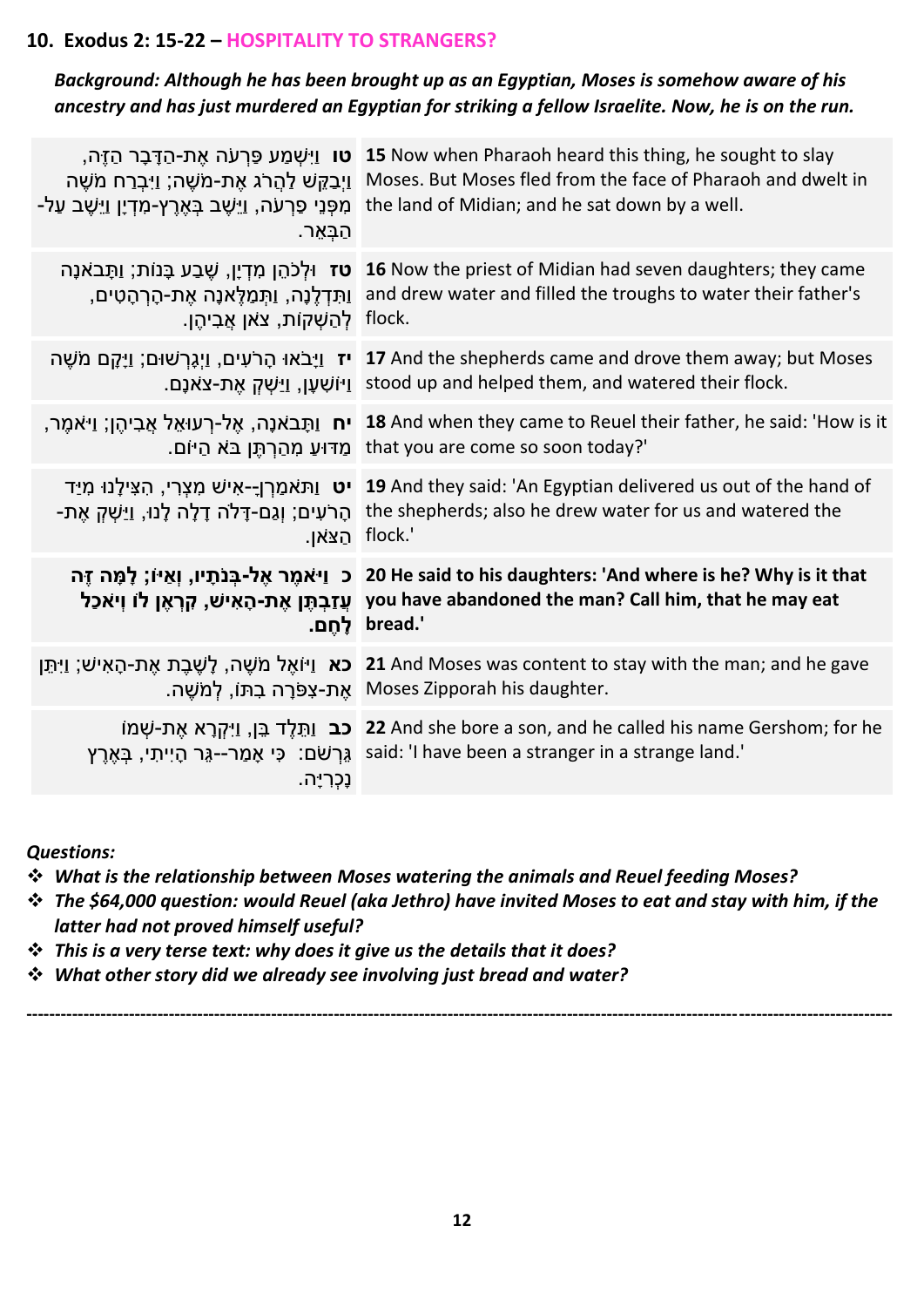## **10. Exodus 2: 15-22 – HOSPITALITY TO STRANGERS?**

#### *Background: Although he has been brought up as an Egyptian, Moses is somehow aware of his ancestry and has just murdered an Egyptian for striking a fellow Israelite. Now, he is on the run.*

| ּמִפְּנֵי פַּרְעֹה, וַיֵּשֶׁב בְּאֶרֶץ-מִדְיָן וַיֵּשֶׁב עַל-<br>הַבָּאֵר. | ר הַדֶּבָר הַזֶּה, <b>15</b> Now when Pharaoh heard this thing, he sought to slay<br>ןֵיָבַקֵּשׁ לַהֲרֹג אֶת-מֹשֶׁה; וַיָּבְרַח מֹשֶׁה Moses. But Moses fled from the face of Pharaoh and dwelt in<br>the land of Midian; and he sat down by a well. |
|----------------------------------------------------------------------------|------------------------------------------------------------------------------------------------------------------------------------------------------------------------------------------------------------------------------------------------------|
| ּלְהַשָּׁקוֹת, צֹאן אֲבִיהֵן. flock.                                       | ילְכֹהֵן מִדְיָן, שֶׁבַע בָּנוֹת; וַתָּבאֹנָה <b>16</b> Now the priest of Midian had seven daughters; they came<br>ַוְתִּדְלֶנָה, וַתְּמַלֶּאנָה אֶת-הָרְהָטִים, and drew water and filled the troughs to water their father's                       |
|                                                                            | יז וַיָּבֹאוּ הָרֹעִים, וַיְגָרְשׁוּם; וַיָּקָם מֹשֶׁה 17 And the shepherds came and drove them away; but Moses<br>וַיּוֹשָׁעָן, וַיַּשְׁקָ אֶת-צֹאֹנָם. stood up and helped them, and watered their flock.                                          |
|                                                                            | יח וַתְּבֹאנָה, אֶל-רְעוּאֵל אֲבִיהֶן; וַיּאֹמֶר, "18 And when they came to Reuel their father, he said: 'How is it<br>_that you are come so soon today?' מַדוּעַ מְהַרְתֵּן בֹּא הַיּוֹם.                                                           |
|                                                                            | יט וַתּאמַרְןָ-אִישׁ מִצְרִי, הִצִּילָנוּ מִיַד 19 And they said: 'An Egyptian delivered us out of the hand of<br>הָרֹעִים; וְגַם-דָּלֹה דָלָה לְנוּ, וַיַּשְׁקְ אֶת- the shepherds; also he drew water for us and watered the<br>הצאן. flock.'      |
|                                                                            | כ נֵיאמֶר אֶל-בְּנֹתָיו, וְאַיּוֹ; לָמָּה זֶה 20 He said to his daughters: 'And where is he? Why is it that<br>עֲזַבְתֶּן אֶת-הָאִישׁ, קְרָאֶן לוֹ וְיאֹכַל you have abandoned the man? Call him, that he may eat<br>'.bread לחם.                    |
|                                                                            | יַתֵּן [עֵרָ עֻת-הָאִישׁ; וַיִּתֵּן 21 And Moses was content to stay with the man; and he gave<br>.Moses Zipporah his daughter אֵת-צְפֹּרָה בִתּוֹ, לְמֹשֶׁה.                                                                                        |
| נֶכְרְיָה.                                                                 | ine called his name Gershom; for he <b>22 And she bore a son, and he called his name Gershom; for he</b><br>יְהִי, בְּאֶרֶץ said: 'I have been a stranger in a strange land.'                                                                        |

*Questions:* 

- ❖ *What is the relationship between Moses watering the animals and Reuel feeding Moses?*
- ❖ *The \$64,000 question: would Reuel (aka Jethro) have invited Moses to eat and stay with him, if the latter had not proved himself useful?*

- ❖ *This is a very terse text: why does it give us the details that it does?*
- ❖ *What other story did we already see involving just bread and water?*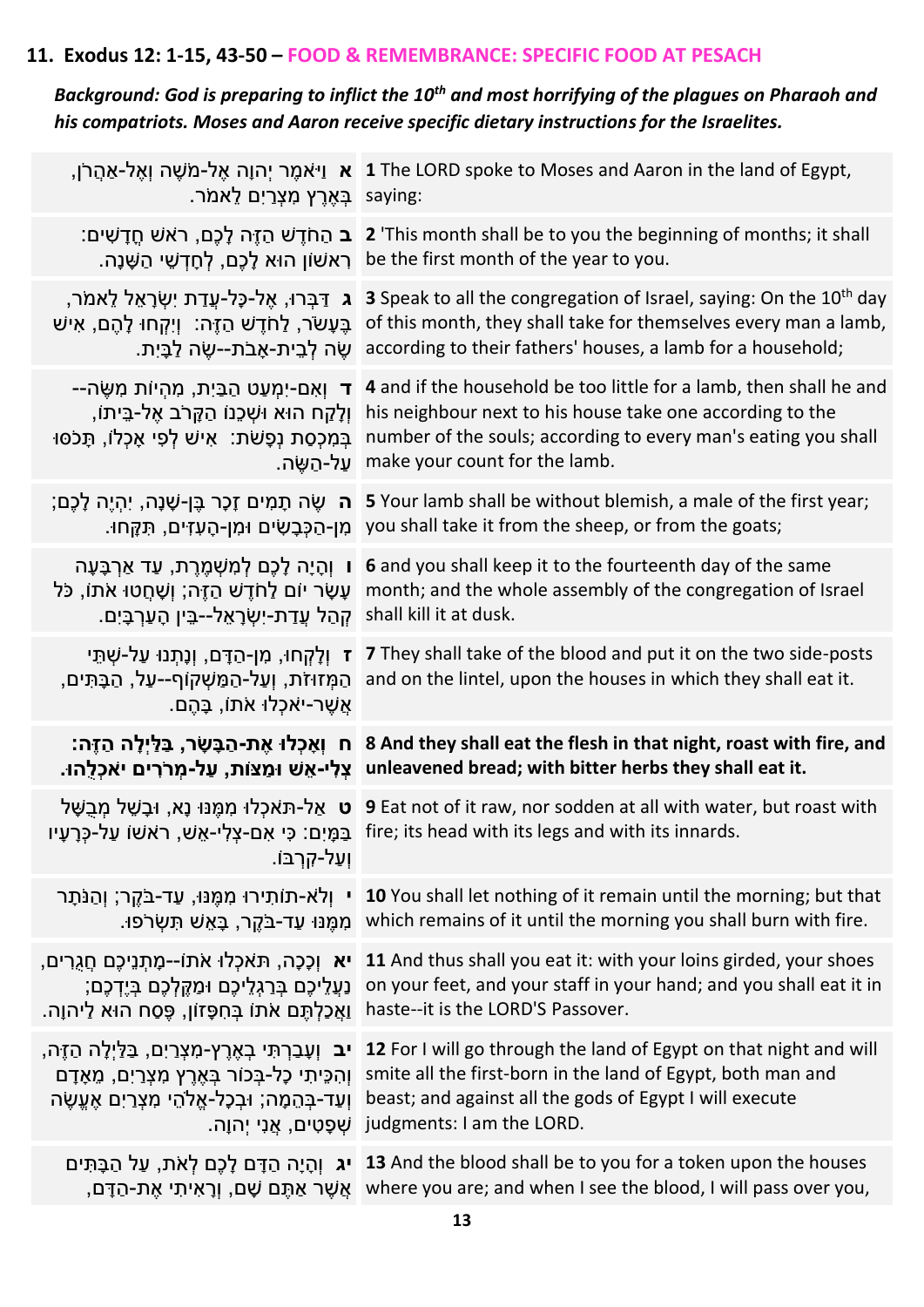## **11. Exodus 12: 1-15, 43-50 – FOOD & REMEMBRANCE: SPECIFIC FOOD AT PESACH**

## *Background: God is preparing to inflict the 10th and most horrifying of the plagues on Pharaoh and his compatriots. Moses and Aaron receive specific dietary instructions for the Israelites.*

| ַ בְּאֵרֵץ מְצְרַיִם לֵאמֹר saying:                                                                                                                                                                       | ן, ניאמֶר יְהוָה אֶל-מֹשֶׁה וְאֶל-אַהֲרֹן, 1 The LORD spoke to Moses and Aaron in the land of Egypt,                                                                                                                                                                                                                                                                          |
|-----------------------------------------------------------------------------------------------------------------------------------------------------------------------------------------------------------|-------------------------------------------------------------------------------------------------------------------------------------------------------------------------------------------------------------------------------------------------------------------------------------------------------------------------------------------------------------------------------|
|                                                                                                                                                                                                           | :ב הַחֹדֵשׁ הַזֶּה לָכֶם, ראשׁ חֵדָשִׁים 2 'This month shall be to you the beginning of months; it shall<br>.be the first month of the year to you רְאשׁוֹן הוּא לָכֶם, לְחָדְשֵׁי הַשָּׁנָה.                                                                                                                                                                                 |
|                                                                                                                                                                                                           | Speak to all the congregation of Israel, saying: On the 10 <sup>th</sup> day [17] אֲל-כָּל-עֲדַת יִשְׂרָאֵל לֵאמֹר, saying: On the 10 <sup>th</sup> day<br>of this month, they shall take for themselves every man a lamb, בֵּעָשׂר, לַחֹדֵשׁ הַזֵּה: וְיִקְחוּ לָהֵם, אִישׁ<br>:according to their fathers' houses, a lamb for a household; שׂה לְבֵית-אָבֹת--שֶׂה לַבָּיִת. |
| ׁ וְלָקַח הוּא וּשָׁכֵנוֹ הַקָּרֹב אֵל-בֵּיתוֹ,<br>ַּבְּמִכְסַת נְפָשֹׁת: אִישׁ לְפִי אָכְלוֹ, תָּכֹסוּ<br>ַ עַל-הַשֶּׂה.                                                                                 | –הַמְעַט הַבַּיִת, מִהְיוֹת מִשֶּׂה 4 and if the household be too little for a lamb, then shall he and<br>his neighbour next to his house take one according to the<br>number of the souls; according to every man's eating you shall<br>make your count for the lamb.                                                                                                        |
|                                                                                                                                                                                                           | ;הֵיֶה לְכֶם; s Your lamb shall be without blemish, a male of the first year; יְהָיֶה לְכֶם<br>.מן-הַכְּבָשִׂים וּמִן-הָעִזִים, תְּקָחוּ you shall take it from the sheep, or from the goats;                                                                                                                                                                                 |
| ּו וְהָיָה לָכֶם לְמִשְׁמֶרֶת, עַד אַרְבָּעָה<br>shall kill it at dusk. קְהַל עֲדַת-יִשְׂרָאֵל--בֵּין הָעַרְבָּיִם.                                                                                       | 6 and you shall keep it to the fourteenth day of the same<br>ַעָּשָׂר יוֹם לַחֹדֶשׁ הַזֶּה; וְשָׁחֲטוּ אֹתוֹ, כֹּל month; and the whole assembly of the congregation of Israel                                                                                                                                                                                                |
|                                                                                                                                                                                                           | ז וְלָקְחוּ, מִן-הַדָּם, וְנָתְנוּ עַל-שְׁתֵּי ( ז They shall take of the blood and put it on the two side-posts<br>הַמְּזוּזֹת, וְעַל-הַמַּשְׁקוֹף--עַל, הַבָּתִּים, and on the lintel, upon the houses in which they shall eat it.                                                                                                                                          |
| אֲשֶׁר-יֹאֹכְלוּ אֹתוֹ, בָּהֵם.                                                                                                                                                                           |                                                                                                                                                                                                                                                                                                                                                                               |
|                                                                                                                                                                                                           | ח וְאֶכְלוּ אֱת-הַבָּשָׂר, בַּלַּיְלָה הַזֶּה: 8 And they shall eat the flesh in that night, roast with fire, and<br>ָעֲלִי-אֶשׁ וּמַצּוֹת, עַל-מְרֹיִם יאֹכְלֶהוּ. unleavened bread; with bitter herbs they shall eat it.                                                                                                                                                    |
| ּוְעַל-קִרְבּוֹ                                                                                                                                                                                           | יט אַל-תּאכְלוּ מִמְּנּוּ נָא, וּבָשֵׁל מִבְּשָׁל 9 Eat not of it raw, nor sodden at all with water, but roast with<br>ּבַּמְיָם: כִּי אִם-צְלִי-אֵשׁ, רֹאשׁוֹ עַל-כְּרָעָיו fire; its head with its legs and with its innards.                                                                                                                                               |
|                                                                                                                                                                                                           | י וְלֹא-תוֹתְירוּ מְמֵנּוּ, עַד-בֹּקֵר; וְהַנֹּתֶר 10 You shall let nothing of it remain until the morning; but that<br>ַמְמֵנּוּ עַד-בֹּקֵר, בָּאֵשׁ תְּשְׂרֹפוּ. which remains of it until the morning you shall burn with fire.                                                                                                                                            |
| <b>יא</b> וְכָכָה, תּאֹכְלוּ אֹתוֹ--מָתְנֵיכֶם חֲגֻרִים,<br>ַנְעֲלֵיכֶם בְּרַגְלֵיכֶם וּמַקֶּלְכֶם בְּיֶדְכֶם;<br>ַוַאֲכַלְתֶּם אֹתוֹ בְּחִפָּזוֹן, פֶּסַח הוּא לַיהוָה.                                  | 11 And thus shall you eat it: with your loins girded, your shoes<br>on your feet, and your staff in your hand; and you shall eat it in<br>haste--it is the LORD'S Passover.                                                                                                                                                                                                   |
| <b>ִיב</b> וְעָבַרְתִּי בְאֶרֶץ-מִצְרַיִם, בַּלַּיְלָה הַזֶּה,<br>ְוְהִכֵּיתִי כָל-בְּכוֹר בְּאֶרֶץ מִצְרַיִם, מֵאָדָם<br>וְעַד-בְּהֵמָה; וּבִכְל-אֱלֹהֵי מִצְרַיִם אֵעֱשֶׂה<br>ּשְׁפָטִים, אֲנִי יִהוָה. | 12 For I will go through the land of Egypt on that night and will<br>smite all the first-born in the land of Egypt, both man and<br>beast; and against all the gods of Egypt I will execute<br>judgments: I am the LORD.                                                                                                                                                      |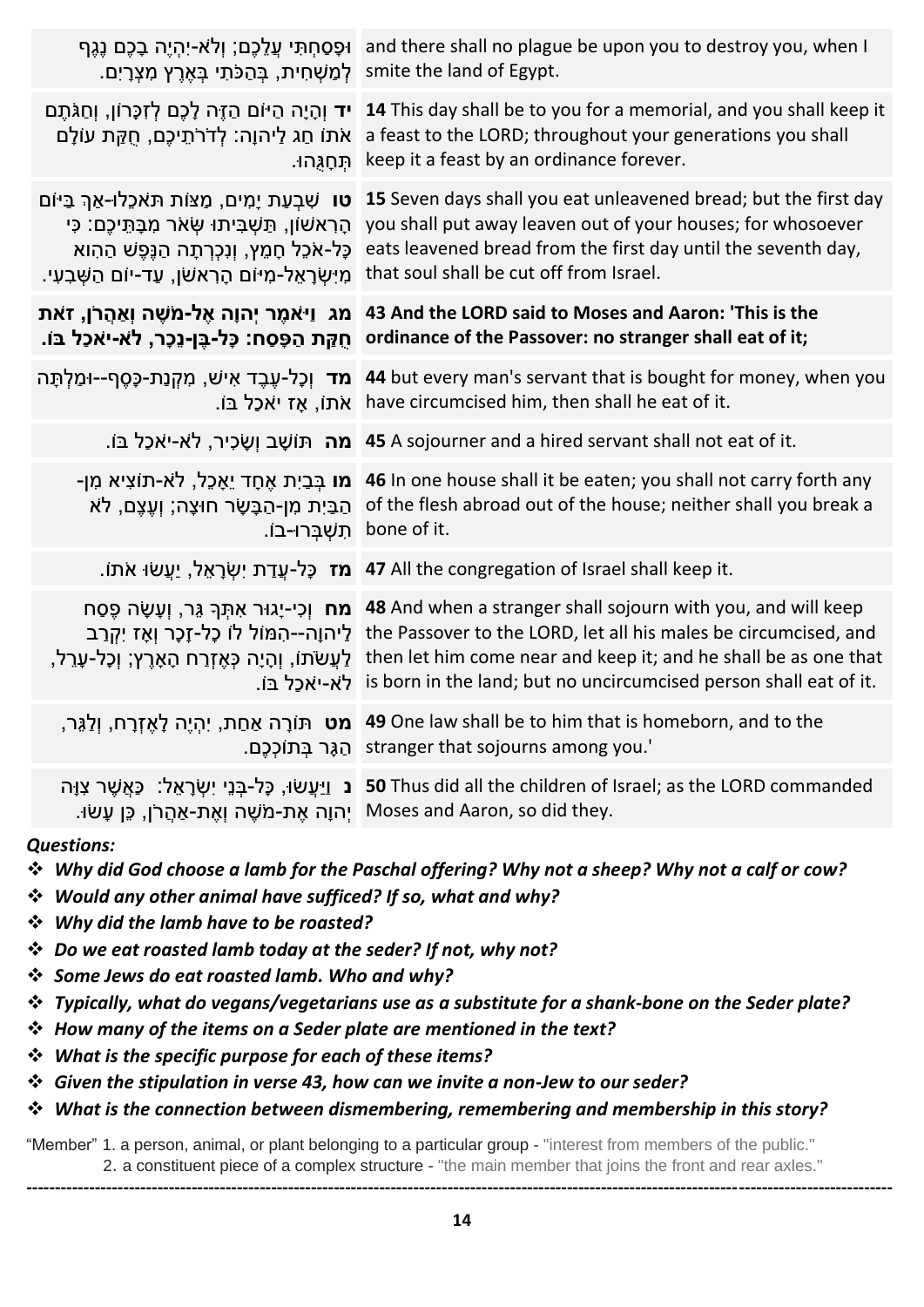| ּוּפָסַחָתִּי עֲלֵכֶם; וְלֹא-יָהָיֵה בָכֶם נֵגֵף<br>לְמַשְׁחִית, בָּהַכֹּתִי בָּאֶרֶץ מְצָרָיִם.                                                                                                                             | and there shall no plague be upon you to destroy you, when I<br>smite the land of Egypt.                                                                                                                                                                                 |
|------------------------------------------------------------------------------------------------------------------------------------------------------------------------------------------------------------------------------|--------------------------------------------------------------------------------------------------------------------------------------------------------------------------------------------------------------------------------------------------------------------------|
| <b>יד</b> וְהָיָה הַיּוֹם הַזֶּה לָכֶם לְזִכְּרוֹן, וְחַגֹּתֶם<br>אֹתוֹ חַג לַיהוָה: לְדֹרֹתֵיכֶם, חָקַת עוֹלָם<br>תִּחֲגִּהוּ.                                                                                              | 14 This day shall be to you for a memorial, and you shall keep it<br>a feast to the LORD; throughout your generations you shall<br>keep it a feast by an ordinance forever.                                                                                              |
| <b>טו</b> שִׁבְעַת יָמִים, מַצּוֹת תּאכֶלוּ-אַךְ בַּיּוֹם<br>הָרְאשׁוֹן, תַּשְׁבִּיתוּ שָׂאֹר מִבָּתֵּיכֶם: כִּי<br>כָּל-אֹכֵל חָמֵץ, וְנִכְרְתָה הַנֵּפֵשׁ הַהְוא<br>ּמִיִּשְׂרָאֵל-מִיּוֹם הָרְאשׁן, עַד-יוֹם הַשָּׁבִעִי. | 15 Seven days shall you eat unleavened bread; but the first day<br>you shall put away leaven out of your houses; for whosoever<br>eats leavened bread from the first day until the seventh day,<br>that soul shall be cut off from Israel.                               |
| מג וַיּאמֶר יִהוָה אֶל-מֹשֶׁה וְאַהֲרֹן, זאת<br>חֻקַּת הַפָּסַח: כָּל-בֵּן-נֵכָר, לֹא-יאכל בּוֹ.                                                                                                                             | 43 And the LORD said to Moses and Aaron: 'This is the<br>ordinance of the Passover: no stranger shall eat of it;                                                                                                                                                         |
| <b>מד</b> וְכָל-עֶבֶד אִישׁ, מִקְנַת-כֶּסֵף--וּמַלְתָּה<br>ּאֹתוֹ, אָז יֹאכַל בּוֹ.                                                                                                                                          | 44 but every man's servant that is bought for money, when you<br>have circumcised him, then shall he eat of it.                                                                                                                                                          |
|                                                                                                                                                                                                                              | . <b>מה</b> תּוֹשֶׁב וְשֶׂכִיר, לֹא-יֹאֹכָל בּוֹ 45 A sojourner and a hired servant shall not eat of it.                                                                                                                                                                 |
| מו בְּבַיִת אֶחָד יֵאָכֵל, לֹא-תוֹצִיא מִן-<br>הַבַּיִת מִן-הַבָּשָׂר חוּצָה; וְעֶצֶם, לֹא<br>תִשְׁבָּרוּ-בוֹ.                                                                                                               | 46 In one house shall it be eaten; you shall not carry forth any<br>of the flesh abroad out of the house; neither shall you break a<br>bone of it.                                                                                                                       |
|                                                                                                                                                                                                                              | וא 17 All the congregation of Israel shall keep it.                                                                                                                                                                                                                      |
| <b>מח</b> וְכִי-יָגוּר אִתְּךָ גֵּר, וְעָשָׂה פֵסַח<br>ַלַיהוָה--הָמּוֹל לוֹ כָל-זָכָר וְאֶז יִקְרַב<br>ַלַעֲשׂתּ), וְהָיָה כְּאֶזְרַח הָאָרֶץ; וְכָל-עָרֵל,                                                                 | 48 And when a stranger shall sojourn with you, and will keep<br>the Passover to the LORD, let all his males be circumcised, and<br>then let him come near and keep it; and he shall be as one that<br>.is born in the land; but no uncircumcised person shall eat of it. |
|                                                                                                                                                                                                                              | יהָיֵה לְאֵזְרָח, וְלַגֵּר, 49 One law shall be to him that is homeborn, and to the<br>.stranger that sojourns among you. הַגֶּר בְּתוֹכְכֶם.                                                                                                                            |
| ַיְהוָה אֶת-מֹשֶׁה וְאֶת-אַהֲרֹן, כֵּן עָשׂוּ.                                                                                                                                                                               | נ וַיַּעֲשׂוּ, כָּל-בְּנֵי יִשְׂרָאֵל: ۖ כַּאֲשֵׁר צְוָה S0 Thus did all the children of Israel; as the LORD commanded<br>Moses and Aaron, so did they.                                                                                                                  |
|                                                                                                                                                                                                                              |                                                                                                                                                                                                                                                                          |

#### *Questions:*

- ❖ *Why did God choose a lamb for the Paschal offering? Why not a sheep? Why not a calf or cow?*
- ❖ *Would any other animal have sufficed? If so, what and why?*
- ❖ *Why did the lamb have to be roasted?*
- ❖ *Do we eat roasted lamb today at the seder? If not, why not?*
- ❖ *Some Jews do eat roasted lamb. Who and why?*
- ❖ *Typically, what do vegans/vegetarians use as a substitute for a shank-bone on the Seder plate?*
- ❖ *How many of the items on a Seder plate are mentioned in the text?*
- ❖ *What is the specific purpose for each of these items?*
- ❖ *Given the stipulation in verse 43, how can we invite a non-Jew to our seder?*
- ❖ *What is the connection between dismembering, remembering and membership in this story?*

"Member" 1. a person, animal, or plant belonging to a particular group - "interest from members of the public." 2. a constituent piece of a complex structure - "the main member that joins the front and rear axles."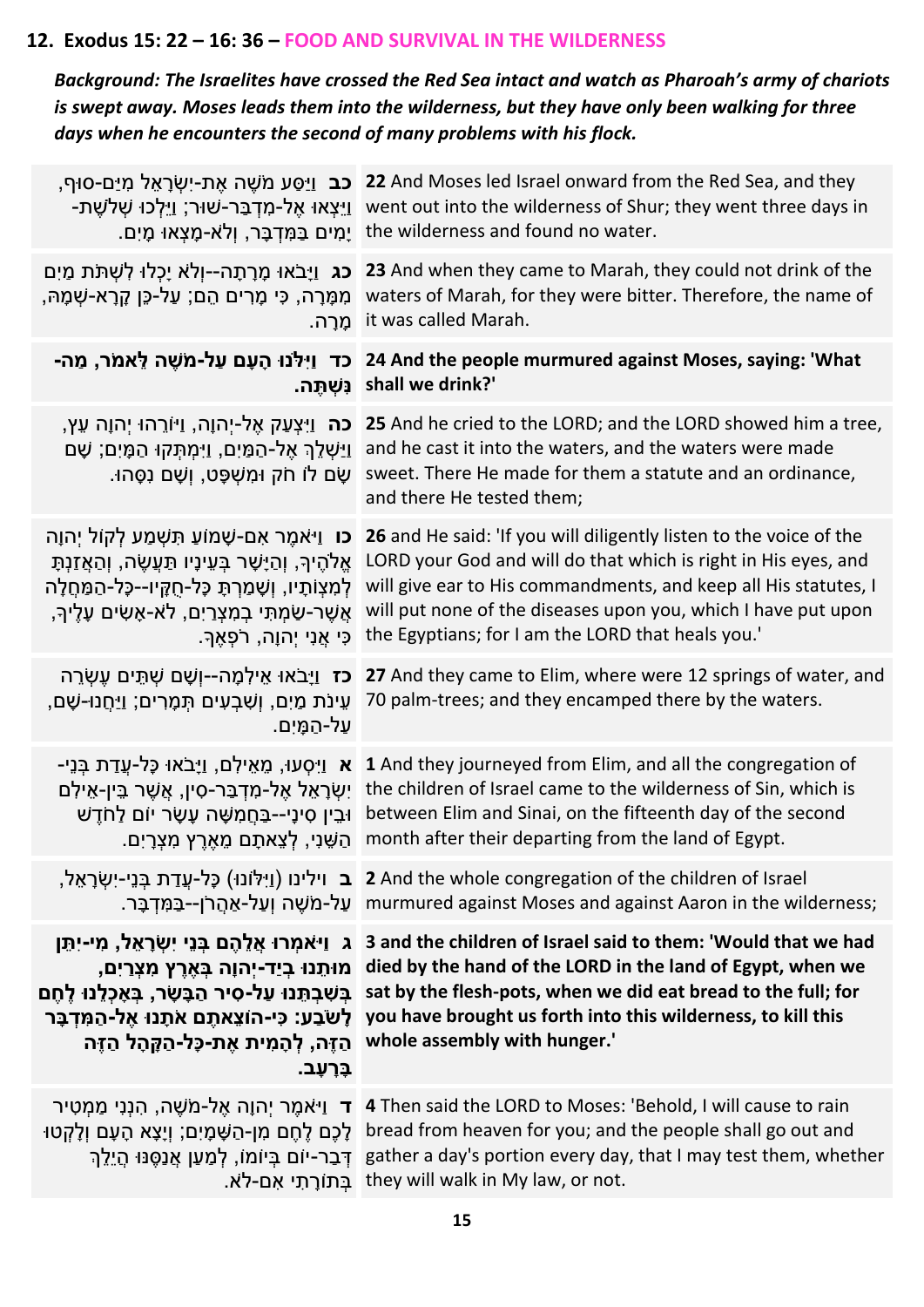## **12. Exodus 15: 22 – 16: 36 – FOOD AND SURVIVAL IN THE WILDERNESS**

*Background: The Israelites have crossed the Red Sea intact and watch as Pharoah's army of chariots is swept away. Moses leads them into the wilderness, but they have only been walking for three days when he encounters the second of many problems with his flock.*

| ָ <b>כב</b> וַיַּסַע מֹשֶׁה אֶת-יִשְׂרָאֶל מִיַּם-סוּף,<br>-יַיִּצְאוּ אֵל-מִדְבַּר-שׁוּר; וַיֵּלְכוּ שָׁלֹשֶׁת                                                                                                                                                                       | 22 And Moses led Israel onward from the Red Sea, and they<br>went out into the wilderness of Shur; they went three days in<br>ַיָּמִים בַּמְּדְבָּר, וְלֹא-מָצְאוּ מָיִם. the wilderness and found no water.                                                                                                                                                                                           |
|---------------------------------------------------------------------------------------------------------------------------------------------------------------------------------------------------------------------------------------------------------------------------------------|--------------------------------------------------------------------------------------------------------------------------------------------------------------------------------------------------------------------------------------------------------------------------------------------------------------------------------------------------------------------------------------------------------|
| כג וַיָּבֹאוּ מָרָתָה--וְלֹא יָכְלוּ לְשְׁתֹּת מַיִם<br>ֹמִמָּרָה, כִּי מָרִים הֵם; עַל-כֵּן קָרָא-שְׁמָהּ,<br>מֵרָה.                                                                                                                                                                 | 23 And when they came to Marah, they could not drink of the<br>waters of Marah, for they were bitter. Therefore, the name of<br>it was called Marah.                                                                                                                                                                                                                                                   |
| כד וַיִּלֹּנוּ הָעָם עַל-מֹשֶׁה לֵאמֹר, מַה-<br>נִּשְׁתֵּה.                                                                                                                                                                                                                           | 24 And the people murmured against Moses, saying: 'What<br>shall we drink?'                                                                                                                                                                                                                                                                                                                            |
| <b>כה</b> וַיִּצְעַק אֶל-יִהוָה, וַיּוֹרֵהוּ יִהוָה עֵץ,<br><u>וי</u> ִשְׁלֵךְ אֶל-הַמַּיִם, וַיִּמְתָּקוּ הַמָּיִם; שָׁם<br>ַשָּׂם לוֹ חֹק וּמִשְׁפָּט, וְשָׁם נִסְּהוּ.                                                                                                             | 25 And he cried to the LORD; and the LORD showed him a tree,<br>and he cast it into the waters, and the waters were made<br>sweet. There He made for them a statute and an ordinance,<br>and there He tested them;                                                                                                                                                                                     |
| <b>כו</b> וַיּאמֶר אָם-שָׁמוֹעַ תִּשְׁמַע לְקוֹל יִהוָה<br>אֱלֹהֶיךָ, וְהַיָּשָׁר בְּעֵינָיו תַּעֲשֶׂה, וְהַאֲזַנְתָּ<br>לְמִצְוֹתָיו, וְשָׁמַרְתָּ כָּל-חֻקֵּיו--כָּל-הַמַּחֲלָה<br>אֲשֵׁר-שַׂמְתִּי בְמִצְרַיִם, לֹא-אָשִׂים עָלֶיךָ,<br>כִּי אֲנִי יִהוָה, רֹפְאֵךָ.               | 26 and He said: 'If you will diligently listen to the voice of the<br>LORD your God and will do that which is right in His eyes, and<br>will give ear to His commandments, and keep all His statutes, I<br>will put none of the diseases upon you, which I have put upon<br>the Egyptians; for I am the LORD that heals you.'                                                                          |
| <b>כז</b> וַיָּבֹאוּ אֵילִמְה--וְשָׁם שְׁתֵּים עֶשְׂרֵה<br>עֵינֹת מַיִם, וְשִׁבְעִים תְּמָרִים; וַיַּחֲנוּ-שָׁם,<br>ַעֲל-הַמָּיִם.                                                                                                                                                    | 27 And they came to Elim, where were 12 springs of water, and<br>70 palm-trees; and they encamped there by the waters.                                                                                                                                                                                                                                                                                 |
| - אַ וַיִּסְעוּ, מֵאֵילִם, וַיָּבֹאוּ כָּל-עֲדַת בְּנֵי<br>יִשְׂרָאֵל אֶל-מִדְבַּר-סִין, אֲשֶׁר בֵּין-אֵילִם<br>ּוּבֵין סִינָי--בַּחֲמָשָּׁה עָשָׂר יוֹם לַחֹדֵשׁ<br>ָהַשֵּׁנִי, לְצֵאתָם מֵאֶרֶץ מִצְרָיִם.                                                                          | 1 And they journeyed from Elim, and all the congregation of<br>the children of Israel came to the wilderness of Sin, which is<br>between Elim and Sinai, on the fifteenth day of the second<br>month after their departing from the land of Egypt.                                                                                                                                                     |
|                                                                                                                                                                                                                                                                                       | ן ב וילינו (וַיִּלּוֹנוּ) כָּל-עֲדַת בְּנֵי-יִשְׂרָאֵל, 2 And the whole congregation of the children of Israel<br>ַעֲל-אֲהֲרֹן--בַּמְּדְבָּר murmured against Moses and against Aaron in the wilderness;                                                                                                                                                                                               |
| ג וַי <sup>ּ</sup> אמִרוּ אֲלֵהֶם בְּנֵי יִשְׂרָאֵל, מִי-יִתֵּן<br>ְמוּתֶנוּ בְיַד-יִהוָה בָּאֶרֶץ מִצְרַיִם,<br>בִּשְׁבִתֵּנוּ עַל-סִיר הַבָּשָׂר, בִּאָכְלֵנוּ לֵחֵם<br>ַלְשֹׂבַע: כִּי-הוֹצֵאתֵם אֹתָנוּ אֶל-הַמְּדִבָּר<br>הַזֵּה, לִהָמִית אֶת-כָּל-הַקָּהָל הַזֵּה<br>בַּרְעָב. | 3 and the children of Israel said to them: 'Would that we had<br>died by the hand of the LORD in the land of Egypt, when we<br>sat by the flesh-pots, when we did eat bread to the full; for<br>you have brought us forth into this wilderness, to kill this<br>whole assembly with hunger.'                                                                                                           |
|                                                                                                                                                                                                                                                                                       | ד נֵיאמֵר יְהנָה אֵל-מֹשֶׁה, הִנְנִי מַמְטִיר (4 Then said the LORD to Moses: 'Behold, I will cause to rain<br>ן לְקְטוּ [עֲמָיִם; וְיָצָא הָעָם וְלַקְטוּ bread from heaven for you; and the people shall go out and<br>ַדְּבַר-יוֹם בִּיוֹמוֹ, לְמַעַן אֲנַסֵּנּוּ הַיֵלֵךְ gather a day's portion every day, that I may test them, whether<br>בּתוֹרָתִי אָם-לֹא. they will walk in My law, or not. |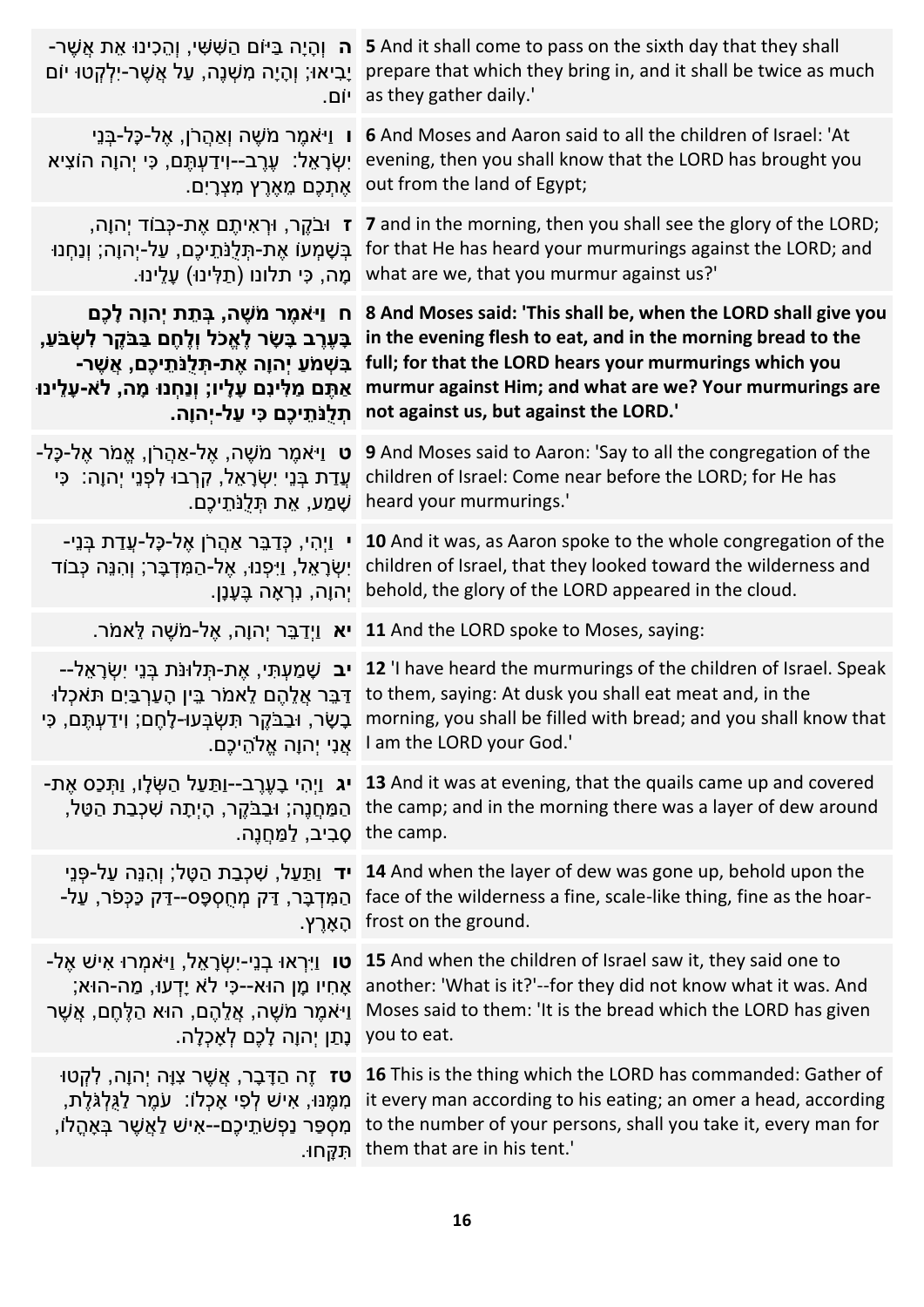| יָבִיאוּ; וְהָיָה מִשְׁנֶה, עַל אֲשֶׁר-יִלְקְטוּ יוֹם<br>ו יום.      | ה וְהָיָה בַּיּוֹם הַשָּׁשִׁי, וְהֵכִינוּ אֶת אֲשֶׁר- 5 And it shall come to pass on the sixth day that they shall<br>prepare that which they bring in, and it shall be twice as much<br>as they gather daily.'                                                                                                                                                                                                       |
|----------------------------------------------------------------------|-----------------------------------------------------------------------------------------------------------------------------------------------------------------------------------------------------------------------------------------------------------------------------------------------------------------------------------------------------------------------------------------------------------------------|
| ּו וַיֹּאמֶר מֹשֶׁה וְאַהֲרֹן, אֱל-כָּל-בְּנֵי                       | 6 And Moses and Aaron said to all the children of Israel: 'At                                                                                                                                                                                                                                                                                                                                                         |
| יִשְׂרָאֵל: עֶרֶב--וִידַעְתֶּם, כִּי יְהוָה הוֹצִיא                  | evening, then you shall know that the LORD has brought you                                                                                                                                                                                                                                                                                                                                                            |
| ּאֶתְכֶם מֵאֶרֶץ מִצְרָיִם.                                          | out from the land of Egypt;                                                                                                                                                                                                                                                                                                                                                                                           |
| ְז וּבֹקֶר, וּרְאִיתֶם אֶת-כְּבוֹד יְהוָה,                           | 7 and in the morning, then you shall see the glory of the LORD;                                                                                                                                                                                                                                                                                                                                                       |
| ׁבְּשָׁמְעוֹ אֶת-תְּלֻנֹּתֵיכֶם, עַל-יְהוָה; וְנַחְנוּ               | for that He has heard your murmurings against the LORD; and                                                                                                                                                                                                                                                                                                                                                           |
| ּמָה, כִּי תלונו (תַלְּינוּ) עָלֵינוּ.                               | what are we, that you murmur against us?'                                                                                                                                                                                                                                                                                                                                                                             |
| ּח וַיֹּאמֶר מֹשֶׁה, בְּתֵת יְהוָה לָכֶם                             | 8 And Moses said: 'This shall be, when the LORD shall give you                                                                                                                                                                                                                                                                                                                                                        |
| בָּעֶרֶב בָּשָׂר לָאֱכֹל וְלֶחֶם בַּבֹּקֶר לִשְׂבֹּעַ,               | in the evening flesh to eat, and in the morning bread to the                                                                                                                                                                                                                                                                                                                                                          |
| ַבִּשְׁמֹעַ יְהוָה אֶת-תִּלְנֹתֵיכֶם, אֲשֶׁר-                        | full; for that the LORD hears your murmurings which you                                                                                                                                                                                                                                                                                                                                                               |
| אַתֵּם מַלִּינִם עָלָיו; וְנַחְנוּ מָה, לֹא-עָלֵינוּ                 | murmur against Him; and what are we? Your murmurings are                                                                                                                                                                                                                                                                                                                                                              |
| תִלְנֹתֵיכֶם כִּי עַל-יִהוָה.                                        | not against us, but against the LORD.'                                                                                                                                                                                                                                                                                                                                                                                |
| <b>ָט</b> וַי <sup>ַ</sup> אמֶר מֹשֶׁה, אֶל-אַהֲרֹן, אֱמֹר אֶל-כָּל- | 9 And Moses said to Aaron: 'Say to all the congregation of the                                                                                                                                                                                                                                                                                                                                                        |
| עֲדַת בְּנֵי יִשְׂרָאֵל, קִרְבוּ לִפְנֵי יְהוָה: כִּי                | children of Israel: Come near before the LORD; for He has                                                                                                                                                                                                                                                                                                                                                             |
| ֹשָׁמַע, אֵת תְּלֻנֹּתֵיכֵם.                                         | heard your murmurings.'                                                                                                                                                                                                                                                                                                                                                                                               |
| י וַיְהִי, כְּדַבֵּר אַהֲרֹן אֶל-כָּל-עֲדַת בְּנֵי-                  | 10 And it was, as Aaron spoke to the whole congregation of the                                                                                                                                                                                                                                                                                                                                                        |
| יִשְׂרָאֵל, וַיִּפְנוּ, אֶל-הַמִּדְבָּר; וְהִנֵּה כְּבוֹד            | children of Israel, that they looked toward the wilderness and                                                                                                                                                                                                                                                                                                                                                        |
| יְהוָה, נִרְאָה בֶּעָנָן. <sub>.</sub>                               | behold, the glory of the LORD appeared in the cloud.                                                                                                                                                                                                                                                                                                                                                                  |
|                                                                      | . אֱל-מֹשֶׁה לֵאמֹר 11 And the LORD spoke to Moses, saying:                                                                                                                                                                                                                                                                                                                                                           |
|                                                                      | –געת-תְּלוּנֹת בְּנֵי יִשְׂרָאֵל (עמִי, אֶת-תִּלוּנֹת בְּנֵי יִשְׂרָאֵל (עמִי, אֵת-תִּלוּנֹת בְּנֵי יִשְׂרָאֵל -<br>ַדְּבֵּר אֲלֵהֶם לֵאמֹר בֵּין הָעַרְבַּיִם תּאכְלוּ to them, saying: At dusk you shall eat meat and, in the<br>בָשָׂר, וּבַבֹּקֶר תִּשְׂבְּעוּ-לָחֶם; וַיִּדַעְתֶּם, כִּי morning, you shall be filled with bread; and you shall know that<br>ו אֲנִי יְהוָה אֱלֹהֵיכֶם. I am the LORD your God.' |
| ְהַמַּחֲנֶה; וּבַבֹּקֵר, הָיִתָה שִׁכְבַת הַטַּל,                    | ן, וַתְּכַּס אֶת- <b>13</b> And it was at evening, that the quails came up and covered                                                                                                                                                                                                                                                                                                                                |
| .the camp _ סָבִיב, לַמַּחֲנֵה                                       | the camp; and in the morning there was a layer of dew around                                                                                                                                                                                                                                                                                                                                                          |
| יד וַתַּעַל, שִׁכְבַת הַטֶּל; וְהִנֵּה עַל-פְּנֵי                    | 14 And when the layer of dew was gone up, behold upon the                                                                                                                                                                                                                                                                                                                                                             |
| ּהַמִּדְבָּר, דַּק מְחֻסִפָּס--דַּק כַּכְּפֹר, עַל-                  | face of the wilderness a fine, scale-like thing, fine as the hoar-                                                                                                                                                                                                                                                                                                                                                    |
| ֿהָאַרֵץ.                                                            | frost on the ground.                                                                                                                                                                                                                                                                                                                                                                                                  |
| -טו וַיִּרְאוּ בְנֵי-יִשְׂרָאֵל, וַי <sup>ּ</sup> אמְרוּ אִישׁ אֶל   | 15 And when the children of Israel saw it, they said one to                                                                                                                                                                                                                                                                                                                                                           |
| אָחִיו מָן הוּא--כִּי לֹא יָדְעוּ, מַה-הוּא;                         | another: 'What is it?'--for they did not know what it was. And                                                                                                                                                                                                                                                                                                                                                        |
| ַוַיֹּאמֶר מֹשֶׁה, אֲלֵהֶם, הוּא הַלֶּחֶם, אֲשֶׁר                    | Moses said to them: 'It is the bread which the LORD has given                                                                                                                                                                                                                                                                                                                                                         |
| ֶנְתַן יְהוָה לָכֶם לְאָכָלָה.                                       | you to eat.                                                                                                                                                                                                                                                                                                                                                                                                           |
| <b>ּטז</b> זֶה הַדָּבָר, אֲשֶׁר צִוָּה יְהוָה, לִקְטוּ               | 16 This is the thing which the LORD has commanded: Gather of                                                                                                                                                                                                                                                                                                                                                          |
| מִמֶּנּוּ, אִישׁ לְפִי אָכְלוֹ: עֹמֶר לַגְּלְגֹּלֶת,                 | it every man according to his eating; an omer a head, according                                                                                                                                                                                                                                                                                                                                                       |
| ְמִסְפַּר נַפְשֹׁתֵיכֶם--אִישׁ לַאֲשֶׁר בְּאָהֱלֹו,                  | to the number of your persons, shall you take it, every man for                                                                                                                                                                                                                                                                                                                                                       |
| תִּקְּחוּ.                                                           | them that are in his tent.'                                                                                                                                                                                                                                                                                                                                                                                           |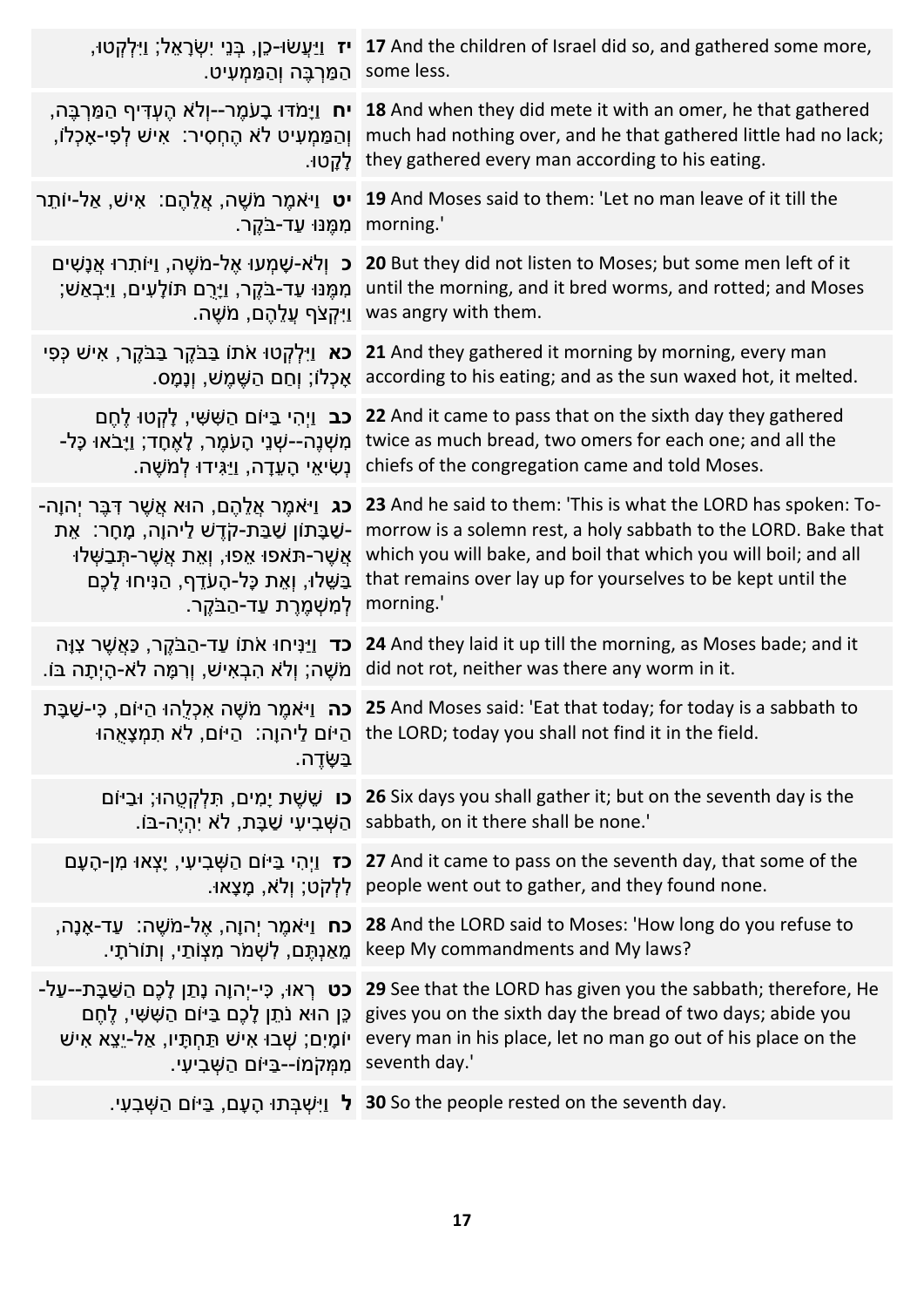| הַמַּרְבֶּה וְהַמַּמְעִיט. some less.           | יז וַיַּעֲשׂוּ-כֵן, בְּנֵי יִשְׂרָאֵל; וַיִּלְקְטוּ, נַיֹּוֹי 17 And the children of Israel did so, and gathered some more,                                                                                                                                                                                                                                                                                                                                            |
|-------------------------------------------------|------------------------------------------------------------------------------------------------------------------------------------------------------------------------------------------------------------------------------------------------------------------------------------------------------------------------------------------------------------------------------------------------------------------------------------------------------------------------|
|                                                 | הַמַּרְבֶּה, נָעֹמֶר--יְלֹא הֶעְדִּיף הַמַּרְבֶּה, 18 And when they did mete it with an omer, he that gathered<br>וְהַמַּמְעִיט לֹא הֶחְסִיר: אִישׁ לְפִי-אָכְלוֹ, much had nothing over, and he that gathered little had no lack;<br>they gathered every man according to his eating.                                                                                                                                                                                 |
| morning.' מְמֵנּוּ עַד-בֹּקֵר.                  | יט וַיֹּאמֵר מֹשֶׁה, אֲלֵהֵם: אִישׁ, אַל-יוֹתֵר 19 And Moses said to them: 'Let no man leave of it till the                                                                                                                                                                                                                                                                                                                                                            |
|                                                 | וּתָרוּ אֲנָשִׁים   20 But they did not listen to Moses; but some men left of it<br>;מְּנֵּוּ עַד-בֹּקֶר, וַיָּרֶם תּוֹלָעִים, וַיִּבְאַשׁ until the morning, and it bred worms, and rotted; and Moses<br>ַיִּקְצֹף עֲלֵהֶם, מֹשֶׁה. was angry with them.                                                                                                                                                                                                              |
|                                                 | <b>כא</b> וַיִּלְקְטוּ אֹתוֹ בַּבֹּקֶר בַּבֹּקֶר, אִישׁ כְּפִי (21 And they gathered it morning by morning, every man<br>.according to his eating; and as the sun waxed hot, it melted. אָכְלוֹ; וְחַם הַשֶּׁמֵשׁ, וְנָמָס.                                                                                                                                                                                                                                            |
|                                                 | <b>כב</b> וַיְהִי בַּיּוֹם הַשָּׁשִׁי, לָקְטוּ לֵחֵם 22 And it came to pass that on the sixth day they gathered<br>מִשְׁנֶה--שְׁנֵי הָעֹמֶר, לָאֶחָד; וַיָּבֹאוּ כָּל- twice as much bread, two omers for each one; and all the<br>chiefs of the congregation came and told Moses. נָשִׂיאֵי הָעֱדָה, וַיַּגִּידוּ לְמֹשֶׁה.                                                                                                                                           |
| morning.' לְמִשָּׁמֵרֵת עַד-הַבֹּקֶר.           | <b>-23</b> And he said to them: 'This is what the LORD has spoken: To- <b>כג</b> וַיּאמֶר אֲלֵהֶם, הוּא אֲשֶׁר דְּבֶּר יְהוָה-<br>שַׁבַּת-קֹדֵשׁ לַיהוָה, מָחָר:  אֵת  morrow is a solemn rest, a holy sabbath to the LORD. Bake that<br>ּאֲשֶׁר-תּאפוּ אֵפוּ, וְאֵת אֲשֶׁר-תְּבַשְׁלוּ which you will bake, and boil that which you will boil; and all<br>that remains over lay up for yourselves to be kept until the בַּשֶׁלוּ, וְאֶת כָּל-הָעֹדֵף, הַנִּיחוּ לָכֵם |
|                                                 | כד וַיַּנִּיחוּ אֹתוֹ עַד-הַבֹּקֵר, כַּאֲשֵׁר צָוָה 24 And they laid it up till the morning, as Moses bade; and it<br>.did not rot, neither was there any worm in it מֹשֵׁה; וְלֹא הִבְאִישׁ, וְרָמָּה לֹא-הָיִתָּה בּוֹ.                                                                                                                                                                                                                                              |
| ַבַּשֶּׂדֵה.                                    | <b>כה</b> וַיּאמֵר מֹשֵׁה אִכְלֻהוּ הַיּוֹם, כִּי-שַׁבָּת 25 And Moses said: 'Eat that today; for today is a sabbath to<br>.the LORD; today you shall not find it in the field הַיּוֹם לַיהוָה: הַיּוֹם, לֹא תְמִצָאָהוּ                                                                                                                                                                                                                                               |
|                                                 | רו שֵׁשֵׁת יָמִים, תִּלְקְטֶהוּ; וּבַיּוֹם 26 Six days you shall gather it; but on the seventh day is the<br>. sabbath, on it there shall be none.' הַשְׁבִיעִי שַׁבָּת, לֹא יָהְיֵה-בּוֹ                                                                                                                                                                                                                                                                              |
|                                                 | ויְהִי בַּיּוֹם הַשְּׁבִיעִי, יָצְאוּ מִן-הָעָם 27 And it came to pass on the seventh day, that some of the<br>. לְלָקָט; וְלֹא, מָצָאוּ people went out to gather, and they found none.                                                                                                                                                                                                                                                                               |
|                                                 | <b>ו</b> יֹאמֶר יְהוָה, אֶל-מֹשֶׁה:  עַד-אָנָה, <b>28</b> And the LORD said to Moses: 'How long do you refuse to<br>ָמֵאַנְתֵּם, לְשָׁמֹר מִצְוֹתַי, וְתוֹרֹתָי keep My commandments and My laws?                                                                                                                                                                                                                                                                      |
| seventh day.' מְמִקֹמוֹ--בַּיּוֹם הַשְּׁבִיעִי. | <b>-על כט</b> ראוּ, כִּי-יְהוָה נָתַן לָכֶם הַשַּׁבָּת--עַל 29 See that the LORD has given you the sabbath; therefore, He<br>gives you on the sixth day the bread of two days; abide you [ כֵּן הוּא נֹתֵן לָכֶם בַּיּוֹם הַשִּׁשִׁי, לֵחֵם<br>יוֹמָיִם; שָׁבוּ אִישׁ תַּחְתָּיו, אַל-יֵצֵא אִישׁ every man in his place, let no man go out of his place on the                                                                                                        |
|                                                 | . <b>30</b> So the people rested on the seventh day. לְּ וַיִּשְׁבָּתוּ הָעָם, בַּיּוֹם הַשְּׁבָעִי                                                                                                                                                                                                                                                                                                                                                                    |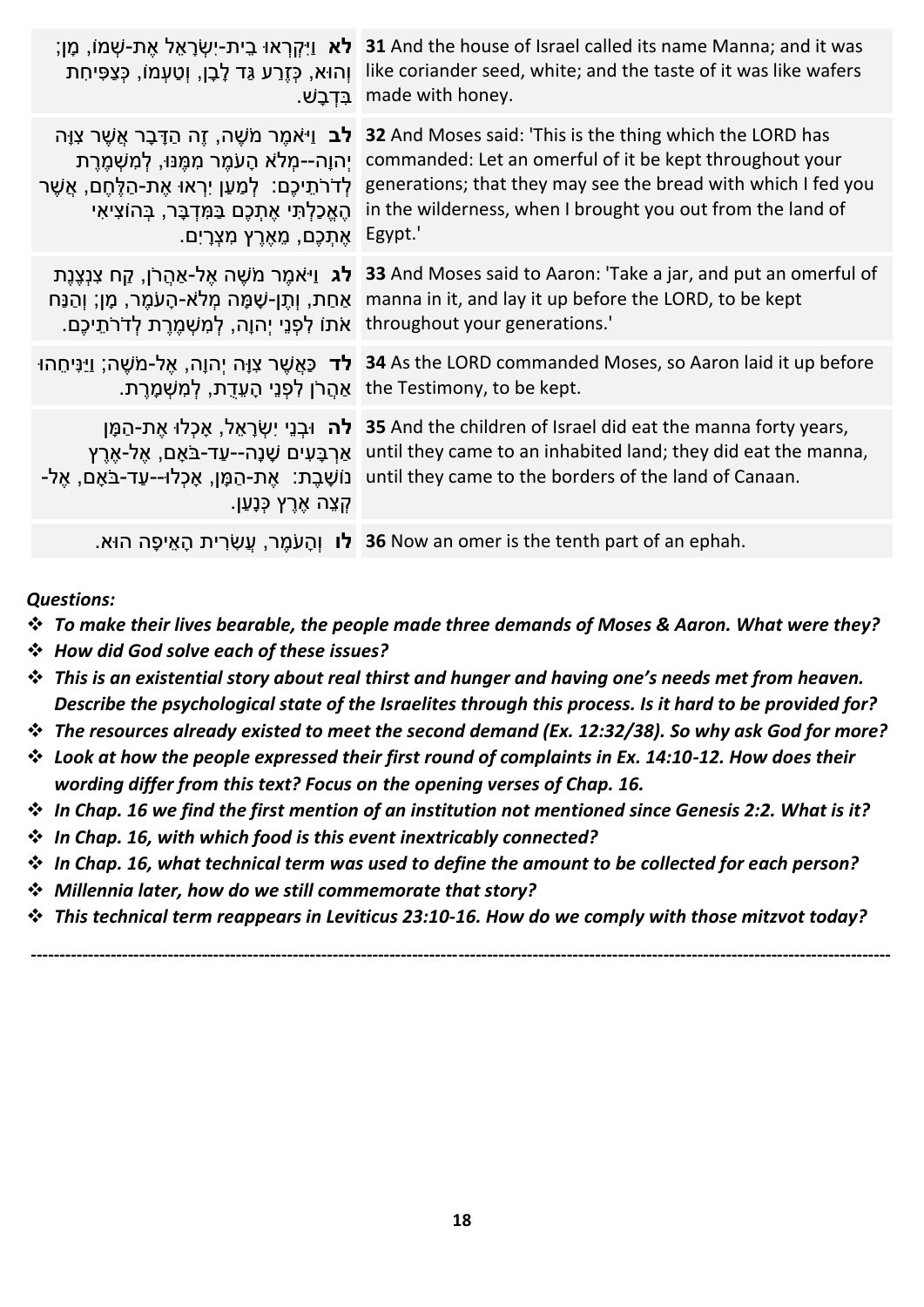| ְּוְהוּא, כְּזֶרַע גַּד לְבָן, וְטַעְמוֹ, כְּצַפִּיחָת<br>ַבִּדְבָשׁ                                                                                                                                                                                                    | ָמָן; מֵן; and the house of Israel called its name Manna; and it was<br>like coriander seed, white; and the taste of it was like wafers<br>made with honey.                                                                                        |
|-------------------------------------------------------------------------------------------------------------------------------------------------------------------------------------------------------------------------------------------------------------------------|----------------------------------------------------------------------------------------------------------------------------------------------------------------------------------------------------------------------------------------------------|
| <b>ַלב</b> וַי <sup>ּ</sup> אמֵר מֹשֶׁה, זֶה הַדָּבָר אֲשֶׁר צְוָּה<br>יַהוַה--מִלֹא הָעֹמֵר מִמֶּנּוּ, לְמִשְׁמֶרֶת<br>ְלְדֹרֹתֵיכֶם: לְמַעַן יִרְאוּ אֶת-הַלֶּחֶם, אֲשֶׁר<br>הֶאֱכַלְתִּי אֶתְכֶם בַּמִּדְבָּר, בְּהוֹצִיאִי<br>ֿאַתִּכֵם, מֵאֶרֶץ מִצְרָיִם. Egypt.' | 32 And Moses said: 'This is the thing which the LORD has<br>commanded: Let an omerful of it be kept throughout your<br>generations; that they may see the bread with which I fed you<br>in the wilderness, when I brought you out from the land of |
| אַחַת, וְתֵן-שָׁמָּה מְלֹא-הָעֹמֵר, מֶן; וְהַנַּח<br>'.throughout your generations   אתו לְפְנֵי יָהוָה, לְמְשָׁמֵרֶת לְדֹרֹתֵיכֶם.                                                                                                                                     | 33 And Moses said to Aaron: 'Take a jar, and put an omerful of <b>לג</b> וַיּאמֶר מֹשֶׁה אֵל-אַהַרֹן, קַח צִנְצֵנֵת<br>manna in it, and lay it up before the LORD, to be kept                                                                      |
| <b>ּלד</b> כַּאֲשֵׁר צִוָּה יִהוָה, אֵל-מֹשֵׁה; וַיַּנִּיחֵהוּ<br>.the Testimony, to be kept אֲהֲרֹן לְפְנֵי הָעֱדָת, לְמְשָׁמָרֵת.                                                                                                                                     | 34 As the LORD commanded Moses, so Aaron laid it up before                                                                                                                                                                                         |
| <b>לה</b> וּבִנֵי יִשְׂרָאֵל, אָכְלוּ אֵת-הַמָּן<br>אַרִבָּעִים שָׁנָה--עַד-בֹּאָם, אֵל-א <u>ָר</u> ִץ<br>ַנוֹשָׁבֵת: אֶת-הַמָּן, אָכְלוּ--עַד-בֹּאָם, אֵל-<br>ַקְצֵה אֶרֶץ כְּנָעַן.                                                                                   | 35 And the children of Israel did eat the manna forty years,<br>until they came to an inhabited land; they did eat the manna,<br>until they came to the borders of the land of Canaan.                                                             |
|                                                                                                                                                                                                                                                                         | . <b>36 לו</b> וְהָעֹמֶר, עֲשָׂרִית הָאֵיפָה הוּא.  36 Now an omer is the tenth part of an ephah.                                                                                                                                                  |

*Questions:* 

- ❖ *To make their lives bearable, the people made three demands of Moses & Aaron. What were they?*
- ❖ *How did God solve each of these issues?*
- ❖ *This is an existential story about real thirst and hunger and having one's needs met from heaven. Describe the psychological state of the Israelites through this process. Is it hard to be provided for?*
- ❖ *The resources already existed to meet the second demand (Ex. 12:32/38). So why ask God for more?*
- ❖ *Look at how the people expressed their first round of complaints in Ex. 14:10-12. How does their wording differ from this text? Focus on the opening verses of Chap. 16.*
- ❖ *In Chap. 16 we find the first mention of an institution not mentioned since Genesis 2:2. What is it?*
- ❖ *In Chap. 16, with which food is this event inextricably connected?*
- ❖ *In Chap. 16, what technical term was used to define the amount to be collected for each person?*
- ❖ *Millennia later, how do we still commemorate that story?*
- ❖ *This technical term reappears in Leviticus 23:10-16. How do we comply with those mitzvot today?*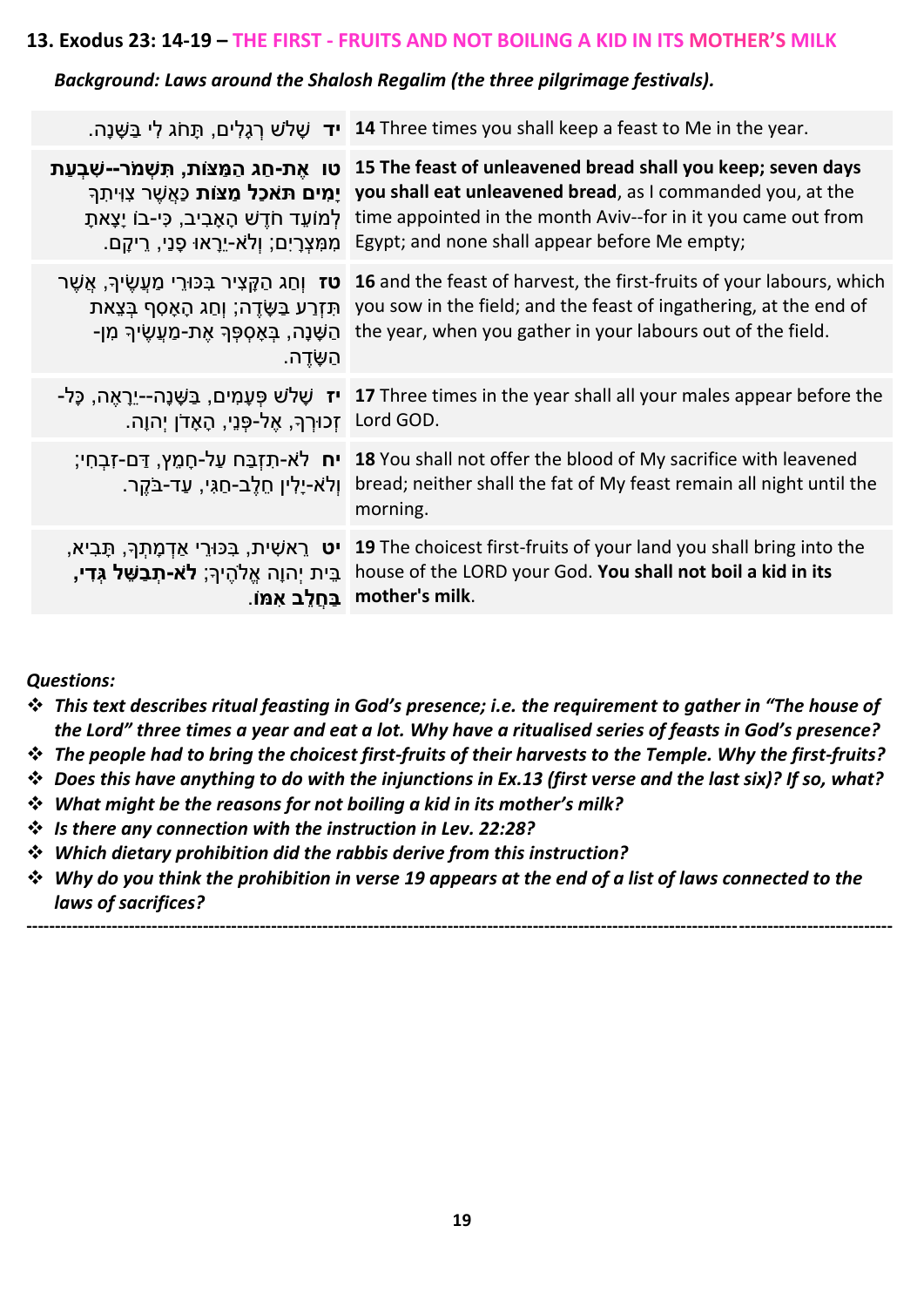#### **13. Exodus 23: 14-19 – THE FIRST - FRUITS AND NOT BOILING A KID IN ITS MOTHER'S MILK**

#### *Background: Laws around the Shalosh Regalim (the three pilgrimage festivals).*

|                                                                                                                         | <b>יד</b> שָׁלֹש רְגָלִים, תָּחֹג לִי בַּשֶּׁנָה. <b>14</b> Three times you shall keep a feast to Me in the year.                                                                                                                                                                                                                                                                                                          |
|-------------------------------------------------------------------------------------------------------------------------|----------------------------------------------------------------------------------------------------------------------------------------------------------------------------------------------------------------------------------------------------------------------------------------------------------------------------------------------------------------------------------------------------------------------------|
|                                                                                                                         | טו אֶת-חֲג הַמֲצוֹת, תִּשְׁמֹר--שְׁבְעַת 15 The feast of unleavened bread shall you keep; seven days<br><b>ָמִים תּאכל מַצּוֹת</b> כַּאֲשֶׁר צְוִיתִךְ you shall eat unleavened bread, as I commanded you, at the<br>time appointed in the month Aviv--for in it you came out from לְמוֹעֵד חֹדֵשׁ הָאָבִיב, כִּי-בוֹ יָצָאתָ<br>ַמְמָצְרָיִם; וְלֹא-יֵרָאוּ פָּנֵי, רֵיקָם. Egypt; and none shall appear before Me empty; |
| <b>ָטז</b> וְחַג הַקֶּצִיר בְּכּוּרֵי מַעֲשֵׂיךָ, אֲשֶׁר<br>ַּהַשָּׁנָה, בִּאָסִפְּךָ אֶת-מַעֲשֵׂיךָ מִן-<br>הַשֶּׂדֵה. | 16 and the feast of harvest, the first-fruits of your labours, which<br>תְּזְרַע בַּשֶּׂדֶה; וְחַג הָאָסִף בְּצֵאת you sow in the field; and the feast of ingathering, at the end of<br>the year, when you gather in your labours out of the field.                                                                                                                                                                        |
| .Lord GOD קְכוּרְךָ, אֶל-פְּנֵי, הָאָדֹן יְהוָה.                                                                        | יז שָׁלֹשׁ פָּעָמִים, בַּשָּׁנָה--יֵרָאֵה, כָּל- I7 Three times in the year shall all your males appear before the                                                                                                                                                                                                                                                                                                         |
| ּוְלֹא-יָלִין חֶלֶב-חַגִּי, עַד-בֹּקֵר.                                                                                 | Ta You shall not offer the blood of My sacrifice with leavened יח לא-תִזְבַּח עַל-חָמֶץ, דַם-זִבְחִי;<br>bread; neither shall the fat of My feast remain all night until the<br>morning.                                                                                                                                                                                                                                   |
| ֹבֵּית יִהוָה אֱלֹהֵיךָ; <b>לֹא-תִבַשֵּׁל גִּדִי,</b>                                                                   | יט ראשִׁית, בְּכּוּרֵי אַדְמָתְךָ, תָּבִיא, 19 The choicest first-fruits of your land you shall bring into the<br>house of the LORD your God. You shall not boil a kid in its<br>ַ mother's milk.                                                                                                                                                                                                                          |
|                                                                                                                         |                                                                                                                                                                                                                                                                                                                                                                                                                            |

*Questions:*

- ❖ *This text describes ritual feasting in God's presence; i.e. the requirement to gather in "The house of the Lord" three times a year and eat a lot. Why have a ritualised series of feasts in God's presence?*
- ❖ *The people had to bring the choicest first-fruits of their harvests to the Temple. Why the first-fruits?*
- ❖ *Does this have anything to do with the injunctions in Ex.13 (first verse and the last six)? If so, what?*
- ❖ *What might be the reasons for not boiling a kid in its mother's milk?*
- ❖ *Is there any connection with the instruction in Lev. 22:28?*
- ❖ *Which dietary prohibition did the rabbis derive from this instruction?*
- ❖ *Why do you think the prohibition in verse 19 appears at the end of a list of laws connected to the laws of sacrifices?*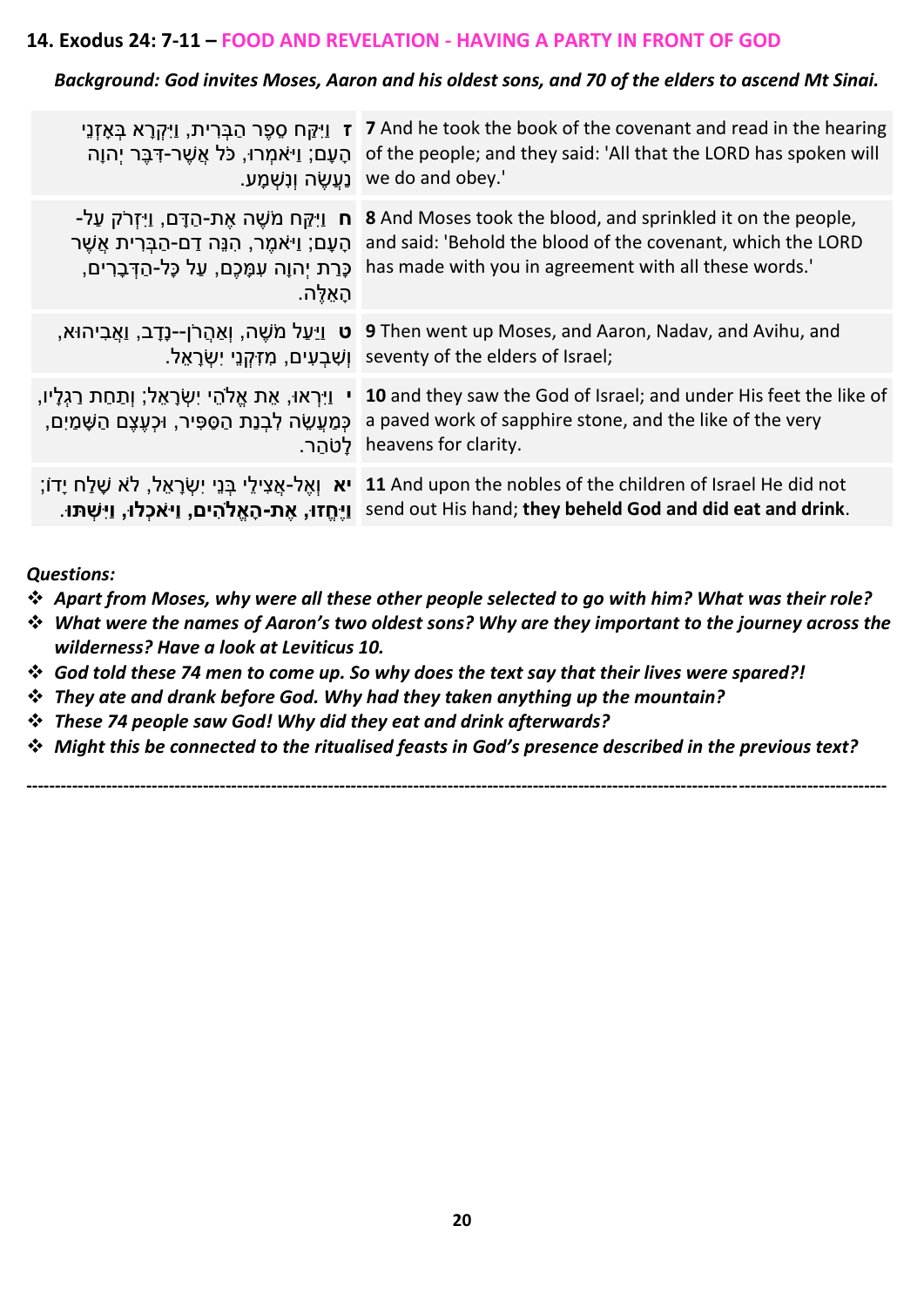#### **14. Exodus 24: 7-11 – FOOD AND REVELATION - HAVING A PARTY IN FRONT OF GOD**

#### *Background: God invites Moses, Aaron and his oldest sons, and 70 of the elders to ascend Mt Sinai.*

| ּהָעָם; וַיֹּאמִרוּ, כֹּל אֲשֶׁר-דָּבֶּר יִהוָה<br>ַנַעֲשֶׂה וְנָשָׁמָע.                                                                                               | ז וַיִּקַּח סֵפֶר הַבְּרִית, וַיִּקְרָא בְּאָזְנֵי 7 And he took the book of the covenant and read in the hearing<br>of the people; and they said: 'All that the LORD has spoken will<br>we do and obey.'            |
|------------------------------------------------------------------------------------------------------------------------------------------------------------------------|----------------------------------------------------------------------------------------------------------------------------------------------------------------------------------------------------------------------|
| <b>ַח</b> וַיִּקֵּח מֹשֶׁה אֶת-הַדָּם, וַיִּזְרֹק עַל<br>ֿהָעָם; וַיֹּאמֶר, הִנֵּה דַם-הַבָּרִית אֲשֶׁר<br>כָּרַת יְהוָה עִמָּכֶם, עַל כָּל-הַדְּבָרִים,<br>ּהַאֵלֵּה. | 8 And Moses took the blood, and sprinkled it on the people,<br>and said: 'Behold the blood of the covenant, which the LORD<br>has made with you in agreement with all these words.'                                  |
|                                                                                                                                                                        | ָ, אֲהֲרֹן--נֶדֶב, וַאֲבִיהוּא, 9 Then went up Moses, and Aaron, Nadav, and Avihu, and<br>וֹשְׁבַעִים, מִזְקְנֵי יִשְׂרָאֵל. seventy of the elders of Israel;                                                        |
| ַכְּמַעֲשֶׂה לְבָנַת הַסַּפִּיר, וּכְעֵצֶם הַשָּׁמַיִם,                                                                                                                | י וַיִּרְאוּ, אֵת אֱלֹהֵי יִשְׂרָאֵל; וְתַחַת רַגְלָיו, 10 and they saw the God of Israel; and under His feet the like of<br>a paved work of sapphire stone, and the like of the very<br>_heavens for clarity   לטהר |
|                                                                                                                                                                        | ָדוֹ; נְבֵי יִשְׂרָאֵל, לֹא שָׁלַח יָדוֹ; 11 And upon the nobles of the children of Israel He did not<br>. אֱת-הַאֱלֹהִים, וַיּאָכְלוּ, וַיִּשְׁתּוּ send out His hand; they beheld God and did eat and drink.       |

#### *Questions:*

- ❖ *Apart from Moses, why were all these other people selected to go with him? What was their role?*
- ❖ *What were the names of Aaron's two oldest sons? Why are they important to the journey across the wilderness? Have a look at Leviticus 10.*
- ❖ *God told these 74 men to come up. So why does the text say that their lives were spared?!*
- ❖ *They ate and drank before God. Why had they taken anything up the mountain?*
- ❖ *These 74 people saw God! Why did they eat and drink afterwards?*
- ❖ *Might this be connected to the ritualised feasts in God's presence described in the previous text?*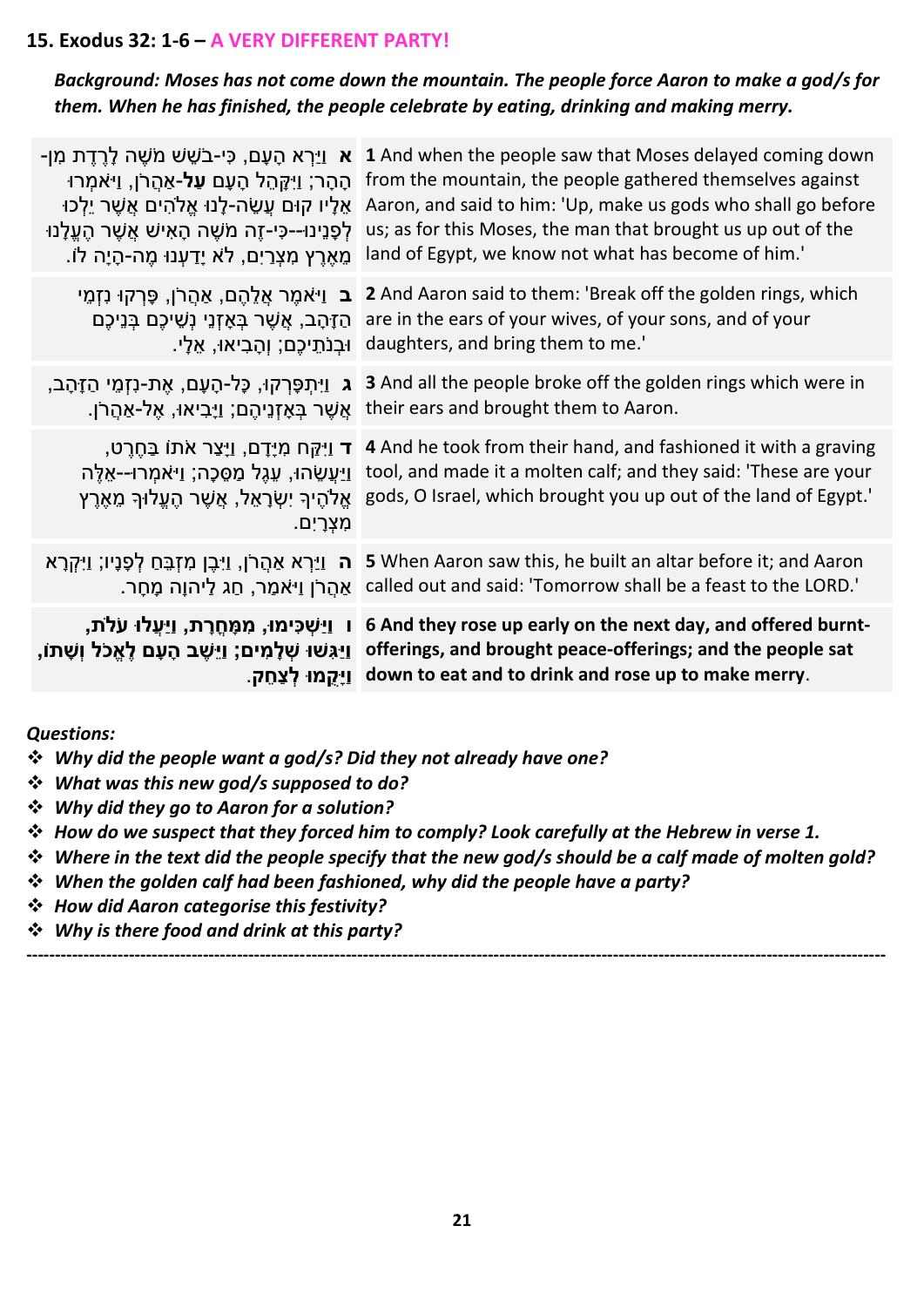#### **15. Exodus 32: 1-6 – A VERY DIFFERENT PARTY!**

*Background: Moses has not come down the mountain. The people force Aaron to make a god/s for them. When he has finished, the people celebrate by eating, drinking and making merry.* 

| <b>ַ א</b> וַיַּרָא הָעָם, כִּי-בֹשֵׁשׁ מֹשֵׁה לַרֵדֶת מִן<br>הָהָר; וַיִּקְּהֵל הָעָם <b>עַל-</b> אַהֲרֹן, וַי <sup>ּ</sup> אֹמִרוּ<br>ּאֵלָיו קוּם עֲשֶׂה-לָנוּ אֱלֹהִים אֲשֶׁר יֵלְכוּ<br>ּלְפָנֵינוּ--כִּי-זֵה מֹשֵׁה הָאִישׁ אֲשֵׁר הֵעֱלָנוּ<br>ּמֶאֶרֵץ מִצְרַיִם, לֹא יָדַעִנוּ מֱה-הָיָה לוֹ. | 1 And when the people saw that Moses delayed coming down<br>from the mountain, the people gathered themselves against<br>Aaron, and said to him: 'Up, make us gods who shall go before<br>us; as for this Moses, the man that brought us up out of the<br>land of Egypt, we know not what has become of him.'                         |
|--------------------------------------------------------------------------------------------------------------------------------------------------------------------------------------------------------------------------------------------------------------------------------------------------------|---------------------------------------------------------------------------------------------------------------------------------------------------------------------------------------------------------------------------------------------------------------------------------------------------------------------------------------|
| <b>ַ ב</b> וַי <sup>ַ</sup> אמֶר אֲלֵהֶם, אַהֲרֹן, פָּרְקוּ נִזְמֵי<br>הַזָּהָב, אֲשֶׁר בְּאָזְנֵי נְשֵׁיכֶם בְּנֵיכֶם<br>ּוּבִנֹתֵיכֶם; וְהָבִיאוּ, אֵלָי.                                                                                                                                            | 2 And Aaron said to them: 'Break off the golden rings, which<br>are in the ears of your wives, of your sons, and of your<br>daughters, and bring them to me.'                                                                                                                                                                         |
| <b>ַג</b> וַיִּתִפָּרְקוּ, כָּל-הָעָם, אֵת-נִזְמֵי הַזָּהָב,                                                                                                                                                                                                                                           | 3 And all the people broke off the golden rings which were in<br>ַ אֲשֶׁר בְּאָזְנֵיהֵם; וַיָּבִיאוּ, אֱל-אַהֲרֹן. their ears and brought them to Aaron.                                                                                                                                                                              |
| מִצְרָיִם.                                                                                                                                                                                                                                                                                             | ָרַם, וַיָּצֵר אֹתוֹ בַּחֵרֵט, T 4 And he took from their hand, and fashioned it with a graving<br>tool, and made it a molten calf; and they said: 'These are your' וַיַּעֲשֶׂהוּ, עֲגֶל מַסֱכֶה; וַיּאמְרוּ--אֵלֵה<br>אֱלֹהֵיךְ יִשְׂרָאֵל, אֲשֶׁר הֶעֱלוּךְ מֵאֶרֶץ gods, O Israel, which brought you up out of the land of Egypt.' |
| <b>ה</b> וַיִּרְא אַהֲרֹן, וַיִּבֶן מִזְבֵּחַ לְפָנָיו; וַיִּקְרָא                                                                                                                                                                                                                                     | 5 When Aaron saw this, he built an altar before it; and Aaron<br>ַ אֲהֲרֹן וַיּאמַר, חַג לַיהוָה מָחָר. called out and said: 'Tomorrow shall be a feast to the LORD.'                                                                                                                                                                 |
| ָוַיָּגְשׁוּ שָׁלָמִים; וַיֵּשֶׁב הָעָם לֵאֱכֹל וְשָׁתוֹ,                                                                                                                                                                                                                                              | ן ײַשְׁכִּימוּ, מְמָּחֵרַת, װַיַּעֲלוּ עלת, i 6 And they rose up early on the next day, and offered burnt-<br>offerings, and brought peace-offerings; and the people sat<br>וַיָּקֲמוּ לְצַחֵק. down to eat and to drink and rose up to make merry.                                                                                   |
|                                                                                                                                                                                                                                                                                                        |                                                                                                                                                                                                                                                                                                                                       |

#### *Questions:*

- ❖ *Why did the people want a god/s? Did they not already have one?*
- ❖ *What was this new god/s supposed to do?*
- ❖ *Why did they go to Aaron for a solution?*
- ❖ *How do we suspect that they forced him to comply? Look carefully at the Hebrew in verse 1.*
- ❖ *Where in the text did the people specify that the new god/s should be a calf made of molten gold?*

- ❖ *When the golden calf had been fashioned, why did the people have a party?*
- ❖ *How did Aaron categorise this festivity?*
- ❖ *Why is there food and drink at this party?*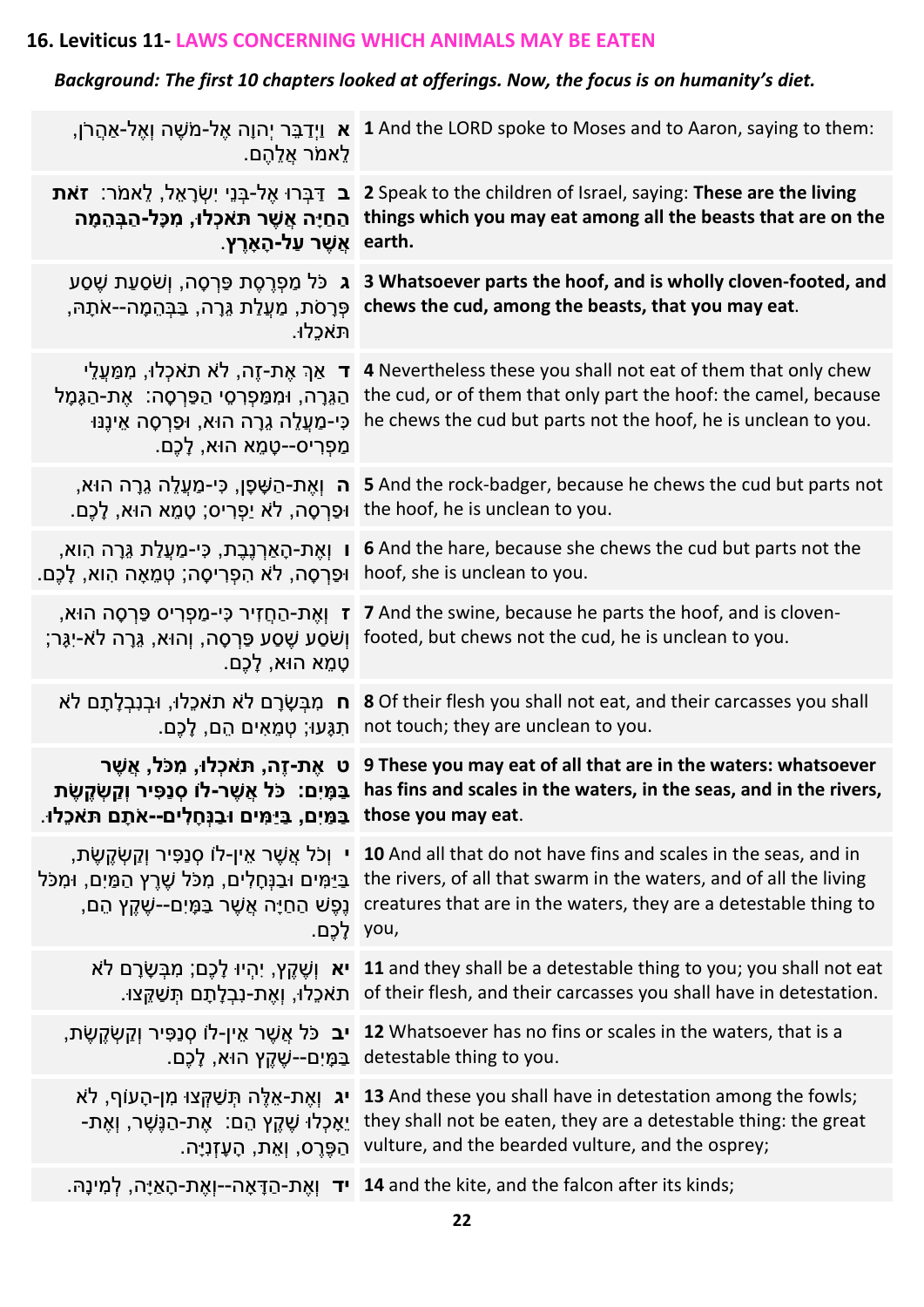## **16. Leviticus 11- LAWS CONCERNING WHICH ANIMALS MAY BE EATEN**

## *Background: The first 10 chapters looked at offerings. Now, the focus is on humanity's diet.*

| ַלֵאמֹר אֲלֶהֶם.                                                                                                                                                                      | ן, צְרַבֵּר יְהוָה אֶל-מֹשֶׁה וְאֶל-אַהֲרֹן, 1 And the LORD spoke to Moses and to Aaron, saying to them:                                                                                                                                                                                                                                                             |
|---------------------------------------------------------------------------------------------------------------------------------------------------------------------------------------|----------------------------------------------------------------------------------------------------------------------------------------------------------------------------------------------------------------------------------------------------------------------------------------------------------------------------------------------------------------------|
| ַ אֲשֶׁר עַל-הָאָרֵץ. earth.                                                                                                                                                          | I Speak to the children of Israel, saying: These are the living בּ דַּבְּרוּ אֵל-בְּנֵי יִשְׂרָאֵל, לֵאמֹר: זאת<br>החַיָּה אֲשֶׁר תּאכְלוּ, מִכָּל-הַבְּהֵמָה things which you may eat among all the beasts that are on the                                                                                                                                          |
| ּתּאכָלוּ.                                                                                                                                                                            | ו פּרְסָה, וְשֹׁסַעַת שֶׁסַע 3 Whatsoever parts the hoof, and is wholly cloven-footed, and<br>ְפְּרָסֹת, מַעֲלַת גֵּרָה, בַּבְּהֵמָה--אֹתָהּ chews the cud, among the beasts, that you may eat.                                                                                                                                                                      |
| <b>ד</b> אַךְ אֶת-זֶה, לֹא תאכְלוּ, מִמַּעֲלֵי<br>הַגֵּרָה, וּמִמַּפְרְסֵי הַפַּרְסָה:  אֶת-הַגָּמָל<br>ּכִּי-מַעֲלֵה גֵרָה הוּא, וּפַרְסָה אֵינֶנּוּ<br>מַפְרִיס--טָמֶא הוּא, לָכֶם. | 4 Nevertheless these you shall not eat of them that only chew<br>the cud, or of them that only part the hoof: the camel, because<br>he chews the cud but parts not the hoof, he is unclean to you.                                                                                                                                                                   |
| the hoof, he is unclean to you. וּפַרְסָה, לֹא יַפְרִיס; טָמֵא הוּא, לָכֵם.                                                                                                           | , כִּי-מַעֲלֵה גֵרָה הוּא, אֲת-הַשָּׁפָן, כִּי-מַעֲלֵה גֵרָה הוּא, אויה 5 And the rock-badger, because he chews the cud but parts not                                                                                                                                                                                                                                |
| וּפַרְסָה, לֹא הִפְרִיסָה; טְמֵאָה הִוא, לָכֵם. hoof, she is unclean to you.                                                                                                          | ן וְאֶת-הָאַרְנֶבֶת, כִּי-מַעֲלַת גֵּרָה הִוא, I 6 And the hare, because she chews the cud but parts not the                                                                                                                                                                                                                                                         |
|                                                                                                                                                                                       | ַד וְאֶת-הַחֲזִיר כִּי-מַפְרִיס פַּרְסָה הוּא, 7 And the swine, because he parts the hoof, and is cloven-<br>ְיָשְׁסַע שֶׁסַע פַּרְסָה, וְהוּא, גֵּרָה לֹא-יִגָּר; footed, but chews not the cud, he is unclean to you.                                                                                                                                              |
| ָטָמֵא הוּא, לָכֵם.                                                                                                                                                                   |                                                                                                                                                                                                                                                                                                                                                                      |
|                                                                                                                                                                                       | <b>ח</b> מִבְּשָׂרָם לֹא תאכֵלוּ, וּבְנִבְלָתָם לֹא N 8 Of their flesh you shall not eat, and their carcasses you shall<br>ָתַּגְּעוּ; טְמֵאִים הֵם, לְכֶם. not touch; they are unclean to you.                                                                                                                                                                      |
| .those you may eat בַּמֵּיִם, בַּיַּמִּים וּבַנְחַלְים--אֹתַם תּאכֶלוּ.                                                                                                               | ט אֵת-זֵה, תּאכִלוּ, מִכֹּל, אֲשֶׁר 9 These you may eat of all that are in the waters: whatsoever<br>ַבְּמָיִם: כֹּל אֲשֶׁר-לוֹ סְנַפִּיר וְקַשְׂקֵשֶׂת has fins and scales in the waters, in the seas, and in the rivers,                                                                                                                                           |
| ,you לָכֵם.                                                                                                                                                                           | ָר וְכֹּל אֲשֶׁר אֵין-לוֹ סְנַפִּיר וְקַשְׂקֶשֶׂת, 10 And all that do not have fins and scales in the seas, and in<br>the rivers, of all that swarm in the waters, and of all the living הַיַּמִּים וּבַנְחָלִים, מְכֹּל שֶׁרֵץ הַמַּיִם, וּמְכֹּל<br>ְבֵּטֵּ הַחַיָּה אֲשֶׁר בַּמְיִם--שֶׁקֶץ הֵם, creatures that are in the waters, they are a detestable thing to |
|                                                                                                                                                                                       | יא וְשֶׁקֶץ, יִהְיוּ לָכֶם; מִבְּשָׂרָם לֹא <b>11</b> and they shall be a detestable thing to you; you shall not eat<br>.תֹאכֵלוּ, וְאֶת-נִבְלְתָם תְּשַׁקֵּצוּ. of their flesh, and their carcasses you shall have in detestation.                                                                                                                                  |
|                                                                                                                                                                                       | ָיב כֹּל אֲשֶׁר אֵין-לוֹ סְנַפִּיר וְקַשְׂקֶשֶׂת, 12 Whatsoever has no fins or scales in the waters, that is a<br>_detestable thing to you בַּמָּיִם--שֶׁקֵץ הוּא, לָכֶם.                                                                                                                                                                                            |
|                                                                                                                                                                                       | יג וְאֶת-אֵלֶּה תְּשַׁקְּצוּ מִן-הָעוֹף, לֹא 13 And these you shall have in detestation among the fowls;<br>ַיאָכְלוּ שֶׁקֶץ הֵם: אֶת-הַנֶּשֶׁר, וְאֶת- they shall not be eaten, they are a detestable thing: the great<br>.pulture, and the bearded vulture, and the osprey; וְאֶת, הָעָזְנָיָה.                                                                    |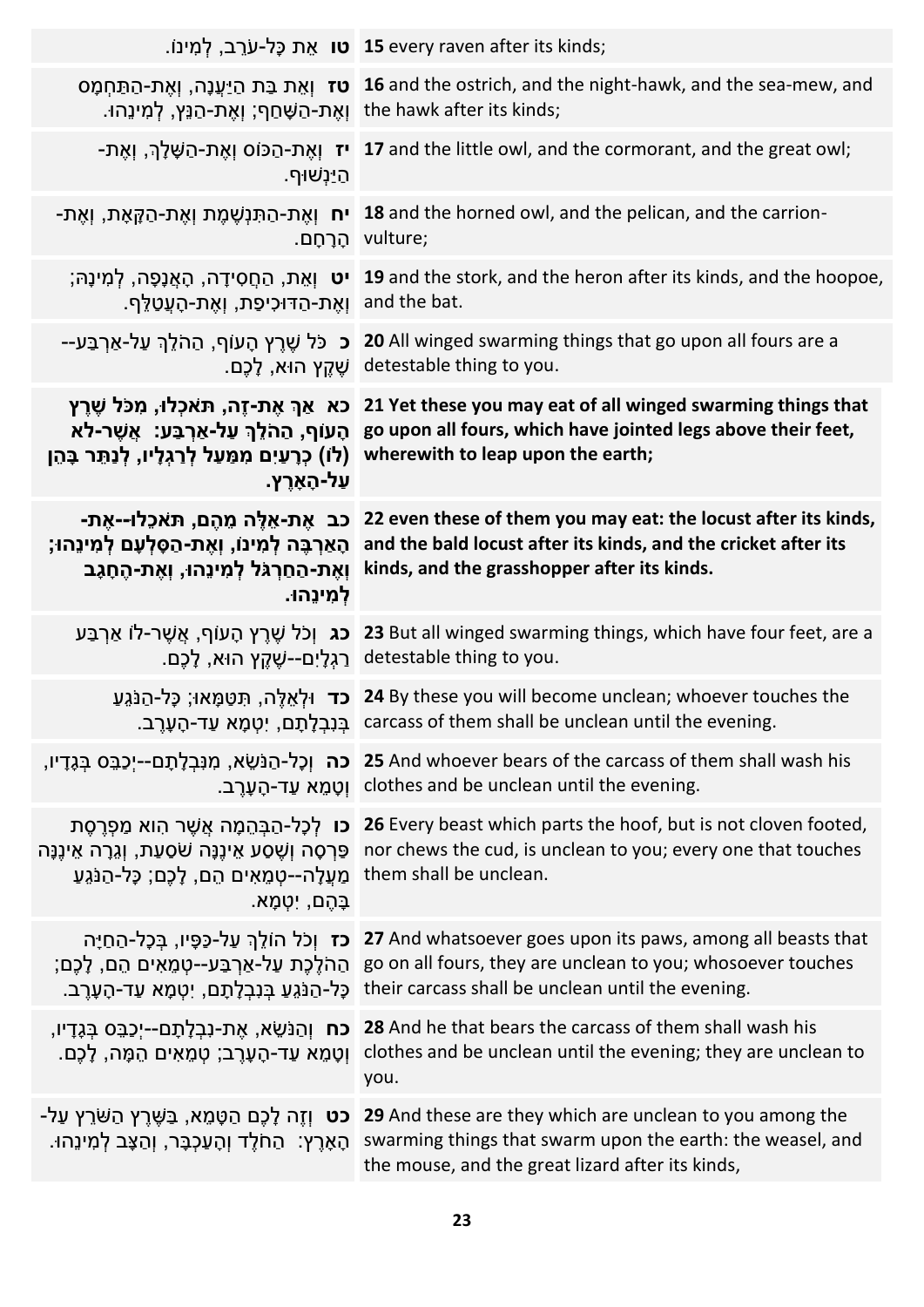|                                                                                                                                                      | . <b>15</b> every raven after its kinds; <b>טו</b> אֶת כָּל-עֹרֶב, לְמִינוֹ                                                                                                                                                                                                                                                   |
|------------------------------------------------------------------------------------------------------------------------------------------------------|-------------------------------------------------------------------------------------------------------------------------------------------------------------------------------------------------------------------------------------------------------------------------------------------------------------------------------|
| ן the hawk after its kinds; וְאֶת-הַשֲּׁחַף; וְאֶת-הַנֵּץ, לְמִינֵהוּ.                                                                               | ו אָת בַּת הַיַּעֲנָה, וְאֶת-הַתַּחְמָס 16 and the ostrich, and the night-hawk, and the sea-mew, and                                                                                                                                                                                                                          |
| <u>הַי</u> ַּנְשׁוּף.                                                                                                                                | -אָת-הַפּוֹס וְאֶת-הַשָּׁלָךְ, וְאֶת-T7 and the little owl, and the cormorant, and the great owl;                                                                                                                                                                                                                             |
|                                                                                                                                                      | - <b>18</b> and the horned owl, and the pelican, and the carrion- וְאֶת-הַתְּנְשֶׁמֶת וְאֶת-הַקְּאָת, וְאֶת-<br>.vulture; הַרַחַם.                                                                                                                                                                                            |
| ואֵת-הַדּוּכִיפַת, וְאֶת-הָעֲטַלֵּף. I and the bat.                                                                                                  | ;פְּבָר, לְמִינָה (19 and the stork, and the heron after its kinds, and the hoopoe, לְמִינָה , לְמִינָה ,                                                                                                                                                                                                                     |
|                                                                                                                                                      | ב כֹּל שֶׁרֶץ הָעוֹף, הַהֹלֵךְ עַל-אַרְבַּע-- <b>20</b> All winged swarming things that go upon all fours are a<br>.detestable thing to you שֶׁקֵץ הוּא, לָכֶם.                                                                                                                                                               |
| (לוֹ) כְרָעַיִם מִמַּעַל לְרַגְלָיו, לְנַתֵּר בָּהֵן<br>ַעַל-הָאָרֵץ.                                                                                | בא צַרְ אֶת-זֶה, תּאכְלוּ, מִכֹּל שֶׁרֶץ 21 Yet these you may eat of all winged swarming things that<br>רלא go upon all fours, which have jointed legs above their feet,<br>wherewith to leap upon the earth;                                                                                                                 |
| ַכב  אֶת-אֵלֶּה מֵהֶם, תּאֹכֵלו--אֶת-<br>ֹהָאַרְבֶּה לְמִינוֹ, וְאֶת-הַסְּלְעָם לְמִינֵהוּ;<br>וְאֶת-הַחַרְגֹּל לְמִינֵהוּ, וְאֶת-הֶחָגָב<br>למינהו. | 22 even these of them you may eat: the locust after its kinds,<br>and the bald locust after its kinds, and the cricket after its<br>kinds, and the grasshopper after its kinds.                                                                                                                                               |
|                                                                                                                                                      | <b>כג</b> וְכֹל שֶׁרֵץ הָעוֹף, אֲשֵׁר-לוֹ אַרְבַּע 23 But all winged swarming things, which have four feet, are a<br>_detestable thing to you   רַגְלָיִם--שֶׁקֵץ הוּא, לָכֶם.                                                                                                                                                |
|                                                                                                                                                      | ָכָל-הַנֹּגֵע <b>[ער</b> וּלְאֵלֶה, תִּטַּמָּאוּ; כָּל-הַנֹּגֵע <b>24</b> By these you will become unclean; whoever touches the<br>ׁבְּנִבְלָתָם, יִטְמָא עַד-הָעָרֶב. carcass of them shall be unclean until the evening.                                                                                                    |
|                                                                                                                                                      | and whoever bears of the carcass of them shall wash his <b>כה וְכָל-הַנֹּשֵׂא, מִנִּבְלָתָם--יְכַבֵּס בְּגָדָ</b> יו,<br>וְטָמֶא עַד-הָעָרֵב. clothes and be unclean until the evening.                                                                                                                                       |
| פַּרְסָה וְשֶׁסַע אֵינֶנָּה שֹׁסַעַת, וְגֵרָה אֵינֶנָּה<br>ַמַּעֲלָה--טָמֶאִים הֵם, לָכֶם; כָּל-הַנֹּגֵעַ<br>ַבָּהֵם, יְטָמָא.                       | <b>כו</b> לְכָל-הַבְּהֵמָה אֲשֶׁר הִוּא מַפְרֶסֶת 26 Every beast which parts the hoof, but is not cloven footed,<br>nor chews the cud, is unclean to you; every one that touches<br>them shall be unclean.                                                                                                                    |
|                                                                                                                                                      | <b>ול הוֹלֵךְ עַל-כַּפָּיו, בִּכְל-הַחַיָּה 27</b> And whatsoever goes upon its paws, among all beasts that<br>;go on all fours, they are unclean to you; whosoever touches הַהֹלֶכֶת עַל-אַרְבַּע--טְמֶאִים הֵם, לְכֶם<br>.their carcass shall be unclean until the evening כָּל-הַנֹּגֵעַ בְּנְבְלָתָם, יְטָמָא עַד-הָעָרֵב |
| <b>כח</b> וְהַנֹּשֵׂא, אֶת-נִבְלָתָם--יְכַבֵּס בְּגָדָיו,<br>וְטָמֵא עַד-הָעָרֶב; טְמֵאִים הֵמָּה, לָכֶם.                                            | 28 And he that bears the carcass of them shall wash his<br>clothes and be unclean until the evening; they are unclean to<br>you.                                                                                                                                                                                              |
| <b>כט</b> וְזֶה לָכֶם הַטָּמֵא, בַּשֶּׁרֶץ הַשֹּׁרֵץ עַל-<br>ֿהָאָרֶץ: הַחֹלֶד וְהָעַכְבָּר, וְהַצָּב לְמִינֵהוּ.                                    | 29 And these are they which are unclean to you among the<br>swarming things that swarm upon the earth: the weasel, and<br>the mouse, and the great lizard after its kinds,                                                                                                                                                    |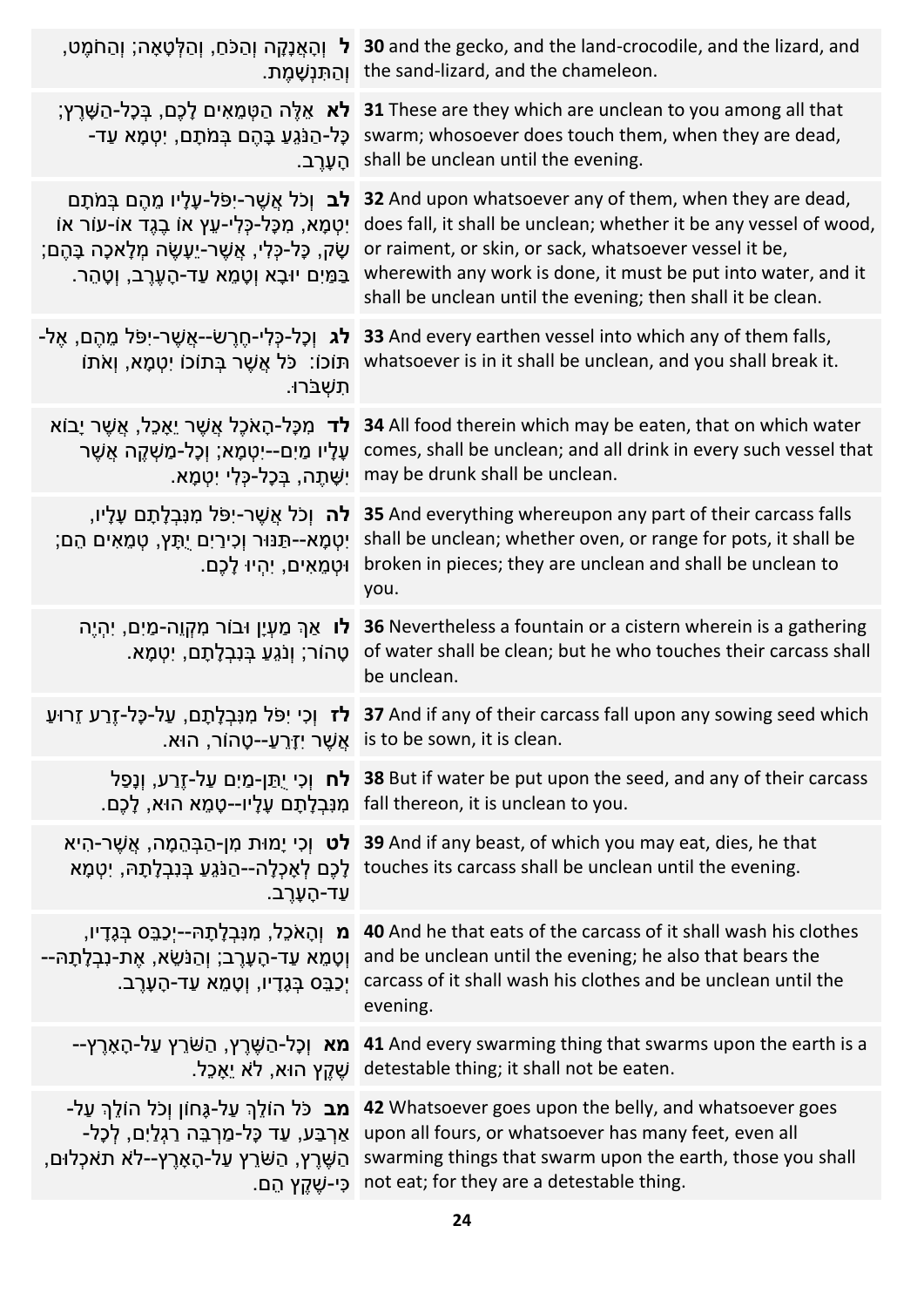|                                                                                                                                                                                                                      | ,פְּלְטָאָה; וְהַמֹּם, וְהַלְּטָאָה; וְהַחֹמֶט 30 and the gecko, and the land-crocodile, and the lizard, and<br>וְהַתְּנְשָׁמֵת. the sand-lizard, and the chameleon.                                                                                                                                                                    |
|----------------------------------------------------------------------------------------------------------------------------------------------------------------------------------------------------------------------|-----------------------------------------------------------------------------------------------------------------------------------------------------------------------------------------------------------------------------------------------------------------------------------------------------------------------------------------|
| <b>לא</b> אֶלֱה הַטָּמֶאִים לָכֵם, בִּכָּל-הַשָּׁרֵץ;<br>ַכָּל-הַנֹּגֶעַ בָּהֶם בְּמֹתָם, יְטָמָא עַד-<br>הַעֲרב.                                                                                                    | 31 These are they which are unclean to you among all that<br>swarm; whosoever does touch them, when they are dead,<br>shall be unclean until the evening.                                                                                                                                                                               |
| <b>לב</b> וְכֹל אֲשֶׁר-יָפֹּל-עָלָיו מֶהֶם בִּמֹתָם<br>ֿיִטְמָא, מִכָּל-כָּלִי-עֵץ אוֹ בֵגֶד אוֹ-עוֹר אוֹ<br>ָשָׂק, כָּל-כְּלִי, אֲשֶׁר-יֵעָשֶׂה מְלָאכָה בָּהֶם;<br>ַבַּמַּיִם יוּבָא וְטָמֵא עַד-הָעֶרֶב, וְטָהֵר. | 32 And upon whatsoever any of them, when they are dead,<br>does fall, it shall be unclean; whether it be any vessel of wood,<br>or raiment, or skin, or sack, whatsoever vessel it be,<br>wherewith any work is done, it must be put into water, and it<br>shall be unclean until the evening; then shall it be clean.                  |
| <b>לג</b> וְכָל-כָּלִי-חֶרֶשֹׂ--אֲשֶׁר-יִפֹּל מֵהֶם, אֶל-<br>ֿתּוֹכוֹ: כֹּל אֲשֶׁר בְּתוֹכוֹ יְטָמָא, וְאֹתוֹ<br>ּתָשָׁבּׂרוּ.                                                                                       | 33 And every earthen vessel into which any of them falls,<br>whatsoever is in it shall be unclean, and you shall break it.                                                                                                                                                                                                              |
| <b>לד</b> מִכָּל-הָאֹכֶל אֲשֶׁר יֵאָכֵל, אֲשֶׁר יָבוֹא<br>עָלָיו מַיִם--יִטְמָא; וְכָל-מַשָּׁקֵה אֲשֵׁר<br>ִישָּׁתֵה, ב <i>ִּכְל-כָּלִי יְטָמָא.</i>                                                                 | 34 All food therein which may be eaten, that on which water<br>comes, shall be unclean; and all drink in every such vessel that<br>may be drunk shall be unclean.                                                                                                                                                                       |
| <b>לה</b> וְכֹל אֲשֶׁר-יִפּל מִנְּבְלָתָם עָלָיו,<br>ְיִטְמָא--תַּנּוּר וְכִירַיִם יֻתָּץ, טְמֵאִים הֵם;<br>ּוּטְמֶאִים, יִהְיוּ לָכֵם.                                                                              | 35 And everything whereupon any part of their carcass falls<br>shall be unclean; whether oven, or range for pots, it shall be<br>broken in pieces; they are unclean and shall be unclean to<br>you.                                                                                                                                     |
| <b>לו</b> אַךְ מַעְיָן וּבוֹר מִקְוֵה-מַיִם, יִהְיֶה<br>ָטָהוֹר; וְנֹגֵעַ בְּנִבְלְתָם, יִטְמָא.                                                                                                                     | 36 Nevertheless a fountain or a cistern wherein is a gathering<br>of water shall be clean; but he who touches their carcass shall<br>be unclean.                                                                                                                                                                                        |
|                                                                                                                                                                                                                      | 37 And if any of their carcass fall upon any sowing seed which <b>לז</b> וְכִי יִפֹּל מִנְבְלָתָם, עַל-כָּל-זֶרַע זֵרוּעַ<br>.is to be sown, it is clean אֲשֶׁר יִזְרֵעַ--טָהוֹר, הוּא.                                                                                                                                                 |
|                                                                                                                                                                                                                      | <b>וֹכָם י</b> ַתַּן-מַיִם עַל-זֶרַע, וְנָפַל 38 But if water be put upon the seed, and any of their carcass<br>. fall thereon, it is unclean to you מִנְבִלְתָם עָלָיו--טָמֶא הוּא, לָכֵם.                                                                                                                                             |
| ּעַד-הָעָרֵב.                                                                                                                                                                                                        | 39 And if any beast, of which you may eat, dies, he that לט וְכִי יָמוּת מִן-הַבְּהֵמָה, אֲשֶׁר-הִיא<br>touches its carcass shall be unclean until the evening.                                                                                                                                                                         |
| וְטָמֶא עַד-הָעָרֶב; וְהַנֹּשֵׂא, אֶת-נִבְלְתָהּ--<br>ְיַכְבֵּס בְּגָדָיו, וְטָמֶא עַד-הָעָרֵב.                                                                                                                      | a And he that eats of the carcass of it shall wash his clothes מִ וְהָאֹכֵל, מִנְבְלָתָהּ--יְכַבֵּס בְּגֶדָיו,<br>and be unclean until the evening; he also that bears the<br>carcass of it shall wash his clothes and be unclean until the<br>evening.                                                                                 |
|                                                                                                                                                                                                                      | ב <b>א וְכָל-הַשֶּׁרֶץ, הַשּׁרֵץ עַל-הָאָרֶץ-- 41</b> And every swarming thing that swarms upon the earth is a<br>ֹשֵׁקֵץ הוּא, לֹא יֵאָכֵל detestable thing; it shall not be eaten.                                                                                                                                                    |
| ָהַשֵּׁרֵץ, הַשֹּׂרֵץ עַל-הָאָרֶץ--לֹא תאכְלוּם,<br>ַ כִּי-שֶׁקֵץ הֵם.                                                                                                                                               | <b>מב</b> כֹּל הוֹלֵךְ עַל-גֶּחוֹן וְכֹל הוֹלֵךְ עַל- <b>42</b> Whatsoever goes upon the belly, and whatsoever goes<br>ַ אֲרְבַּע, עַד כָּל-מַרְבֵּה רַגְלַיִם, לְכָל- upon all fours, or whatsoever has many feet, even all<br>swarming things that swarm upon the earth, those you shall<br>not eat; for they are a detestable thing. |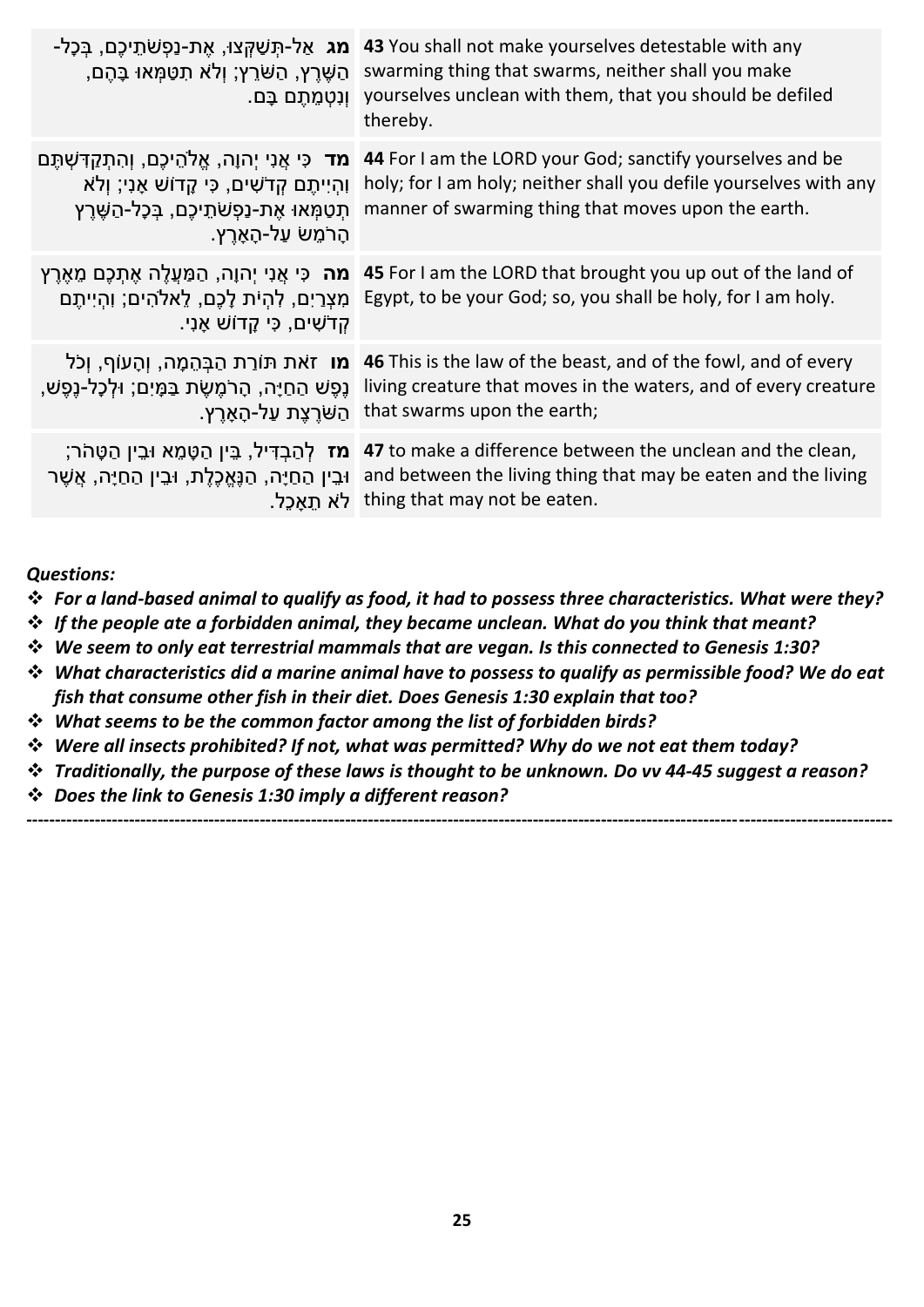| <b>ַמג</b> אַל-תִּשַּׁקְצוּ, אֶת-נַפְשֹׁתֵיכֶם, בְּכָל-<br>ָהַשֶּׁרֵץ, הַשַּׁרֵץ; וְלֹא תִטַּמְּאוּ בָּהֶם,<br>ּוְנִטְמֶתֶם בָּם.                                                          | 43 You shall not make yourselves detestable with any<br>swarming thing that swarms, neither shall you make<br>yourselves unclean with them, that you should be defiled<br>thereby.    |
|--------------------------------------------------------------------------------------------------------------------------------------------------------------------------------------------|---------------------------------------------------------------------------------------------------------------------------------------------------------------------------------------|
| <b>מד</b> כִּי אֲנִי יִהוָה, אֱלֹהֵיכֵם, וְהִתְקַדָּשָׁתֵּם<br>ּוְהִיִיתֵם קִדֹשִׁים, כִּי קֵדוֹשׁ אָנִי; וְלֹא<br>תִטַמְּאוּ אֶת-נַפְשֹׁתֵיכֶם, בְּכָל-הַשֶּׁרֶץ<br>הָרֹמֶשׂ עַל-הָאָרֵץ. | 44 For I am the LORD your God; sanctify yourselves and be<br>holy; for I am holy; neither shall you defile yourselves with any<br>manner of swarming thing that moves upon the earth. |
| <b>מה</b> כִּי אֲנִי יִהוָה, הַמַּעֲלֵה אֶתָכֶם מֶאֶרֵץ<br>מִצְרַיִם, לְהִיֹּת לָכֶם, לֵאלֹהִים; וְהִיִיתֵם<br>ָקְדֹשִׁים, כִּי קָדוֹשׁ אָנִי.                                             | 45 For I am the LORD that brought you up out of the land of<br>Egypt, to be your God; so, you shall be holy, for I am holy.                                                           |
| <b>מו</b> זאת תּוֹרַת הַבְּהֵמָה, וְהָעוֹף, וְכֹל<br>ְנֵפֵשׁ הַחַיָּה, הָרֹמֵשֵׂת בַּמָּיִם; וּלְכָל-נֵפֵשׁ,<br>ּהַשּׁרֵצֵת עַל-הָאָרֵץ.                                                   | 46 This is the law of the beast, and of the fowl, and of every<br>living creature that moves in the waters, and of every creature<br>that swarms upon the earth;                      |
| מז לְהַבְדִּיל, בֵּין הַטָּמֵא וּבֵין הַטָּהֹר;<br>ּוּבֵין הַחַיָּה, הַנֶּאֱכֶלֶת, וּבֵין הַחַיָּה, אֲשֶׁר                                                                                 | 47 to make a difference between the unclean and the clean,<br>and between the living thing that may be eaten and the living<br>thing that may not be eaten.                           |

*Questions:*

- ❖ *For a land-based animal to qualify as food, it had to possess three characteristics. What were they?*
- ❖ *If the people ate a forbidden animal, they became unclean. What do you think that meant?*
- ❖ *We seem to only eat terrestrial mammals that are vegan. Is this connected to Genesis 1:30?*
- ❖ *What characteristics did a marine animal have to possess to qualify as permissible food? We do eat fish that consume other fish in their diet. Does Genesis 1:30 explain that too?*
- ❖ *What seems to be the common factor among the list of forbidden birds?*
- ❖ *Were all insects prohibited? If not, what was permitted? Why do we not eat them today?*
- ❖ *Traditionally, the purpose of these laws is thought to be unknown. Do vv 44-45 suggest a reason?*

**--------------------------------------------------------------------------------------------------------------------------------------------------------**

❖ *Does the link to Genesis 1:30 imply a different reason?*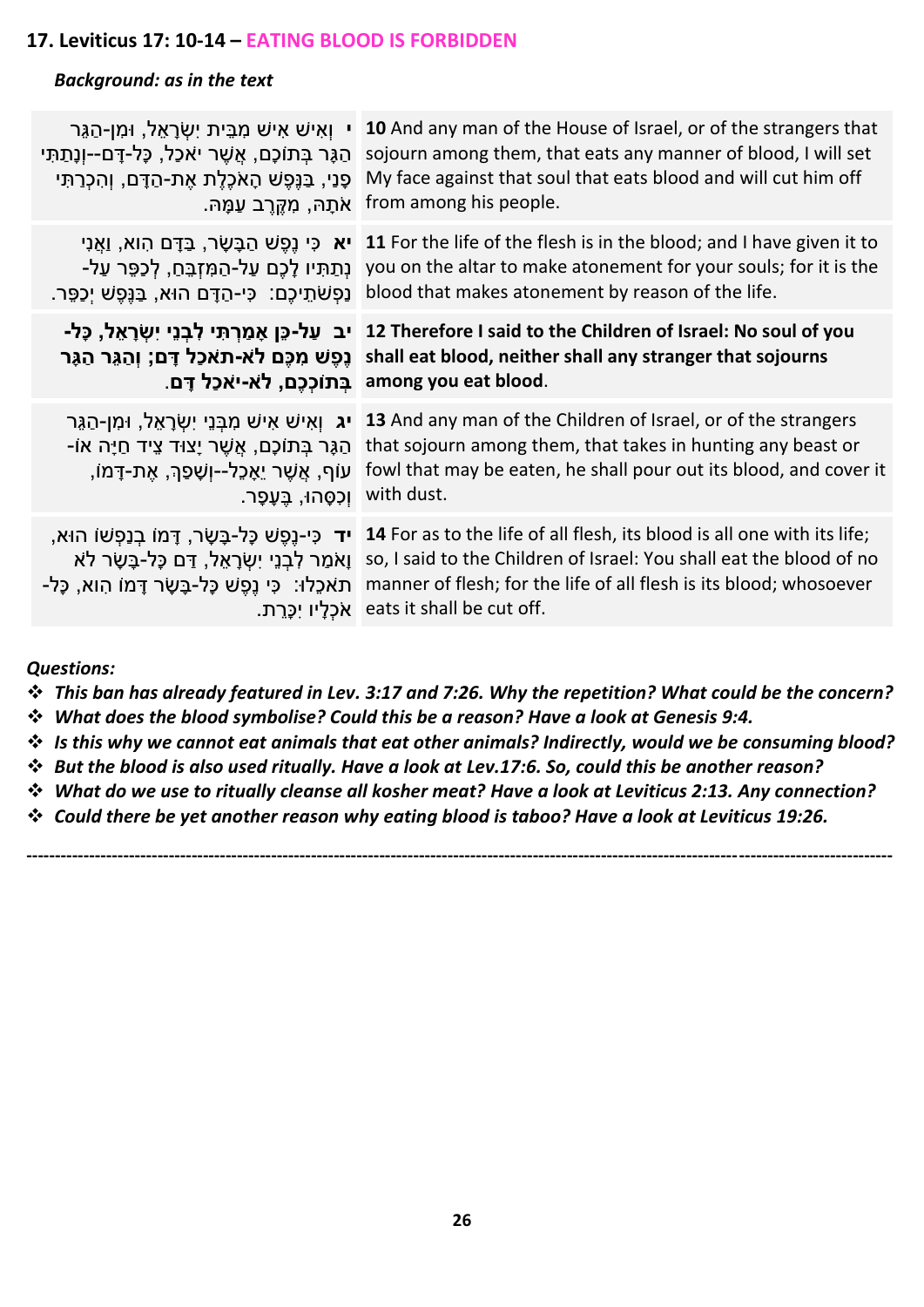#### **17. Leviticus 17: 10-14 – EATING BLOOD IS FORBIDDEN**

#### *Background: as in the text*

| י וְאִישׁ אִישׁ מִבֵּית יְשְׂרָאֵל, וּמִן-הַגֵּר<br>הַגֶּר בְּתוֹכָם, אֲשֶׁר יאֹכַל, כָּל-דָּם--וְנֶתַתִּי<br>ּפָנִי, בַּנֵּפֵשׁ הָאֹכֶלֵת אֶת-הַדָּם, וְהִכְרַתִּי<br>ַ אֹתָהּ, מְקֵרֶב עַמָּהּ. | 10 And any man of the House of Israel, or of the strangers that<br>sojourn among them, that eats any manner of blood, I will set<br>My face against that soul that eats blood and will cut him off<br>from among his people.                                                                                                                                                                                         |
|---------------------------------------------------------------------------------------------------------------------------------------------------------------------------------------------------|----------------------------------------------------------------------------------------------------------------------------------------------------------------------------------------------------------------------------------------------------------------------------------------------------------------------------------------------------------------------------------------------------------------------|
|                                                                                                                                                                                                   | יא כִּי נֵפֵשׁ הַבָּשָׂר, בַּדָּם הִוא, וַאֲנִי 11 For the life of the flesh is in the blood; and I have given it to<br>you on the altar to make atonement for your souls; for it is the נְתַתְּיו לָכֶם עַל-הַמְזְבֵּחַ, לְכַפֵּר עַל<br>_blood that makes atonement by reason of the life. נַפְשׁתֵיכֶם: כִּי-הַדָּם הוּא, בַּנֵּפֵשׁ יָכַפֵּר.                                                                    |
| בתוֹכְכֶם, לֹא-יאכַל דָּם. among you eat blood.                                                                                                                                                   | וב עַל-כֶּן אָמַרִתְּי לְבְנֵי יִשְׂרָאֵל, כָּל- 12 Therefore I said to the Children of Israel: No soul of you<br>נְפֵשׁ מִכֶּם לֹא-תאכַל דָּם; וְהַגֵּר הַגָּר shall eat blood, neither shall any stranger that sojourns                                                                                                                                                                                            |
| ֿהַגָּר בְּתוֹכָם, אֲשֶׁר יָצוּד צֵיד חַיָּה אוֹ-<br>ָעוֹף, אֲשֶׁר יֵאָכֶל--וְשָׁפַ <sub>ּ</sub> ךְ, אֶת-דָּמוֹ<br>.with dust  וִכְסְהוּ, בֶּעָפָר                                                | ויג וְאִישׁ אִישׁ מִבְּנֵי יְשָׂרָאֵל, וּמִן-הַגֶּר (13 And any man of the Children of Israel, or of the strangers<br>that sojourn among them, that takes in hunting any beast or<br>fowl that may be eaten, he shall pour out its blood, and cover it                                                                                                                                                               |
|                                                                                                                                                                                                   | ר כִּי-נֵפֵשׁ כָּל-בָּשָׂר, דָּמוֹ בִנַפִּשׁוֹ הוּא, <b>14</b> For as to the life of all flesh, its blood is all one with its life;<br>ןאמַר לְבְנֵי יְשְׂרָאֵל, דַּם כָּל-בָּשָׂר לֹא so, I said to the Children of Israel: You shall eat the blood of no<br>- תאכֵלוּ: כִּי נֵפֶשׁ כָּל-בָּשָׂר דָּמוֹ הָוא, כָּל- manner of flesh; for the life of all flesh is its blood; whosoever<br>eats it shall be cut off. |
|                                                                                                                                                                                                   |                                                                                                                                                                                                                                                                                                                                                                                                                      |

*Questions:*

- ❖ *This ban has already featured in Lev. 3:17 and 7:26. Why the repetition? What could be the concern?*
- ❖ *What does the blood symbolise? Could this be a reason? Have a look at Genesis 9:4.*
- ❖ *Is this why we cannot eat animals that eat other animals? Indirectly, would we be consuming blood?*
- ❖ *But the blood is also used ritually. Have a look at Lev.17:6. So, could this be another reason?*
- ❖ *What do we use to ritually cleanse all kosher meat? Have a look at Leviticus 2:13. Any connection?*

**--------------------------------------------------------------------------------------------------------------------------------------------------------**

❖ *Could there be yet another reason why eating blood is taboo? Have a look at Leviticus 19:26.*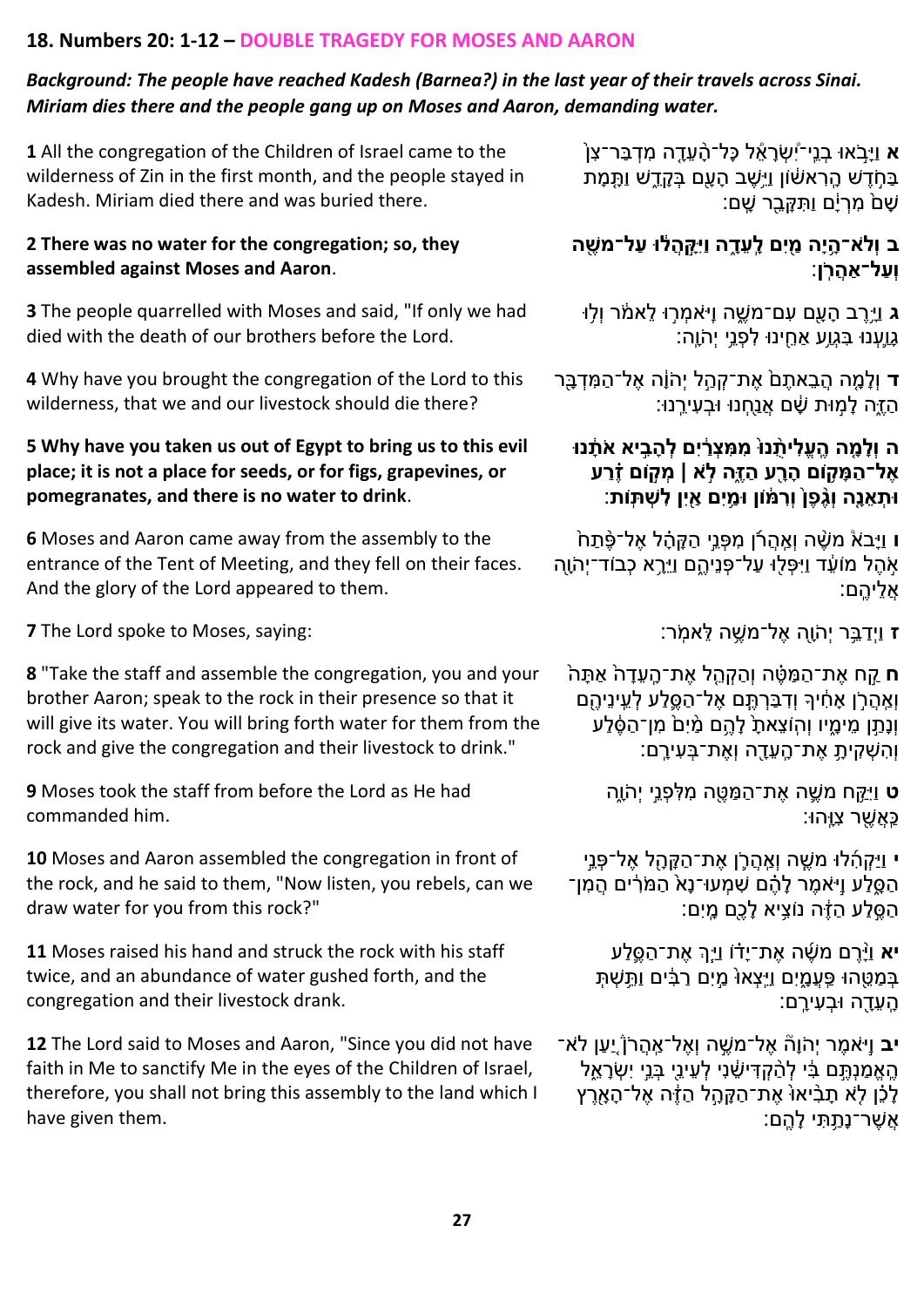#### **18. Numbers 20: 1-12 – DOUBLE TRAGEDY FOR MOSES AND AARON**

#### *Background: The people have reached Kadesh (Barnea?) in the last year of their travels across Sinai. Miriam dies there and the people gang up on Moses and Aaron, demanding water.*

**[1](https://www.chabad.org/library/bible_cdo/aid/9948#v1)** All the congregation of the Children of Israel came to the wilderness of Zin in the first month, and the people stayed in Kadesh. Miriam died there and was buried there.

#### **[2](https://www.chabad.org/library/bible_cdo/aid/9948#v2) There was no water for the congregation; so, they assembled against Moses and Aaron**.

**[3](https://www.chabad.org/library/bible_cdo/aid/9948#v3)** The people quarrelled with Moses and said, "If only we had died with the death of our brothers before the Lord.

**[4](https://www.chabad.org/library/bible_cdo/aid/9948#v4)** Why have you brought the congregation of the Lord to this wilderness, that we and our livestock should die there?

#### **[5](https://www.chabad.org/library/bible_cdo/aid/9948#v5) Why have you taken us out of Egypt to bring us to this evil place; it is not a place for seeds, or for figs, grapevines, or pomegranates, and there is no water to drink**.

**[6](https://www.chabad.org/library/bible_cdo/aid/9948#v6)** Moses and Aaron came away from the assembly to the entrance of the Tent of Meeting, and they fell on their faces. And the glory of the Lord appeared to them.

**[ז](https://www.chabad.org/library/bible_cdo/aid/9948#v7)** וַיְדַ בֵֵּ֥ ר יְהֹּוָָּ֖ה אֶ ל־מׁשֵֶּ֥ ה לֵ אמֵֹּֽ ר: :saying ,Moses to spoke Lord The **[7](https://www.chabad.org/library/bible_cdo/aid/9948#v7)**

**[8](https://www.chabad.org/library/bible_cdo/aid/9948#v8)** "Take the staff and assemble the congregation, you and your brother Aaron; speak to the rock in their presence so that it will give its water. You will bring forth water for them from the rock and give the congregation and their livestock to drink."

**[9](https://www.chabad.org/library/bible_cdo/aid/9948#v9)** Moses took the staff from before the Lord as He had commanded him.

**[10](https://www.chabad.org/library/bible_cdo/aid/9948#v10)** Moses and Aaron assembled the congregation in front of the rock, and he said to them, "Now listen, you rebels, can we draw water for you from this rock?"

**[11](https://www.chabad.org/library/bible_cdo/aid/9948#v11)** Moses raised his hand and struck the rock with his staff twice, and an abundance of water gushed forth, and the congregation and their livestock drank.

**[12](https://www.chabad.org/library/bible_cdo/aid/9948#v12)** The Lord said to Moses and Aaron, "Since you did not have faith in Me to sanctify Me in the eyes of the Children of Israel, therefore, you shall not bring this assembly to the land which I have given them.

ָ**ֹ[א](https://www.chabad.org/library/bible_cdo/aid/9948#v1) וַיָּבֹאוּ בְנֵי־יִ**שְׂרָאֶל כָּל־הָ֫עֶדֶה מִדְבַּר־צָן בַּחֹדִשׁ הַרְאשׁׁוֹן וַיֵּשֶׁב הַעֲם בַּקֶדֵשׁ וַתֲּמָת ֹשָׁם<sup>ּ</sup> מִרְיָּם וַתְּקָּבֵר שֵׁם:

## **[ב](https://www.chabad.org/library/bible_cdo/aid/9948#v2) וְלֹּא־הָָ֥ יָה מַַ֖ יִם לָָֽ עֵּ דָָ֑ ה וַיִקָָּ֣ הֲ ל֔ ּו עַ ל־משֶַ֖ ה וְעַ ל־אַ הֲ רָֹּֽ ן**:

**ּ[ג](https://www.chabad.org/library/bible_cdo/aid/9948#v3)** וַיֶּרֶב הָעֶם עִם־מֹשֵֶׁה וַיּאמְרִוּ לֵאמֹׂר וְלִוּ **גָוֵעְנוּ בָּגְוֵע אַחֵינוּ לִפְנֵי יְהֹוֶה**:

**[ד](https://www.chabad.org/library/bible_cdo/aid/9948#v4)** וְלָמֶה הֲבֵאתֶםׂ אֶת־קְהָל יְהֹוֶה אֶל־הַמִּדְבֶּר ָה לָמִוּת שָׁם אֲנַחָנוּ וּבְעִירֳֵנוּ:

## [ה](https://www.chabad.org/library/bible_cdo/aid/9948#v5) וְלָמֶה הֱעֱלִיתָנוּ מִמְצְרַ֫יִם לְהָבֵיא אֹתָנוּ **אֶ ל־הַ מָ קָ֥ ֹום הָ רַָ֖ ע הַ זֶָ֑ה לָֹּּ֣ א | מְ קָּ֣ ֹום זֶֶ֗ רַ ע ּותְ אֵּ נָָ֤ה וְגֶֻ֨ פֶ ןּ֙ וְרִ מ֔ ֹון ּומַָ֥ יִם אַַ֖ יִן לִ שְ תָֽ ֹות** :

[ו](https://www.chabad.org/library/bible_cdo/aid/9948#v6) וַיָּבֹא<sub>ْ</sub> מֹשֶׁה וְאֵהֻרֹן מִפְּנֵי הַקָּהָ**ֹּ**ל אֶל־פֶּ֫תַּח אִׂהֶל מֹוֹעֵד וַיִּפְלִוּ עַל־פְנֵיהֵם וַיֵּרֵֽא כְבֹוד־יִהֹוֶה ָּאליהם:

**ח** קַֹ֣ח אֶ ת־הַ מַ טֶָ֗ ה וְהַ קְ הֵָ֤ ל אֶ ת־הֵָּֽ עֵ דָּ ה֙ אַ תָּ ה֙ וְאֵהֲרֹן אָחִיךָ וִדְבַּרְתֵּם אֶל־הַסֱלַע לְעֵינֵיהֶם וֹנָתֵ֣ן מֵימֵיו והוֹצֵאתַ לַהֵם מַּיָּם מִן־הַסֶּלַע וְהִ ׁשְ קִ יתֵָּּ֥ אֶ ת־הֵָּֽ עֵ דָָּ֖ ה וְאֶ ת־בְ עִ ירֵָּֽ ם:

> **[ט](https://www.chabad.org/library/bible_cdo/aid/9948#v9)** וַיִקֵַּ֥ ח מׁשֶַ֛ ה אֶ ת־הַ מַ טֶָ֖ ה מִ לִ פְ נֵֹ֣י יְהֹּוֵָּ֑ה ַּכֵּאֲשֶׁר צָוֵּהוּ:

**[י](https://www.chabad.org/library/bible_cdo/aid/9948#v10)** וַיַקְ הִֹ֜ לּו מׁשֶֶּ֧ ה וְאֵַֽ הֲ רַֹּ֛ ן אֶ ת־הַ קָּ הָָּ֖ ל אֶ ל־פְ נֵֹ֣י ּהַ סֵּלַע וַיֹּאמֶר לָהֶם שִׁמְעוּ־נָאֹ הַמֹּרִים הַמִן־ הַסֶּלֵע הַזֶּה נוֹצֵיא לַכָּם מֵיִם:

**[יא](https://www.chabad.org/library/bible_cdo/aid/9948#v11)** וַיָָּ֨ רֶ ם מׁשֶֹ֜ ה אֶ ת־יָּדָ֗ ֹו וַיְֶַָּּ֥֧ך אֶ ת־הַ סֶַ֛ לַ ע בְּמַטֵּהוּ פֵּעֲמָיִם וַיֵּצְאוּ מֵיִם רַבִּ֫ים וַתֵּשְׁתָּ ָהֶעֱדָה וּבְעִירֵם:

**[יב](https://www.chabad.org/library/bible_cdo/aid/9948#v12)** וַיֹּאמֶר יִהֹוָהֿ אֶל־מַשֱה וְאֶל־אֱהֲרֹ<u>ן ִי</u>עַן לֹא הֱאֱמַנְתֵּם בִּ֫י לְהַקְדִּישֶׁנִי לְעֵינֵי בְּנֵי יִשְׂרָאֱל לָכֵ֫ן לָ**ֹא תָבִ**יאוּ אֶת־הַקָּהֶל הַ†ָּה אֵל־הָאָרֵץ ּאֲשֶׁר־נָתֲתִּי לָהֱם: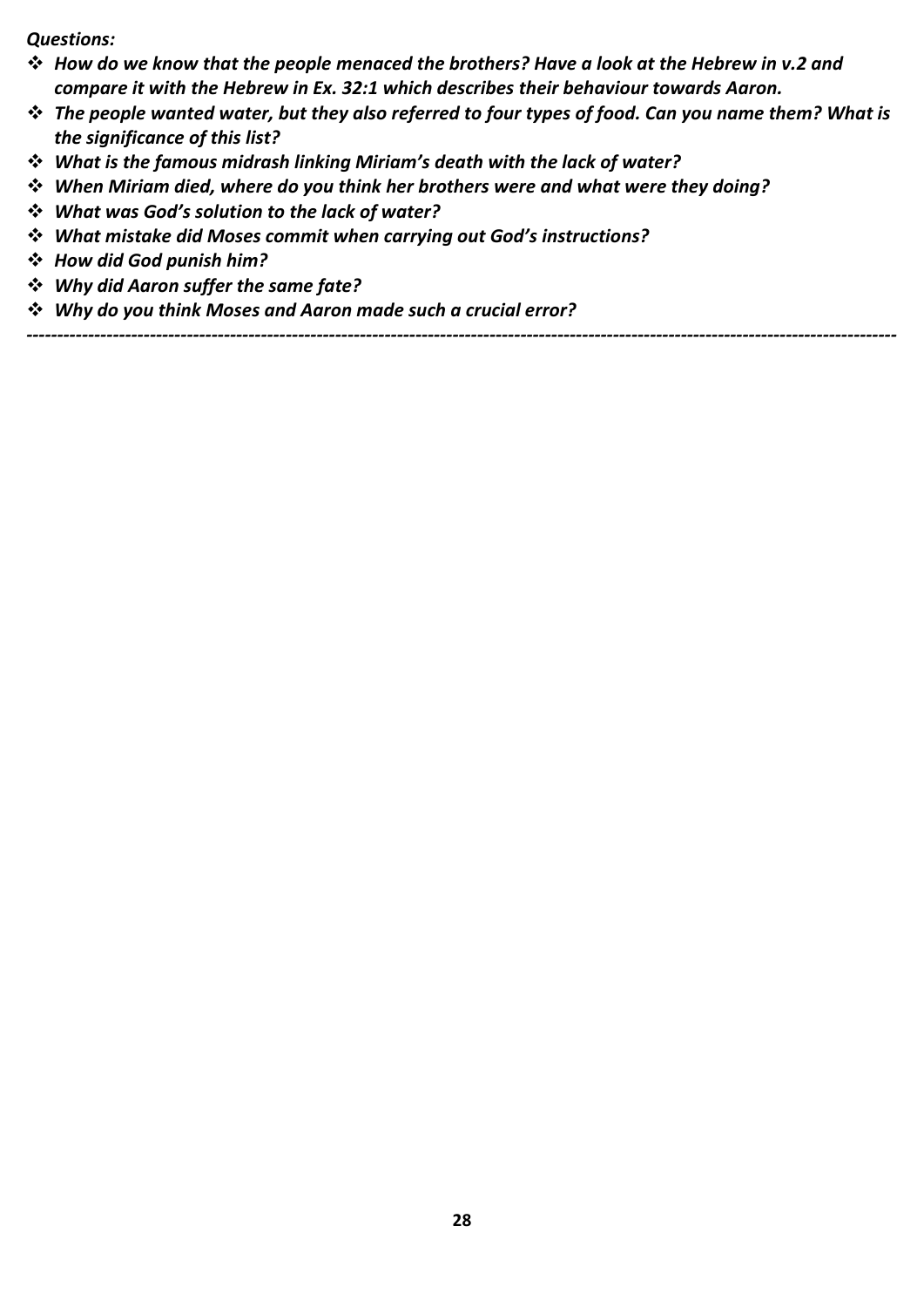*Questions:*

- ❖ *How do we know that the people menaced the brothers? Have a look at the Hebrew in v.2 and compare it with the Hebrew in Ex. 32:1 which describes their behaviour towards Aaron.*
- ❖ *The people wanted water, but they also referred to four types of food. Can you name them? What is the significance of this list?*
- ❖ *What is the famous midrash linking Miriam's death with the lack of water?*
- ❖ *When Miriam died, where do you think her brothers were and what were they doing?*
- ❖ *What was God's solution to the lack of water?*
- ❖ *What mistake did Moses commit when carrying out God's instructions?*
- ❖ *How did God punish him?*
- ❖ *Why did Aaron suffer the same fate?*
- ❖ *Why do you think Moses and Aaron made such a crucial error?*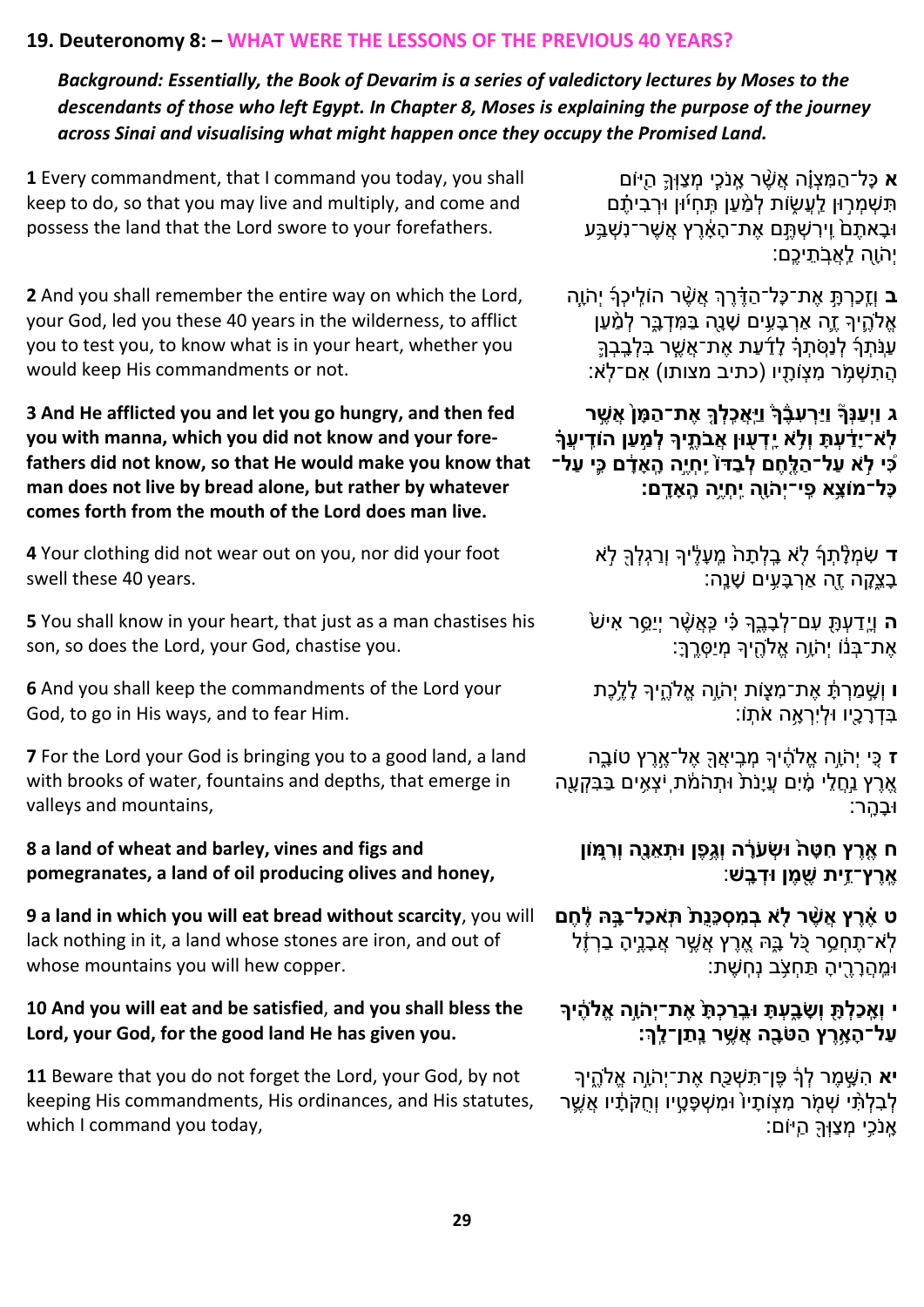#### **19. Deuteronomy 8: – WHAT WERE THE LESSONS OF THE PREVIOUS 40 YEARS?**

*Background: Essentially, the Book of Devarim is a series of valedictory lectures by Moses to the descendants of those who left Egypt. In Chapter 8, Moses is explaining the purpose of the journey across Sinai and visualising what might happen once they occupy the Promised Land.*

**[1](https://www.chabad.org/library/bible_cdo/aid/9972#v1)** Every commandment, that I command you today, you shall keep to do, so that you may live and multiply, and come and possess the land that the Lord swore to your forefathers.

**[2](https://www.chabad.org/library/bible_cdo/aid/9972#v2)** And you shall remember the entire way on which the Lord, your God, led you these 40 years in the wilderness, to afflict you to test you, to know what is in your heart, whether you would keep His commandments or not.

#### **[3](https://www.chabad.org/library/bible_cdo/aid/9972#v3) And He afflicted you and let you go hungry, and then fed you with manna, which you did not know and your forefathers did not know, so that He would make you know that man does not live by bread alone, but rather by whatever comes forth from the mouth of the Lord does man live.**

**[4](https://www.chabad.org/library/bible_cdo/aid/9972#v4)** Your clothing did not wear out on you, nor did your foot swell these 40 years.

**[5](https://www.chabad.org/library/bible_cdo/aid/9972#v5)** You shall know in your heart, that just as a man chastises his son, so does the Lord, your God, chastise you.

**[6](https://www.chabad.org/library/bible_cdo/aid/9972#v6)** And you shall keep the commandments of the Lord your God, to go in His ways, and to fear Him.

**[7](https://www.chabad.org/library/bible_cdo/aid/9972#v7)** For the Lord your God is bringing you to a good land, a land with brooks of water, fountains and depths, that emerge in valleys and mountains,

#### **[8](https://www.chabad.org/library/bible_cdo/aid/9972#v8) a land of wheat and barley, vines and figs and pomegranates, a land of oil producing olives and honey,**

**[9](https://www.chabad.org/library/bible_cdo/aid/9972#v9) a land in which you will eat bread without scarcity**, you will lack nothing in it, a land whose stones are iron, and out of whose mountains you will hew copper.

#### **[10](https://www.chabad.org/library/bible_cdo/aid/9972#v10) And you will eat and be satisfied**, **and you shall bless the Lord, your God, for the good land He has given you.**

**[11](https://www.chabad.org/library/bible_cdo/aid/9972#v11)** Beware that you do not forget the Lord, your God, by not keeping His commandments, His ordinances, and His statutes, which I command you today,

**[א](https://www.chabad.org/library/bible_cdo/aid/9972#v1)** כָּל־הַ מִ צְ וָָּ֗ה אֲׁשֶָ֨ ר אֵָּֽ נֹּכִֶּ֧י מְ צַּוְָךַ֛ הַ יָ֖ ֹום ׁתִּשְׁמְרְוּן לֵעֲשָׂות לְמַ֫עַן תֵּחִיۢוּן וּרְבִיתֵ֣ם ּוּבָאתֵם<sub>ْ</sub> וֵירִשְׁתֵֵּם אֶת־הָאָ<u>ּ֫רֵ</u>ץ אֲשֶׁר־נִשְׁבֵּע יְהֹּוָָּ֖ה לֵַֽאֲבֵֹּֽ תֵ יכֵֶֽם:

**ָּ[ב](https://www.chabad.org/library/bible_cdo/aid/9972#v2)** וְזֵכַרְתָּ אֶת־כָּל־הַדֶּ֫רֶךְ אֲשֶׁר הוֹלֵיכָךְ יְהֹוֶה אֱלֹהֶיִךְ זֶה אַרְבָּעִים שָׁנָה בַּמִּדְבֶּ֣ר לְמַ<u>ּ</u>עַן עַנַּ֫תְרָ לְנַסֻּתְרָ לְדַעַת אֶת־אֲשֱר בְּלְבֶבְךָ הֲתִשְׁמֶׂר מִצְוֹתָיו (כתיב מצותו) אִם־לְאֹ:

**[ג](https://www.chabad.org/library/bible_cdo/aid/9972#v3) וַיְעַ נְךָ֘ וַיַרְ עִ בֶֶ֒ ךֶ֒ וַיַָֽאֲכִָֽ לְ ךָ֤ אֶ ת־הַ מָ ןּ֙ אֲ שֶָּ֣ ר**  לְ**ֹא־יַדָּׂעָתַּ וְלָ**ֹא יֵדְעִוּן אֻבֹּתֵיךָ לְמֵעַן הוֹדֵיעֵךְ **כִִּ֠ י לָֹּּ֣ א עַ ל־הַ לֶָ֤חֶ ם לְ בַ דֹוּ֙ יִָֽחְ יֶָּ֣ה הָָֽ אָ דָ֔ ם כִִּ֛י עַ ל־ כָל־מֹוצָָ֥א פִָֽ י־יְהֹּוַָ֖ה יִָֽחְ יֶָ֥ה הָָֽ אָ דָָֽ ם:** 

> [ד](https://www.chabad.org/library/bible_cdo/aid/9972#v4) שִׂמְלָּתְךָּ לְא בֵ<sup>ַ</sup>לְתָה<sup>ֹ</sup> מֵעָלֵיךָ וְרַגְלְךָ לְא ָבְצֵקָה זֶה אַרְבָּעֵים שָׁנֵָה:

ֿ**[ה](https://www.chabad.org/library/bible_cdo/aid/9972#v5)** וַיָּדַעַתָּ עָם־לְבָבֶךָּ כִּי כֵּאֲשֶׁר יְיֵסֶר אִישׁ אֶת־בָּנוֹ יְהֹוֶה אֱלֹהֵיִךְ מְיַסְרֵךָ׃

**[ו](https://www.chabad.org/library/bible_cdo/aid/9972#v6)** וְׁשָֹּ֣ מַ רְ תָּׁ֔ אֶ ת־מִ צְ ֹוָ֖ ת יְהֹּוָֹּ֣ה אֱֹלהֵֶ֑ יָך לָּ לֵֶּ֥כֶת ָבְדְרָכֶיו וּלְיִרְאֶה אֹתָוֹ:

**ז** כִַ֚י יְהֹּוָֹּ֣ה אֱֹלהֶׁ֔ יָך מְ בִֵֽ יאֲָךָ֖ אֶ ל־אֶֹ֣ רֶ ץ טֹובֵָּ֑ה אֶרֶץ נַחֲלֵי מָ<u>ׂיִם עֲיָ</u>נֹת ּוּתָהֹמֹׁת ִיצְאִים בַּבִּקְעָה ּוּבָהָר:

**[ח](https://www.chabad.org/library/bible_cdo/aid/9972#v8) אֶָ֤ רֶ ץ חִ טָ הּ֙ ּושְ עֹּרָ֔ ה וְגֶָ֥פֶ ן ּותְ אֵּ נַָ֖ה וְרִ מָ֑ ֹון אֶָֽ רֶ ץ־זֵָּ֥ית שֶַ֖ מֶ ן ּודְ בָָֽ ש** :

**[ט](https://www.chabad.org/library/bible_cdo/aid/9972#v9) אֶֶ֗ רֶ ץ אֲשֶֻ֨ ר לָֹּ֤ א בְ מִ סְ כֵּנֻתּ֙ תָֹּֽ אכַל־בָָּ֣ ּה לֶ֔ חֶ ם** ַלְא־תֶחָסֵר כָּל בֵּהִ אֶרֵץ אֲשֶׁר אֶבָּנֵיהָ בַרְזֶ**ֹ**ל ּומֵֵֽ הֲ רָּ רֶָ֖ יהָּ תַ חְ צֵֹּּ֥ ב נְחֵֽ ׁשֶ ת:

## **[י](https://www.chabad.org/library/bible_cdo/aid/9972#v10) וְאָָֽ כַלְ תַָ֖ וְשָ בָָ֑ עְ תָ ּובֵָּֽ רַ כְ תָּ֙ אֶ ת־יְהֹּוָָּ֣ה אֱֹלהֶ֔ יך עַ ל־הָ אָָ֥ רֶ ץ הַ טֹּבַָ֖ ה אֲ שֶָ֥ ר נָָֽתַ ן־לָָֽ ְך:**

**[יא](https://www.chabad.org/library/bible_cdo/aid/9972#v11)** הִ שָֹּ֣ מֶ ר לְ ָךׁ֔ פֶ ן־תִ ׁשְ כַָ֖ח אֶ ת־יְהֹּוָֹּ֣ה אֱֹלהֵֶ֑ יָך לְבִלְתָּ֫י שָׁמֶׂר מִצְוֹתָיוֹ וּמִשְׁפָּטֵיו וְחֻקֹּתָ֫יו אֲשֵׁר אֵ<sup>ּ</sup>נֹכֵי מִצַּוְּךָּ הַיּוֹם: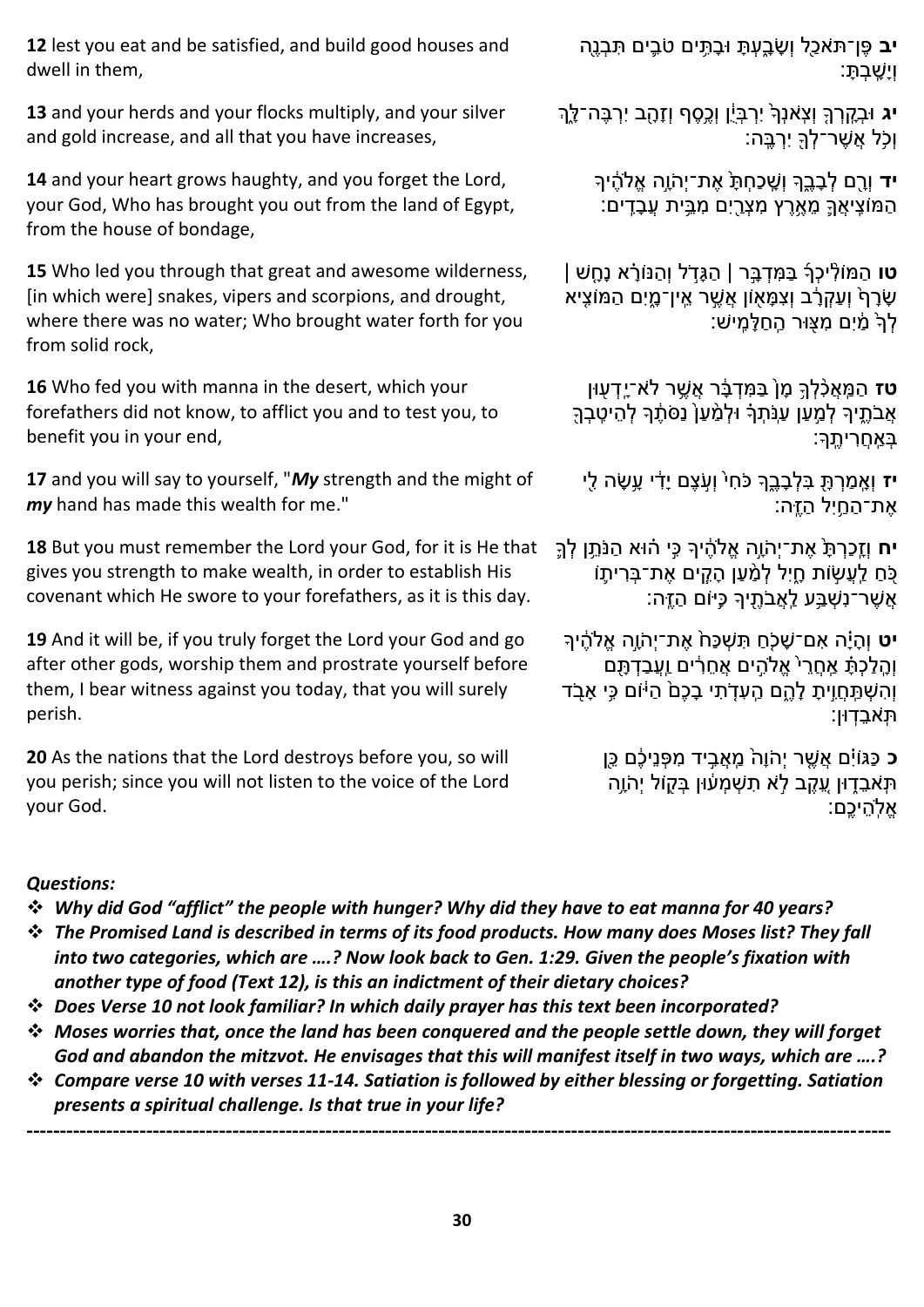**[12](https://www.chabad.org/library/bible_cdo/aid/9972#v12)** lest you eat and be satisfied, and build good houses and dwell in them,

**[13](https://www.chabad.org/library/bible_cdo/aid/9972#v13)** and your herds and your flocks multiply, and your silver and gold increase, and all that you have increases,

**[14](https://www.chabad.org/library/bible_cdo/aid/9972#v14)** and your heart grows haughty, and you forget the Lord, your God, Who has brought you out from the land of Egypt, from the house of bondage,

**[15](https://www.chabad.org/library/bible_cdo/aid/9972#v15)** Who led you through that great and awesome wilderness, [in which were] snakes, vipers and scorpions, and drought, where there was no water; Who brought water forth for you from solid rock,

**[16](https://www.chabad.org/library/bible_cdo/aid/9972#v16)** Who fed you with manna in the desert, which your forefathers did not know, to afflict you and to test you, to benefit you in your end,

**[17](https://www.chabad.org/library/bible_cdo/aid/9972#v17)** and you will say to yourself, "*My* strength and the might of *my* hand has made this wealth for me."

**[18](https://www.chabad.org/library/bible_cdo/aid/9972#v18)** But you must remember the Lord your God, for it is He that gives you strength to make wealth, in order to establish His covenant which He swore to your forefathers, as it is this day.

**[19](https://www.chabad.org/library/bible_cdo/aid/9972#v19)** And it will be, if you truly forget the Lord your God and go after other gods, worship them and prostrate yourself before them, I bear witness against you today, that you will surely perish.

**[20](https://www.chabad.org/library/bible_cdo/aid/9972#v20)** As the nations that the Lord destroys before you, so will you perish; since you will not listen to the voice of the Lord your God.

**[יב](https://www.chabad.org/library/bible_cdo/aid/9972#v12)** פֶ ן־תֹּאכַָ֖ל וְשָּ בֵָּ֑עְ תָּ ּובָּ תִֵּ֥ ים טֹּבִַ֛ ים תִ בְ נֶָ֖ה וְיָּׁשֵָּֽ בְ תָּ :

**[יג](https://www.chabad.org/library/bible_cdo/aid/9972#v13)** ּוּבְקֶרְךָּ וְצִאׁנְךָ<sup>ּ</sup> יִרְבְּיֵ֫ן וְכֶסֶף וְזָהֶב יִרְבֶּה־לֶךְ וְכֵֹּּ֥ל אֲׁשֶ ר־לְ ָךָ֖ יִרְ בֵֶֽ ה:

**[יד](https://www.chabad.org/library/bible_cdo/aid/9972#v14)** וְרֵם לְבָבֵךְ וְשֶׁכַחְתָּ אֶת־יְהֹוֶה אֱלֹהֶ֫יִךְ ֿהַמּוֹצֵיאֲךֵ מֶאֱרֵץ מִצְרֵיִם מִבֵּית עֲבָדֵים:

**[טו](https://www.chabad.org/library/bible_cdo/aid/9972#v15)** הַמּוֹלְיכְךָ בַּמְּדָבֶּר | הַגָּדִל וְהַנּוֹרָא נָחֶשׁ | ְשָׂרָףֹ וְעַקְרָׂב וְצָמָּאָוֹן אֵ֥שֵׁר אֱין־מֶיִם הַמּוֹצֵיא לְךָ מַ<u>֫י</u>ִם מִצָּוּר הַחַלָּמְישׁ:

**ַ[טז](https://www.chabad.org/library/bible_cdo/aid/9972#v16)** הַמַּאֲכָ֫לְךָּ מָןֹ בַּמִּדְבָּ֫ר אֲשֱר לֹא־יֶדְעָוּן אֲבֹתֵיךָ לְמַעַן עַנִּתְרָ וּלְמַ´עַן נַסֹּתֶר לְהֵיטֶבְךָ ַּבְאֵחריתֵךָּ

**[יז](https://www.chabad.org/library/bible_cdo/aid/9972#v17)** וְאֶמַרְתָּ בִּלְבָבֶךְ כֹּחִ<sup>י</sup> וְעָ<sup>ּ</sup>עֶם יָדִׂי עָשָׂה לֵי אֶת־הַחֵיִל הַזֵּ<sup>ֶ</sup>ה:

**[יח](https://www.chabad.org/library/bible_cdo/aid/9972#v18)** וְזֵָּֽכַרְ תָּ֙ אֶ ת־יְהֹּוָֹּ֣ה אֱֹלהֶׁ֔ יָך כִֹ֣י הָ֗ ּוא הַ נֹּתֵֵּ֥ ן לְ ָךַ֛ כִּׂחַ לֵעֲשָׂוֹת חָיִל לְמַ<u>ּ֫</u>עַן הָקֵים אֶת־בְּרִיתֶוֹ ּאֲשֶׁר־נִשְׁבַּ֣ע לֵאֲבֹתֶיךָ כָּיּוֹם הַזֶּה:

**[יט](https://www.chabad.org/library/bible_cdo/aid/9972#v19)** וְהָיָה אִם־שָׁכָׂחַ תִּשְׁכַּחֹ אֶת־יִהוֶה אֱלֹהֶיךָ וְהֶלַכְתָּ אֶחֲרֵ<sup>י</sup> אֱלֹהֵים אֶחֵרִים <u>וַעֲבַדְתָ</u>ּֽם וְהִשְׁתַּחֲוֶיתָ לָהֵם הַעְדָׂתִי בָכֶם<sup>ּ</sup> הַיּּוֹם כֵּי אָבָד תֵֹּֽ אבֵ דֵֽ ּון:

> **ָּ[כ](https://www.chabad.org/library/bible_cdo/aid/9972#v20)** כַּגּוֹיָם אֲשֶׁר יְהֹוָהֹ מֵאֲבֵיד מִפְּנֵיכֶׂם כֵּן ּתְּאבֶדָוּן עֵקֵב לֹא תִשְׁמְעוּו בִּקוֹל יִהֹוֶה אֱֹלֵֽ הֵ יכֵֶֽם:

#### *Questions:*

- ❖ *Why did God "afflict" the people with hunger? Why did they have to eat manna for 40 years?*
- ❖ *The Promised Land is described in terms of its food products. How many does Moses list? They fall into two categories, which are ….? Now look back to Gen. 1:29. Given the people's fixation with another type of food (Text 12), is this an indictment of their dietary choices?*
- ❖ *Does Verse 10 not look familiar? In which daily prayer has this text been incorporated?*
- ❖ *Moses worries that, once the land has been conquered and the people settle down, they will forget God and abandon the mitzvot. He envisages that this will manifest itself in two ways, which are ….?*
- ❖ *Compare verse 10 with verses 11-14. Satiation is followed by either blessing or forgetting. Satiation presents a spiritual challenge. Is that true in your life?*